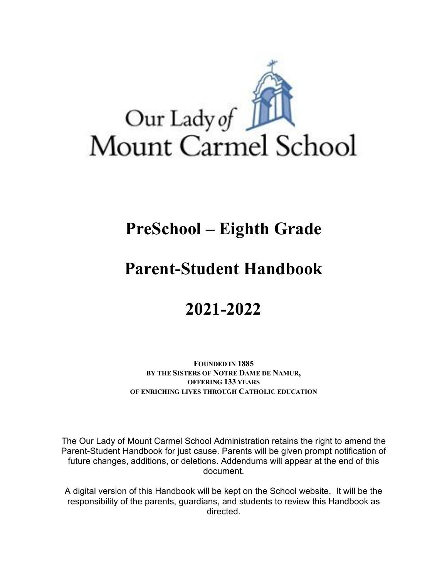

# **PreSchool – Eighth Grade**

# **Parent-Student Handbook**

# **2021-2022**

**FOUNDED IN 1885 BY THE SISTERS OF NOTRE DAME DE NAMUR, OFFERING 133 YEARS OF ENRICHING LIVES THROUGH CATHOLIC EDUCATION**

The Our Lady of Mount Carmel School Administration retains the right to amend the Parent-Student Handbook for just cause. Parents will be given prompt notification of future changes, additions, or deletions. Addendums will appear at the end of this document.

A digital version of this Handbook will be kept on the School website. It will be the responsibility of the parents, guardians, and students to review this Handbook as directed.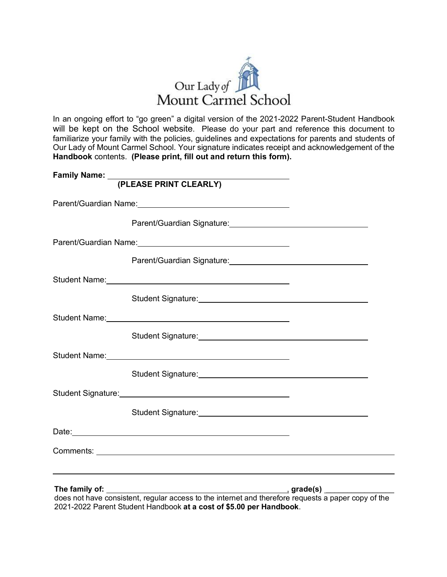

In an ongoing effort to "go green" a digital version of the 2021-2022 Parent-Student Handbook will be kept on the School website. Please do your part and reference this document to familiarize your family with the policies, guidelines and expectations for parents and students of Our Lady of Mount Carmel School. Your signature indicates receipt and acknowledgement of the **Handbook** contents. **(Please print, fill out and return this form).**

|                | Family Name: (PLEASE PRINT CLEARLY)                                                                                                                                                                                            |                         |  |
|----------------|--------------------------------------------------------------------------------------------------------------------------------------------------------------------------------------------------------------------------------|-------------------------|--|
|                | Parent/Guardian Name:<br><u>Parent/Guardian Name:</u>                                                                                                                                                                          |                         |  |
|                | Parent/Guardian Signature:<br><u>Denominal Communication</u>                                                                                                                                                                   |                         |  |
|                | Parent/Guardian Name: 1997 - 1997 - 1998 - 1998 - 1999 - 1999 - 1999 - 1999 - 1999 - 1999 - 1999 - 1999 - 199                                                                                                                  |                         |  |
|                | Parent/Guardian Signature:<br><u>Denominal Communication</u>                                                                                                                                                                   |                         |  |
|                | Student Name: No. 2006. Contract of the Student Name: No. 2006. Contract of the Student Student Student Student Student Student Student Student Student Student Student Student Student Student Student Student Student Studen |                         |  |
|                | Student Signature: Management Control of the Control of the Control of the Control of the Control of the Control of the Control of the Control of the Control of the Control of the Control of the Control of the Control of t |                         |  |
|                | Student Name: 1988 and 2008 and 2008 and 2008 and 2008 and 2008 and 2008 and 2008 and 2008 and 2008 and 2008 and 2008 and 2008 and 2008 and 2008 and 2008 and 2008 and 2008 and 2008 and 2008 and 2008 and 2008 and 2008 and 2 |                         |  |
|                | Student Signature: Management Student Signature: Management Signature: Management Student Signature:                                                                                                                           |                         |  |
|                |                                                                                                                                                                                                                                |                         |  |
|                | Student Signature: Management Student Signature: Management Signature: Management Student Signature:                                                                                                                           |                         |  |
|                | Student Signature: Management Contract of Student Signature:                                                                                                                                                                   |                         |  |
|                |                                                                                                                                                                                                                                |                         |  |
|                |                                                                                                                                                                                                                                |                         |  |
|                |                                                                                                                                                                                                                                |                         |  |
| The family of: | ,我们也不会有什么。""我们的人,我们也不会有什么?""我们的人,我们也不会有什么?""我们的人,我们也不会有什么?""我们的人,我们也不会有什么?""我们的人                                                                                                                                               | _________ grade(s) ____ |  |

does not have consistent, regular access to the internet and therefore requests a paper copy of the 2021-2022 Parent Student Handbook **at a cost of \$5.00 per Handbook**.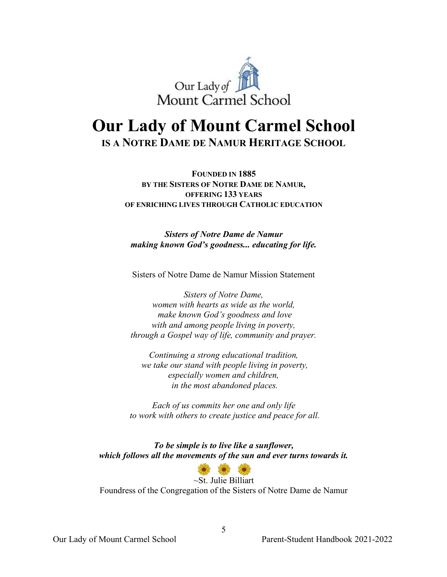

## **Our Lady of Mount Carmel School IS A NOTRE DAME DE NAMUR HERITAGE SCHOOL**

**FOUNDED IN 1885 BY THE SISTERS OF NOTRE DAME DE NAMUR, OFFERING 133 YEARS OF ENRICHING LIVES THROUGH CATHOLIC EDUCATION**

*Sisters of Notre Dame de Namur making known God's goodness... educating for life.*

Sisters of Notre Dame de Namur Mission Statement

*Sisters of Notre Dame, women with hearts as wide as the world, make known God's goodness and love with and among people living in poverty, through a Gospel way of life, community and prayer.*

*Continuing a strong educational tradition, we take our stand with people living in poverty, especially women and children, in the most abandoned places.*

*Each of us commits her one and only life to work with others to create justice and peace for all.*

*To be simple is to live like a sunflower, which follows all the movements of the sun and ever turns towards it.*

~St. Julie Billiart Foundress of the Congregation of the Sisters of Notre Dame de Namur

5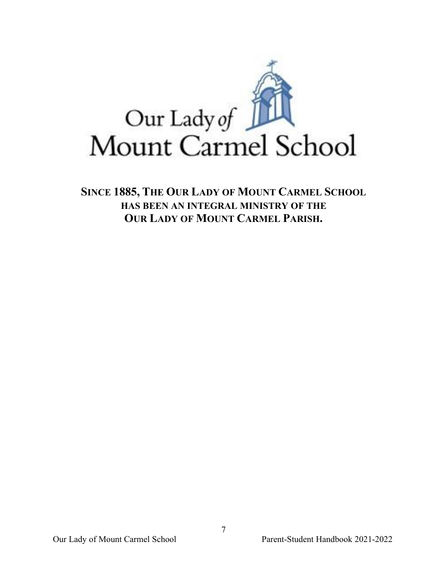

**SINCE 1885, THE OUR LADY OF MOUNT CARMEL SCHOOL HAS BEEN AN INTEGRAL MINISTRY OF THE OUR LADY OF MOUNT CARMEL PARISH.**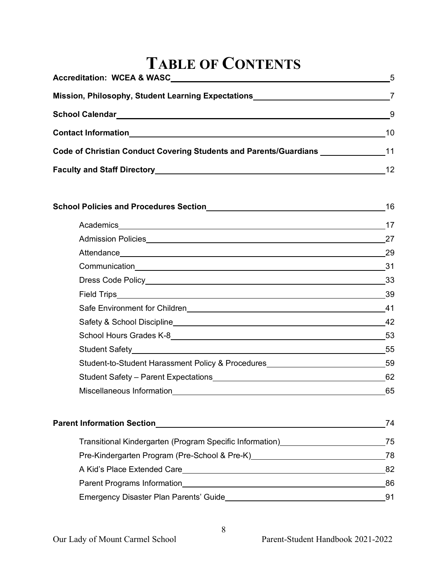## **TABLE OF CONTENTS**

|                                                                                                                      | 5  |
|----------------------------------------------------------------------------------------------------------------------|----|
|                                                                                                                      |    |
|                                                                                                                      | 9  |
|                                                                                                                      |    |
| Code of Christian Conduct Covering Students and Parents/Guardians ______________11                                   |    |
|                                                                                                                      |    |
|                                                                                                                      |    |
|                                                                                                                      |    |
|                                                                                                                      |    |
|                                                                                                                      |    |
|                                                                                                                      |    |
|                                                                                                                      |    |
|                                                                                                                      |    |
|                                                                                                                      |    |
|                                                                                                                      |    |
|                                                                                                                      |    |
|                                                                                                                      |    |
| Student-to-Student Harassment Policy & Procedures___________________________59                                       |    |
|                                                                                                                      |    |
|                                                                                                                      |    |
| <b>Parent Information Section</b>                                                                                    | 74 |
| Transitional Kindergarten (Program Specific Information)<br>Transitional Kindergarten (Program Specific Information) | 75 |
| Pre-Kindergarten Program (Pre-School & Pre-K)___________________________________                                     | 78 |
|                                                                                                                      | 82 |
|                                                                                                                      | 86 |
|                                                                                                                      | 91 |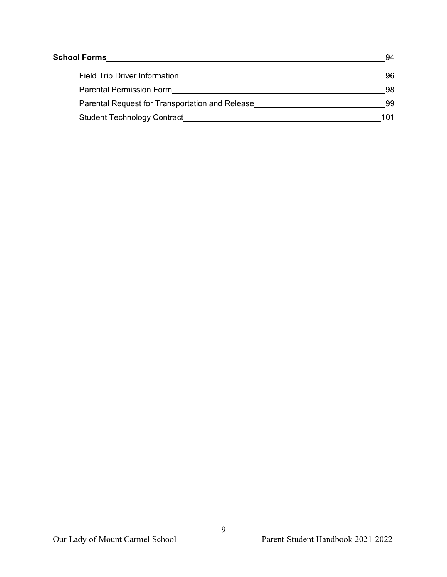| <b>School Forms</b>                             | 94  |
|-------------------------------------------------|-----|
| <b>Field Trip Driver Information</b>            | 96  |
| <b>Parental Permission Form</b>                 | 98  |
| Parental Request for Transportation and Release | 99  |
| <b>Student Technology Contract</b>              | 101 |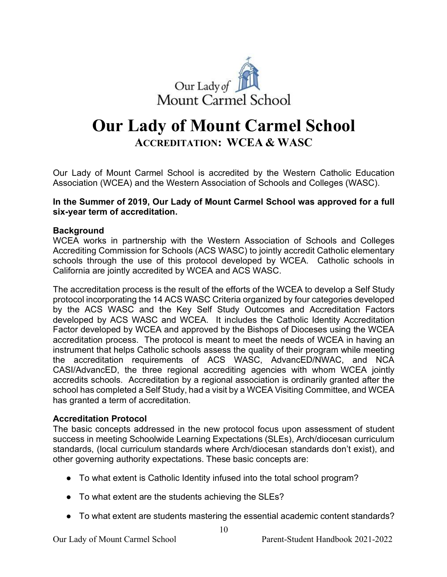

## **Our Lady of Mount Carmel School ACCREDITATION: WCEA & WASC**

Our Lady of Mount Carmel School is accredited by the Western Catholic Education Association (WCEA) and the Western Association of Schools and Colleges (WASC).

#### **In the Summer of 2019, Our Lady of Mount Carmel School was approved for a full six-year term of accreditation.**

#### **Background**

WCEA works in partnership with the Western Association of Schools and Colleges Accrediting Commission for Schools (ACS WASC) to jointly accredit Catholic elementary schools through the use of this protocol developed by WCEA. Catholic schools in California are jointly accredited by WCEA and ACS WASC.

The accreditation process is the result of the efforts of the WCEA to develop a Self Study protocol incorporating the 14 ACS WASC Criteria organized by four categories developed by the ACS WASC and the Key Self Study Outcomes and Accreditation Factors developed by ACS WASC and WCEA. It includes the Catholic Identity Accreditation Factor developed by WCEA and approved by the Bishops of Dioceses using the WCEA accreditation process. The protocol is meant to meet the needs of WCEA in having an instrument that helps Catholic schools assess the quality of their program while meeting the accreditation requirements of ACS WASC, AdvancED/NWAC, and NCA CASI/AdvancED, the three regional accrediting agencies with whom WCEA jointly accredits schools. Accreditation by a regional association is ordinarily granted after the school has completed a Self Study, had a visit by a WCEA Visiting Committee, and WCEA has granted a term of accreditation.

#### **Accreditation Protocol**

The basic concepts addressed in the new protocol focus upon assessment of student success in meeting Schoolwide Learning Expectations (SLEs), Arch/diocesan curriculum standards, (local curriculum standards where Arch/diocesan standards don't exist), and other governing authority expectations. These basic concepts are:

- To what extent is Catholic Identity infused into the total school program?
- To what extent are the students achieving the SLEs?
- To what extent are students mastering the essential academic content standards?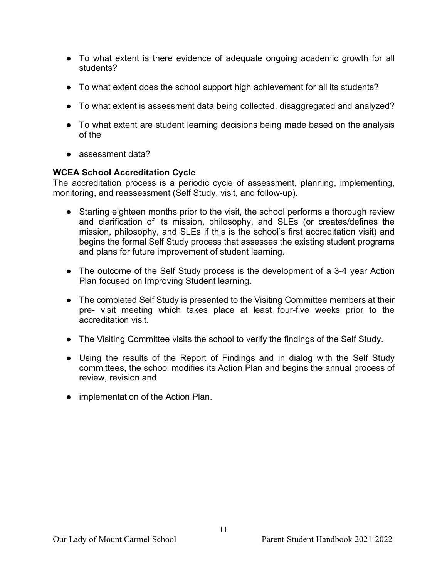- To what extent is there evidence of adequate ongoing academic growth for all students?
- To what extent does the school support high achievement for all its students?
- To what extent is assessment data being collected, disaggregated and analyzed?
- To what extent are student learning decisions being made based on the analysis of the
- assessment data?

#### **WCEA School Accreditation Cycle**

The accreditation process is a periodic cycle of assessment, planning, implementing, monitoring, and reassessment (Self Study, visit, and follow-up).

- Starting eighteen months prior to the visit, the school performs a thorough review and clarification of its mission, philosophy, and SLEs (or creates/defines the mission, philosophy, and SLEs if this is the school's first accreditation visit) and begins the formal Self Study process that assesses the existing student programs and plans for future improvement of student learning.
- The outcome of the Self Study process is the development of a 3-4 year Action Plan focused on Improving Student learning.
- The completed Self Study is presented to the Visiting Committee members at their pre- visit meeting which takes place at least four-five weeks prior to the accreditation visit.
- The Visiting Committee visits the school to verify the findings of the Self Study.
- Using the results of the Report of Findings and in dialog with the Self Study committees, the school modifies its Action Plan and begins the annual process of review, revision and
- implementation of the Action Plan.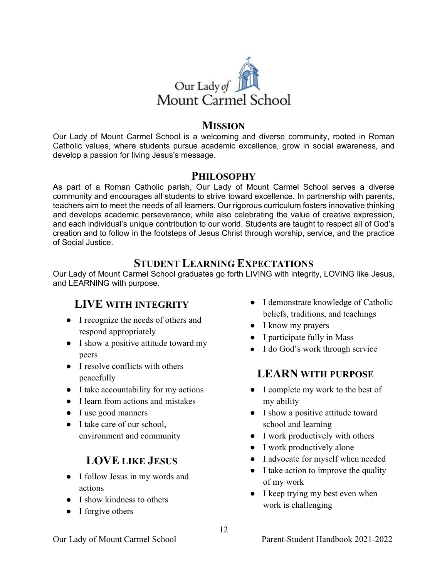

#### **MISSION**

Our Lady of Mount Carmel School is a welcoming and diverse community, rooted in Roman Catholic values, where students pursue academic excellence, grow in social awareness, and develop a passion for living Jesus's message.

### **PHILOSOPHY**

As part of a Roman Catholic parish, Our Lady of Mount Carmel School serves a diverse community and encourages all students to strive toward excellence. In partnership with parents, teachers aim to meet the needs of all learners. Our rigorous curriculum fosters innovative thinking and develops academic perseverance, while also celebrating the value of creative expression, and each individual's unique contribution to our world. Students are taught to respect all of God's creation and to follow in the footsteps of Jesus Christ through worship, service, and the practice of Social Justice.

### **STUDENT LEARNING EXPECTATIONS**

Our Lady of Mount Carmel School graduates go forth LIVING with integrity, LOVING like Jesus, and LEARNING with purpose.

### **LIVE WITH INTEGRITY**

- I recognize the needs of others and respond appropriately
- I show a positive attitude toward my peers
- I resolve conflicts with others peacefully
- I take accountability for my actions
- I learn from actions and mistakes
- I use good manners
- I take care of our school, environment and community

### **LOVE LIKE JESUS**

- I follow Jesus in my words and actions
- I show kindness to others
- I forgive others
- I demonstrate knowledge of Catholic beliefs, traditions, and teachings
- I know my prayers
- I participate fully in Mass
- I do God's work through service

### **LEARN WITH PURPOSE**

- I complete my work to the best of my ability
- I show a positive attitude toward school and learning
- I work productively with others
- I work productively alone
- I advocate for myself when needed
- I take action to improve the quality of my work
- I keep trying my best even when work is challenging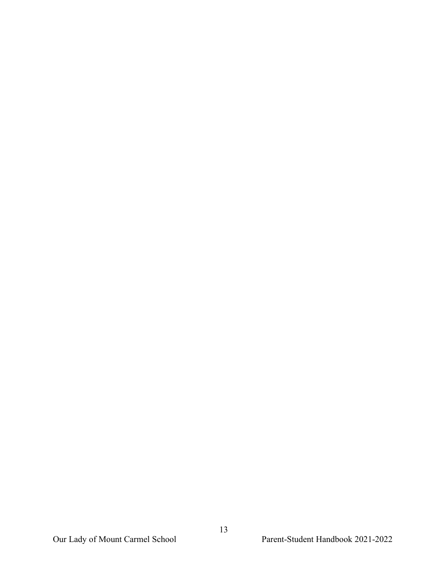Our Lady of Mount Carmel School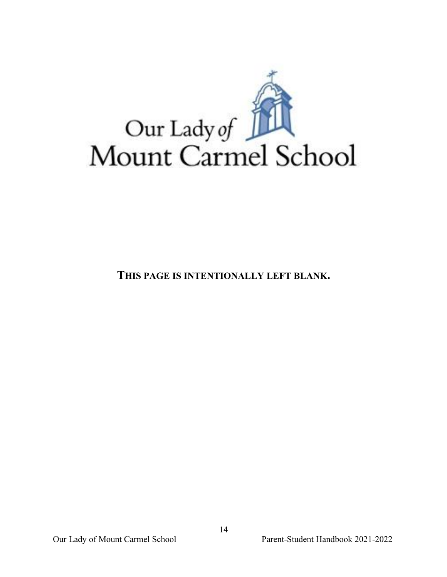

**THIS PAGE IS INTENTIONALLY LEFT BLANK.**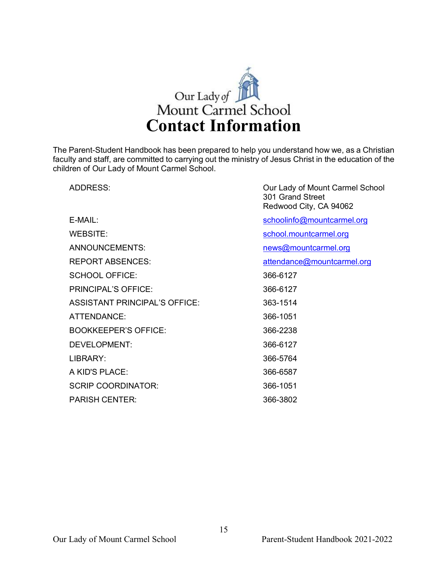

The Parent-Student Handbook has been prepared to help you understand how we, as a Christian faculty and staff, are committed to carrying out the ministry of Jesus Christ in the education of the children of Our Lady of Mount Carmel School.

| <b>ADDRESS:</b>                      | Our Lady of Mount Carmel School<br>301 Grand Street<br>Redwood City, CA 94062 |
|--------------------------------------|-------------------------------------------------------------------------------|
| $E-MAIL:$                            | schoolinfo@mountcarmel.org                                                    |
| WEBSITE:                             | school.mountcarmel.org                                                        |
| ANNOUNCEMENTS:                       | news@mountcarmel.org                                                          |
| <b>REPORT ABSENCES:</b>              | attendance@mountcarmel.org                                                    |
| <b>SCHOOL OFFICE:</b>                | 366-6127                                                                      |
| <b>PRINCIPAL'S OFFICE:</b>           | 366-6127                                                                      |
| <b>ASSISTANT PRINCIPAL'S OFFICE:</b> | 363-1514                                                                      |
| ATTENDANCE:                          | 366-1051                                                                      |
| <b>BOOKKEEPER'S OFFICE:</b>          | 366-2238                                                                      |
| <b>DEVELOPMENT:</b>                  | 366-6127                                                                      |
| LIBRARY:                             | 366-5764                                                                      |
| A KID'S PLACE:                       | 366-6587                                                                      |
| <b>SCRIP COORDINATOR:</b>            | 366-1051                                                                      |
| <b>PARISH CENTER:</b>                | 366-3802                                                                      |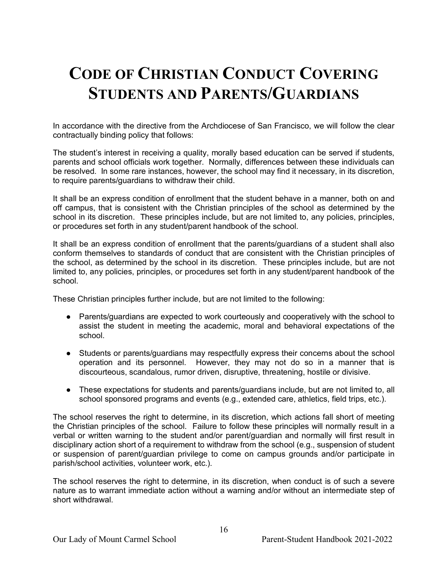# **CODE OF CHRISTIAN CONDUCT COVERING STUDENTS AND PARENTS/GUARDIANS**

In accordance with the directive from the Archdiocese of San Francisco, we will follow the clear contractually binding policy that follows:

The student's interest in receiving a quality, morally based education can be served if students, parents and school officials work together. Normally, differences between these individuals can be resolved. In some rare instances, however, the school may find it necessary, in its discretion, to require parents/guardians to withdraw their child.

It shall be an express condition of enrollment that the student behave in a manner, both on and off campus, that is consistent with the Christian principles of the school as determined by the school in its discretion. These principles include, but are not limited to, any policies, principles, or procedures set forth in any student/parent handbook of the school.

It shall be an express condition of enrollment that the parents/guardians of a student shall also conform themselves to standards of conduct that are consistent with the Christian principles of the school, as determined by the school in its discretion. These principles include, but are not limited to, any policies, principles, or procedures set forth in any student/parent handbook of the school.

These Christian principles further include, but are not limited to the following:

- Parents/guardians are expected to work courteously and cooperatively with the school to assist the student in meeting the academic, moral and behavioral expectations of the school.
- Students or parents/guardians may respectfully express their concerns about the school operation and its personnel. However, they may not do so in a manner that is discourteous, scandalous, rumor driven, disruptive, threatening, hostile or divisive.
- These expectations for students and parents/guardians include, but are not limited to, all school sponsored programs and events (e.g., extended care, athletics, field trips, etc.).

The school reserves the right to determine, in its discretion, which actions fall short of meeting the Christian principles of the school. Failure to follow these principles will normally result in a verbal or written warning to the student and/or parent/guardian and normally will first result in disciplinary action short of a requirement to withdraw from the school (e.g., suspension of student or suspension of parent/guardian privilege to come on campus grounds and/or participate in parish/school activities, volunteer work, etc.).

The school reserves the right to determine, in its discretion, when conduct is of such a severe nature as to warrant immediate action without a warning and/or without an intermediate step of short withdrawal.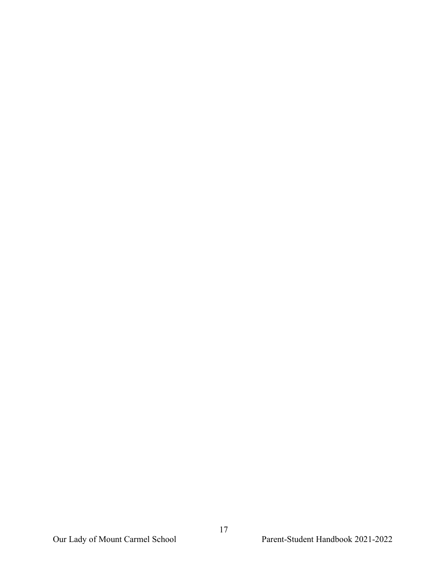Our Lady of Mount Carmel School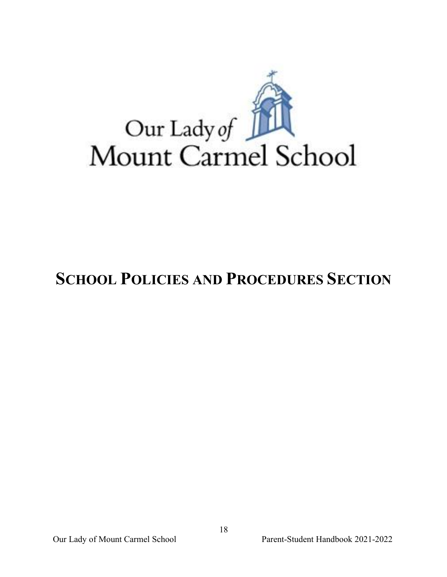

## **SCHOOL POLICIES AND PROCEDURES SECTION**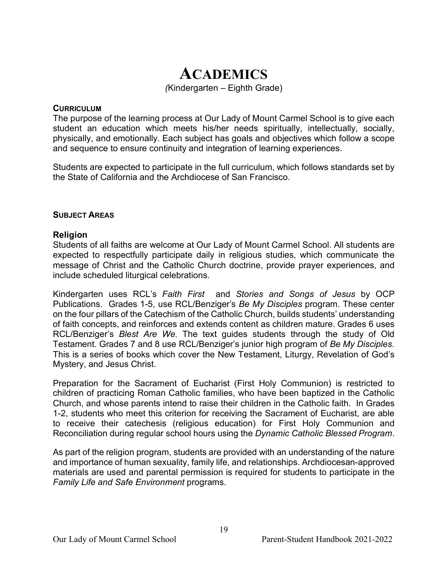## **ACADEMICS**

*(*Kindergarten – Eighth Grade)

#### **CURRICULUM**

The purpose of the learning process at Our Lady of Mount Carmel School is to give each student an education which meets his/her needs spiritually, intellectually, socially, physically, and emotionally. Each subject has goals and objectives which follow a scope and sequence to ensure continuity and integration of learning experiences.

Students are expected to participate in the full curriculum, which follows standards set by the State of California and the Archdiocese of San Francisco.

#### **SUBJECT AREAS**

#### **Religion**

Students of all faiths are welcome at Our Lady of Mount Carmel School. All students are expected to respectfully participate daily in religious studies, which communicate the message of Christ and the Catholic Church doctrine, provide prayer experiences, and include scheduled liturgical celebrations.

Kindergarten uses RCL's *Faith First* and *Stories and Songs of Jesus* by OCP Publications. Grades 1-5, use RCL/Benziger's *Be My Disciples* program. These center on the four pillars of the Catechism of the Catholic Church, builds students' understanding of faith concepts, and reinforces and extends content as children mature. Grades 6 uses RCL/Benziger's *Blest Are We.* The text guides students through the study of Old Testament. Grades 7 and 8 use RCL/Benziger's junior high program of *Be My Disciples.*  This is a series of books which cover the New Testament, Liturgy, Revelation of God's Mystery, and Jesus Christ.

Preparation for the Sacrament of Eucharist (First Holy Communion) is restricted to children of practicing Roman Catholic families, who have been baptized in the Catholic Church, and whose parents intend to raise their children in the Catholic faith. In Grades 1-2, students who meet this criterion for receiving the Sacrament of Eucharist, are able to receive their catechesis (religious education) for First Holy Communion and Reconciliation during regular school hours using the *Dynamic Catholic Blessed Program*.

As part of the religion program, students are provided with an understanding of the nature and importance of human sexuality, family life, and relationships. Archdiocesan-approved materials are used and parental permission is required for students to participate in the *Family Life and Safe Environment* programs.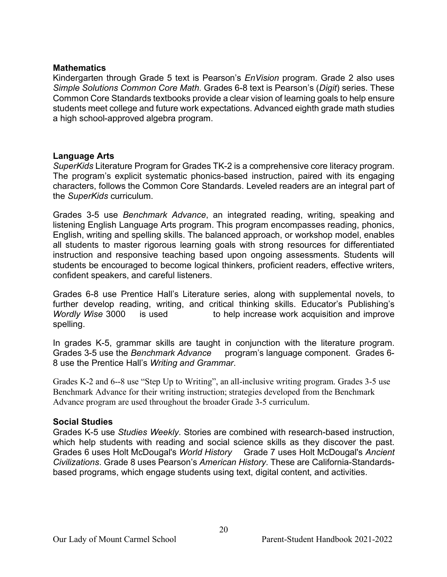#### **Mathematics**

Kindergarten through Grade 5 text is Pearson's *EnVision* program. Grade 2 also uses *Simple Solutions Common Core Math.* Grades 6-8 text is Pearson's (*Digit*) series. These Common Core Standards textbooks provide a clear vision of learning goals to help ensure students meet college and future work expectations. Advanced eighth grade math studies a high school-approved algebra program.

#### **Language Arts**

*SuperKids* Literature Program for Grades TK-2 is a comprehensive core literacy program. The program's explicit systematic phonics-based instruction, paired with its engaging characters, follows the Common Core Standards. Leveled readers are an integral part of the *SuperKids* curriculum.

Grades 3-5 use *Benchmark Advance*, an integrated reading, writing, speaking and listening English Language Arts program. This program encompasses reading, phonics, English, writing and spelling skills. The balanced approach, or workshop model, enables all students to master rigorous learning goals with strong resources for differentiated instruction and responsive teaching based upon ongoing assessments. Students will students be encouraged to become logical thinkers, proficient readers, effective writers, confident speakers, and careful listeners.

Grades 6-8 use Prentice Hall's Literature series, along with supplemental novels, to further develop reading, writing, and critical thinking skills. Educator's Publishing's *Wordly Wise* 3000 is used to help increase work acquisition and improve spelling.

In grades K-5, grammar skills are taught in conjunction with the literature program. Grades 3-5 use the *Benchmark Advance* program's language component. Grades 6- 8 use the Prentice Hall's *Writing and Grammar*.

Grades K-2 and 6--8 use "Step Up to Writing", an all-inclusive writing program. Grades 3-5 use Benchmark Advance for their writing instruction; strategies developed from the Benchmark Advance program are used throughout the broader Grade 3-5 curriculum.

#### **Social Studies**

Grades K-5 use *Studies Weekly*. Stories are combined with research-based instruction, which help students with reading and social science skills as they discover the past. Grades 6 uses Holt McDougal's *World History* Grade 7 uses Holt McDougal's *Ancient Civilizations*. Grade 8 uses Pearson's *American History*. These are California-Standardsbased programs, which engage students using text, digital content, and activities.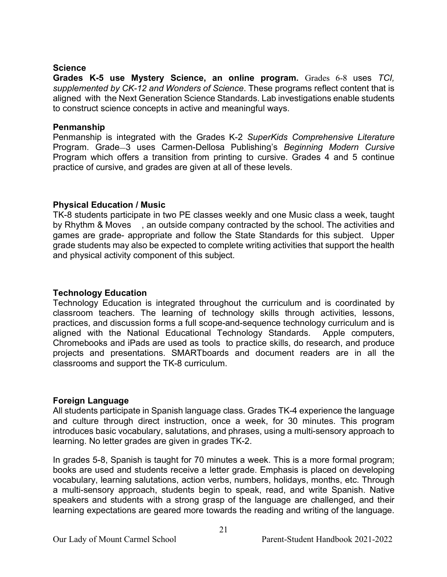#### **Science**

**Grades K-5 use Mystery Science, an online program.** Grades 6-8 uses *TCI, supplemented by CK-12 and Wonders of Science*. These programs reflect content that is aligned with the Next Generation Science Standards. Lab investigations enable students to construct science concepts in active and meaningful ways.

#### **Penmanship**

Penmanship is integrated with the Grades K-2 *SuperKids Comprehensive Literature* Program. Grade 3 uses Carmen-Dellosa Publishing's *Beginning Modern Cursive*  Program which offers a transition from printing to cursive. Grades 4 and 5 continue practice of cursive, and grades are given at all of these levels.

#### **Physical Education / Music**

TK-8 students participate in two PE classes weekly and one Music class a week, taught by Rhythm & Moves , an outside company contracted by the school. The activities and games are grade- appropriate and follow the State Standards for this subject. Upper grade students may also be expected to complete writing activities that support the health and physical activity component of this subject.

#### **Technology Education**

Technology Education is integrated throughout the curriculum and is coordinated by classroom teachers. The learning of technology skills through activities, lessons, practices, and discussion forms a full scope-and-sequence technology curriculum and is aligned with the National Educational Technology Standards. Apple computers, Chromebooks and iPads are used as tools to practice skills, do research, and produce projects and presentations. SMARTboards and document readers are in all the classrooms and support the TK-8 curriculum.

#### **Foreign Language**

All students participate in Spanish language class. Grades TK-4 experience the language and culture through direct instruction, once a week, for 30 minutes. This program introduces basic vocabulary, salutations, and phrases, using a multi-sensory approach to learning. No letter grades are given in grades TK-2.

In grades 5-8, Spanish is taught for 70 minutes a week. This is a more formal program; books are used and students receive a letter grade. Emphasis is placed on developing vocabulary, learning salutations, action verbs, numbers, holidays, months, etc. Through a multi-sensory approach, students begin to speak, read, and write Spanish. Native speakers and students with a strong grasp of the language are challenged, and their learning expectations are geared more towards the reading and writing of the language.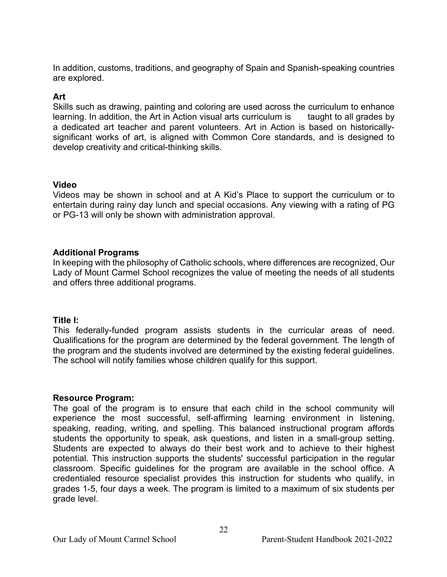In addition, customs, traditions, and geography of Spain and Spanish-speaking countries are explored.

#### **Art**

Skills such as drawing, painting and coloring are used across the curriculum to enhance learning. In addition, the Art in Action visual arts curriculum is taught to all grades by a dedicated art teacher and parent volunteers. Art in Action is based on historicallysignificant works of art, is aligned with Common Core standards, and is designed to develop creativity and critical-thinking skills.

#### **Video**

Videos may be shown in school and at A Kid's Place to support the curriculum or to entertain during rainy day lunch and special occasions. Any viewing with a rating of PG or PG-13 will only be shown with administration approval.

#### **Additional Programs**

In keeping with the philosophy of Catholic schools, where differences are recognized, Our Lady of Mount Carmel School recognizes the value of meeting the needs of all students and offers three additional programs.

#### **Title I:**

This federally-funded program assists students in the curricular areas of need. Qualifications for the program are determined by the federal government. The length of the program and the students involved are determined by the existing federal guidelines. The school will notify families whose children qualify for this support.

#### **Resource Program:**

The goal of the program is to ensure that each child in the school community will experience the most successful, self-affirming learning environment in listening, speaking, reading, writing, and spelling. This balanced instructional program affords students the opportunity to speak, ask questions, and listen in a small-group setting. Students are expected to always do their best work and to achieve to their highest potential. This instruction supports the students' successful participation in the regular classroom. Specific guidelines for the program are available in the school office. A credentialed resource specialist provides this instruction for students who qualify, in grades 1-5, four days a week. The program is limited to a maximum of six students per grade level.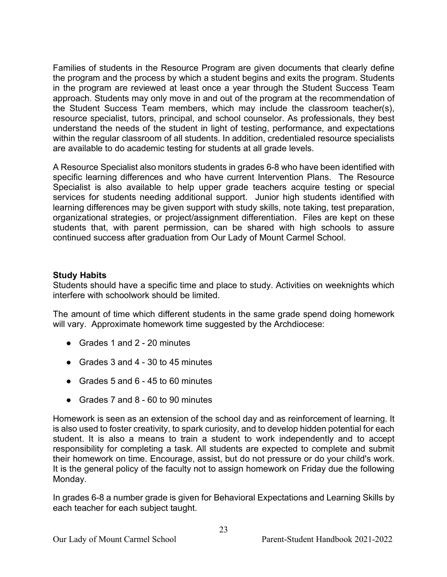Families of students in the Resource Program are given documents that clearly define the program and the process by which a student begins and exits the program. Students in the program are reviewed at least once a year through the Student Success Team approach. Students may only move in and out of the program at the recommendation of the Student Success Team members, which may include the classroom teacher(s), resource specialist, tutors, principal, and school counselor. As professionals, they best understand the needs of the student in light of testing, performance, and expectations within the regular classroom of all students. In addition, credentialed resource specialists are available to do academic testing for students at all grade levels.

A Resource Specialist also monitors students in grades 6-8 who have been identified with specific learning differences and who have current Intervention Plans. The Resource Specialist is also available to help upper grade teachers acquire testing or special services for students needing additional support. Junior high students identified with learning differences may be given support with study skills, note taking, test preparation, organizational strategies, or project/assignment differentiation. Files are kept on these students that, with parent permission, can be shared with high schools to assure continued success after graduation from Our Lady of Mount Carmel School.

#### **Study Habits**

Students should have a specific time and place to study. Activities on weeknights which interfere with schoolwork should be limited.

The amount of time which different students in the same grade spend doing homework will vary. Approximate homework time suggested by the Archdiocese:

- Grades 1 and 2 20 minutes
- Grades  $3$  and  $4 30$  to  $45$  minutes
- Grades 5 and 6 45 to 60 minutes
- Grades 7 and 8 60 to 90 minutes

Homework is seen as an extension of the school day and as reinforcement of learning. It is also used to foster creativity, to spark curiosity, and to develop hidden potential for each student. It is also a means to train a student to work independently and to accept responsibility for completing a task. All students are expected to complete and submit their homework on time. Encourage, assist, but do not pressure or do your child's work. It is the general policy of the faculty not to assign homework on Friday due the following Monday.

In grades 6-8 a number grade is given for Behavioral Expectations and Learning Skills by each teacher for each subject taught.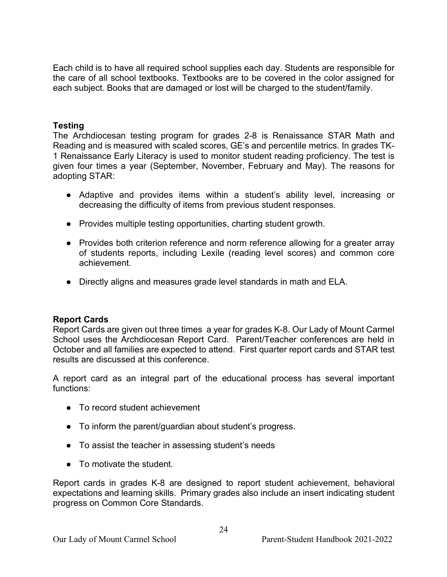Each child is to have all required school supplies each day. Students are responsible for the care of all school textbooks. Textbooks are to be covered in the color assigned for each subject. Books that are damaged or lost will be charged to the student/family.

#### **Testing**

The Archdiocesan testing program for grades 2-8 is Renaissance STAR Math and Reading and is measured with scaled scores, GE's and percentile metrics. In grades TK-1 Renaissance Early Literacy is used to monitor student reading proficiency. The test is given four times a year (September, November, February and May). The reasons for adopting STAR:

- Adaptive and provides items within a student's ability level, increasing or decreasing the difficulty of items from previous student responses.
- Provides multiple testing opportunities, charting student growth.
- Provides both criterion reference and norm reference allowing for a greater array of students reports, including Lexile (reading level scores) and common core achievement.
- Directly aligns and measures grade level standards in math and ELA.

#### **Report Cards**

Report Cards are given out three times a year for grades K-8. Our Lady of Mount Carmel School uses the Archdiocesan Report Card. Parent/Teacher conferences are held in October and all families are expected to attend. First quarter report cards and STAR test results are discussed at this conference.

A report card as an integral part of the educational process has several important functions:

- To record student achievement
- To inform the parent/guardian about student's progress.
- To assist the teacher in assessing student's needs
- To motivate the student

Report cards in grades K-8 are designed to report student achievement, behavioral expectations and learning skills. Primary grades also include an insert indicating student progress on Common Core Standards.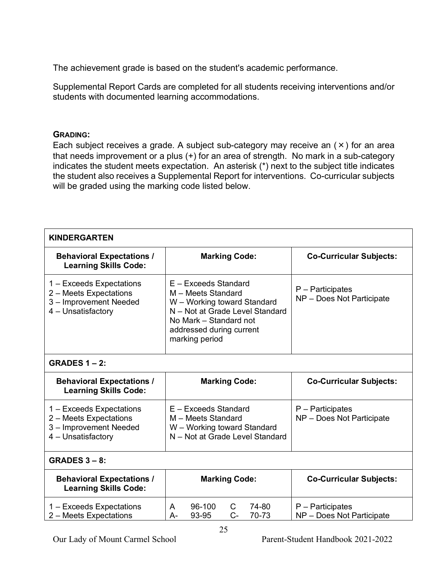The achievement grade is based on the student's academic performance.

Supplemental Report Cards are completed for all students receiving interventions and/or students with documented learning accommodations.

#### **GRADING:**

Each subject receives a grade. A subject sub-category may receive an  $(x)$  for an area that needs improvement or a plus (+) for an area of strength. No mark in a sub-category indicates the student meets expectation. An asterisk (\*) next to the subject title indicates the student also receives a Supplemental Report for interventions. Co-curricular subjects will be graded using the marking code listed below.

| <b>KINDERGARTEN</b>                                                                                |                                                                                                                                                                                        |                                                 |
|----------------------------------------------------------------------------------------------------|----------------------------------------------------------------------------------------------------------------------------------------------------------------------------------------|-------------------------------------------------|
| <b>Behavioral Expectations /</b><br><b>Learning Skills Code:</b>                                   | <b>Marking Code:</b>                                                                                                                                                                   | <b>Co-Curricular Subjects:</b>                  |
| 1 – Exceeds Expectations<br>2 - Meets Expectations<br>3 - Improvement Needed<br>4 - Unsatisfactory | $E - Exceeds Standard$<br>M – Meets Standard<br>W - Working toward Standard<br>N - Not at Grade Level Standard<br>No Mark - Standard not<br>addressed during current<br>marking period | $P -$ Participates<br>NP - Does Not Participate |

#### **GRADES 1 – 2:**

| <b>Behavioral Expectations /</b><br><b>Learning Skills Code:</b>                                   | <b>Marking Code:</b>                                                                                           | <b>Co-Curricular Subjects:</b>                  |
|----------------------------------------------------------------------------------------------------|----------------------------------------------------------------------------------------------------------------|-------------------------------------------------|
| 1 - Exceeds Expectations<br>2 - Meets Expectations<br>3 - Improvement Needed<br>4 - Unsatisfactory | $E - Exceeds Standard$<br>M - Meets Standard<br>W - Working toward Standard<br>N - Not at Grade Level Standard | $P -$ Participates<br>NP - Does Not Participate |

#### **GRADES 3 – 8:**

| <b>Behavioral Expectations /</b><br><b>Learning Skills Code:</b> |    | <b>Marking Code:</b> |        |       | <b>Co-Curricular Subjects:</b> |
|------------------------------------------------------------------|----|----------------------|--------|-------|--------------------------------|
| 1 - Exceeds Expectations                                         | A  | $96-100$             | C      | 74-80 | $ P -$ Participates            |
| 2 - Meets Expectations                                           | А- | 93-95                | $\cap$ | 70-73 | NP - Does Not Participate      |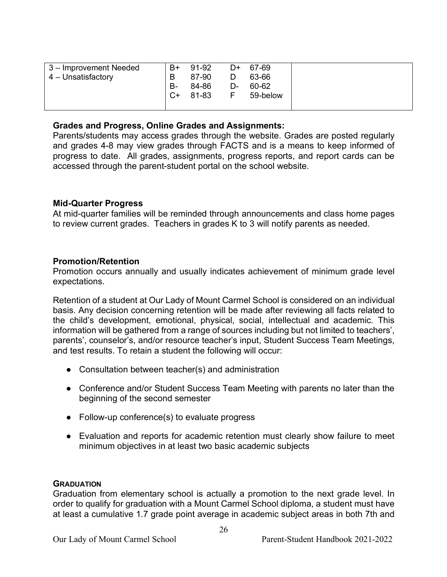| 3-Improvement Needed | $B+$      | 91-92 |    | $D+ 67-69$ |
|----------------------|-----------|-------|----|------------|
| $4 -$ Unsatisfactory | B         | 87-90 | D  | 63-66      |
|                      | <b>B-</b> | 84-86 | D- | 60-62      |
|                      | $C+$      | 81-83 |    | 59-below   |
|                      |           |       |    |            |

#### **Grades and Progress, Online Grades and Assignments:**

Parents/students may access grades through the website. Grades are posted regularly and grades 4-8 may view grades through FACTS and is a means to keep informed of progress to date. All grades, assignments, progress reports, and report cards can be accessed through the parent-student portal on the school website.

#### **Mid-Quarter Progress**

At mid-quarter families will be reminded through announcements and class home pages to review current grades. Teachers in grades K to 3 will notify parents as needed.

#### **Promotion/Retention**

Promotion occurs annually and usually indicates achievement of minimum grade level expectations.

Retention of a student at Our Lady of Mount Carmel School is considered on an individual basis. Any decision concerning retention will be made after reviewing all facts related to the child's development, emotional, physical, social, intellectual and academic. This information will be gathered from a range of sources including but not limited to teachers', parents', counselor's, and/or resource teacher's input, Student Success Team Meetings, and test results. To retain a student the following will occur:

- Consultation between teacher(s) and administration
- Conference and/or Student Success Team Meeting with parents no later than the beginning of the second semester
- Follow-up conference(s) to evaluate progress
- Evaluation and reports for academic retention must clearly show failure to meet minimum objectives in at least two basic academic subjects

#### **GRADUATION**

Graduation from elementary school is actually a promotion to the next grade level. In order to qualify for graduation with a Mount Carmel School diploma, a student must have at least a cumulative 1.7 grade point average in academic subject areas in both 7th and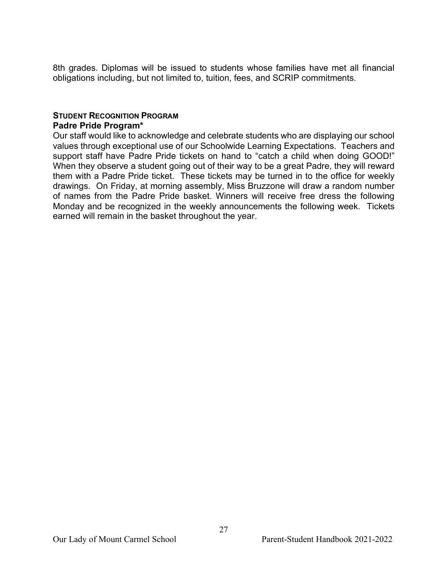8th grades. Diplomas will be issued to students whose families have met all financial obligations including, but not limited to, tuition, fees, and SCRIP commitments.

#### **STUDENT RECOGNITION PROGRAM Padre Pride Program\***

Our staff would like to acknowledge and celebrate students who are displaying our school values through exceptional use of our Schoolwide Learning Expectations. Teachers and support staff have Padre Pride tickets on hand to "catch a child when doing GOOD!" When they observe a student going out of their way to be a great Padre, they will reward them with a Padre Pride ticket. These tickets may be turned in to the office for weekly drawings. On Friday, at morning assembly, Miss Bruzzone will draw a random number of names from the Padre Pride basket. Winners will receive free dress the following Monday and be recognized in the weekly announcements the following week. Tickets earned will remain in the basket throughout the year.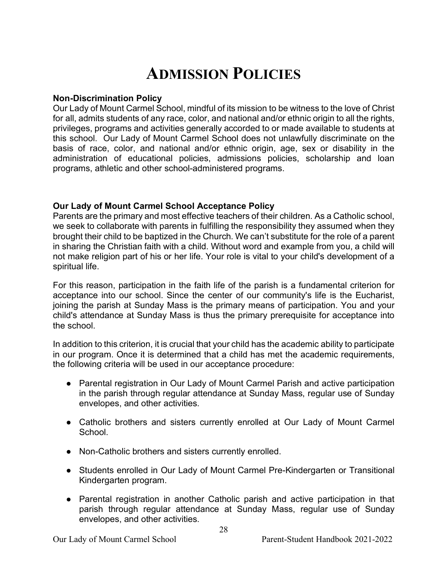# **ADMISSION POLICIES**

#### **Non-Discrimination Policy**

Our Lady of Mount Carmel School, mindful of its mission to be witness to the love of Christ for all, admits students of any race, color, and national and/or ethnic origin to all the rights, privileges, programs and activities generally accorded to or made available to students at this school. Our Lady of Mount Carmel School does not unlawfully discriminate on the basis of race, color, and national and/or ethnic origin, age, sex or disability in the administration of educational policies, admissions policies, scholarship and loan programs, athletic and other school-administered programs.

#### **Our Lady of Mount Carmel School Acceptance Policy**

Parents are the primary and most effective teachers of their children. As a Catholic school, we seek to collaborate with parents in fulfilling the responsibility they assumed when they brought their child to be baptized in the Church. We can't substitute for the role of a parent in sharing the Christian faith with a child. Without word and example from you, a child will not make religion part of his or her life. Your role is vital to your child's development of a spiritual life.

For this reason, participation in the faith life of the parish is a fundamental criterion for acceptance into our school. Since the center of our community's life is the Eucharist, joining the parish at Sunday Mass is the primary means of participation. You and your child's attendance at Sunday Mass is thus the primary prerequisite for acceptance into the school.

In addition to this criterion, it is crucial that your child has the academic ability to participate in our program. Once it is determined that a child has met the academic requirements, the following criteria will be used in our acceptance procedure:

- Parental registration in Our Lady of Mount Carmel Parish and active participation in the parish through regular attendance at Sunday Mass, regular use of Sunday envelopes, and other activities.
- Catholic brothers and sisters currently enrolled at Our Lady of Mount Carmel School.
- Non-Catholic brothers and sisters currently enrolled.
- Students enrolled in Our Lady of Mount Carmel Pre-Kindergarten or Transitional Kindergarten program.
- Parental registration in another Catholic parish and active participation in that parish through regular attendance at Sunday Mass, regular use of Sunday envelopes, and other activities.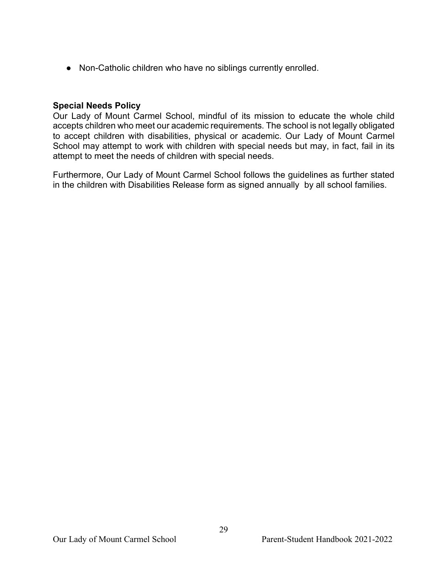● Non-Catholic children who have no siblings currently enrolled.

#### **Special Needs Policy**

Our Lady of Mount Carmel School, mindful of its mission to educate the whole child accepts children who meet our academic requirements. The school is not legally obligated to accept children with disabilities, physical or academic. Our Lady of Mount Carmel School may attempt to work with children with special needs but may, in fact, fail in its attempt to meet the needs of children with special needs.

Furthermore, Our Lady of Mount Carmel School follows the guidelines as further stated in the children with Disabilities Release form as signed annually by all school families.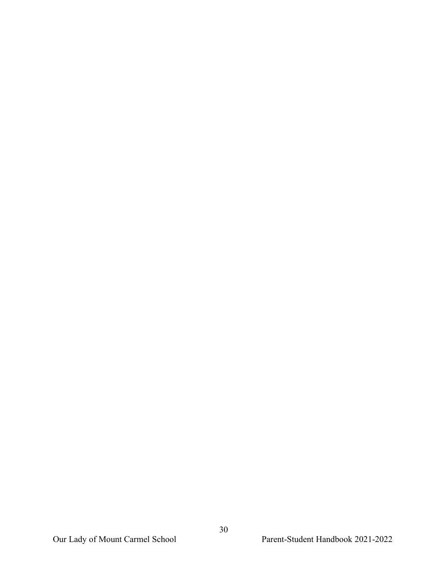Our Lady of Mount Carmel School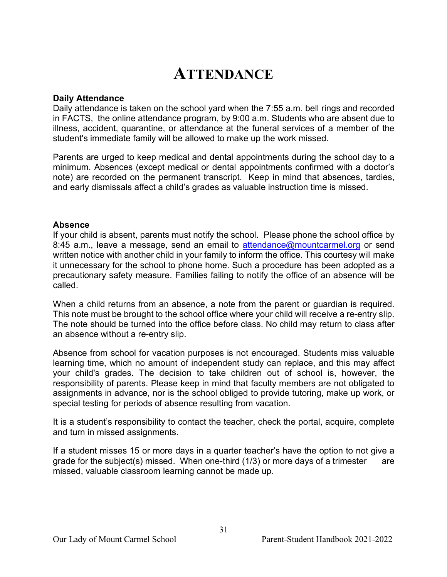# **ATTENDANCE**

#### **Daily Attendance**

Daily attendance is taken on the school yard when the 7:55 a.m. bell rings and recorded in FACTS, the online attendance program, by 9:00 a.m. Students who are absent due to illness, accident, quarantine, or attendance at the funeral services of a member of the student's immediate family will be allowed to make up the work missed.

Parents are urged to keep medical and dental appointments during the school day to a minimum. Absences (except medical or dental appointments confirmed with a doctor's note) are recorded on the permanent transcript. Keep in mind that absences, tardies, and early dismissals affect a child's grades as valuable instruction time is missed.

#### **Absence**

If your child is absent, parents must notify the school. Please phone the school office by 8:45 a.m., leave a message, send an email to attendance@mountcarmel.org or send written notice with another child in your family to inform the office. This courtesy will make it unnecessary for the school to phone home. Such a procedure has been adopted as a precautionary safety measure. Families failing to notify the office of an absence will be called.

When a child returns from an absence, a note from the parent or guardian is required. This note must be brought to the school office where your child will receive a re-entry slip. The note should be turned into the office before class. No child may return to class after an absence without a re-entry slip.

Absence from school for vacation purposes is not encouraged. Students miss valuable learning time, which no amount of independent study can replace, and this may affect your child's grades. The decision to take children out of school is, however, the responsibility of parents. Please keep in mind that faculty members are not obligated to assignments in advance, nor is the school obliged to provide tutoring, make up work, or special testing for periods of absence resulting from vacation.

It is a student's responsibility to contact the teacher, check the portal, acquire, complete and turn in missed assignments.

If a student misses 15 or more days in a quarter teacher's have the option to not give a grade for the subject(s) missed. When one-third (1/3) or more days of a trimester are missed, valuable classroom learning cannot be made up.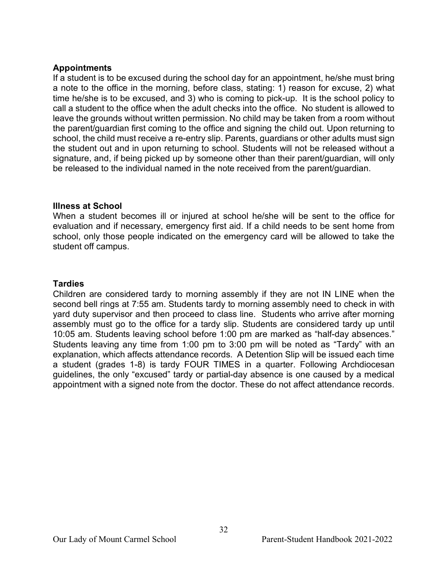#### **Appointments**

If a student is to be excused during the school day for an appointment, he/she must bring a note to the office in the morning, before class, stating: 1) reason for excuse, 2) what time he/she is to be excused, and 3) who is coming to pick-up. It is the school policy to call a student to the office when the adult checks into the office. No student is allowed to leave the grounds without written permission. No child may be taken from a room without the parent/guardian first coming to the office and signing the child out. Upon returning to school, the child must receive a re-entry slip. Parents, guardians or other adults must sign the student out and in upon returning to school. Students will not be released without a signature, and, if being picked up by someone other than their parent/guardian, will only be released to the individual named in the note received from the parent/guardian.

#### **Illness at School**

When a student becomes ill or injured at school he/she will be sent to the office for evaluation and if necessary, emergency first aid. If a child needs to be sent home from school, only those people indicated on the emergency card will be allowed to take the student off campus.

#### **Tardies**

Children are considered tardy to morning assembly if they are not IN LINE when the second bell rings at 7:55 am. Students tardy to morning assembly need to check in with yard duty supervisor and then proceed to class line. Students who arrive after morning assembly must go to the office for a tardy slip. Students are considered tardy up until 10:05 am. Students leaving school before 1:00 pm are marked as "half-day absences." Students leaving any time from 1:00 pm to 3:00 pm will be noted as "Tardy" with an explanation, which affects attendance records. A Detention Slip will be issued each time a student (grades 1-8) is tardy FOUR TIMES in a quarter. Following Archdiocesan guidelines, the only "excused" tardy or partial-day absence is one caused by a medical appointment with a signed note from the doctor. These do not affect attendance records.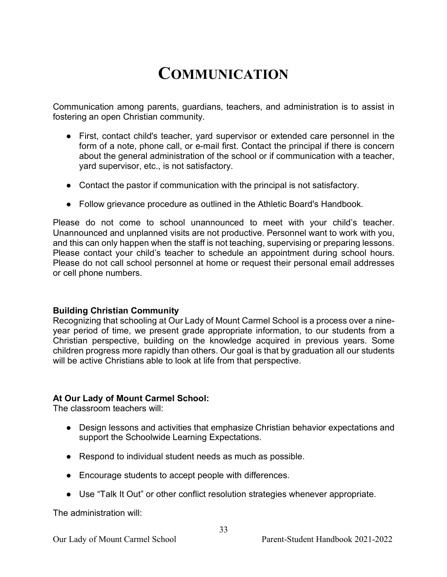# **COMMUNICATION**

Communication among parents, guardians, teachers, and administration is to assist in fostering an open Christian community.

- First, contact child's teacher, yard supervisor or extended care personnel in the form of a note, phone call, or e-mail first. Contact the principal if there is concern about the general administration of the school or if communication with a teacher, yard supervisor, etc., is not satisfactory.
- Contact the pastor if communication with the principal is not satisfactory.
- Follow grievance procedure as outlined in the Athletic Board's Handbook.

Please do not come to school unannounced to meet with your child's teacher. Unannounced and unplanned visits are not productive. Personnel want to work with you, and this can only happen when the staff is not teaching, supervising or preparing lessons. Please contact your child's teacher to schedule an appointment during school hours. Please do not call school personnel at home or request their personal email addresses or cell phone numbers.

#### **Building Christian Community**

Recognizing that schooling at Our Lady of Mount Carmel School is a process over a nineyear period of time, we present grade appropriate information, to our students from a Christian perspective, building on the knowledge acquired in previous years. Some children progress more rapidly than others. Our goal is that by graduation all our students will be active Christians able to look at life from that perspective.

#### **At Our Lady of Mount Carmel School:**

The classroom teachers will:

- Design lessons and activities that emphasize Christian behavior expectations and support the Schoolwide Learning Expectations.
- Respond to individual student needs as much as possible.
- Encourage students to accept people with differences.
- Use "Talk It Out" or other conflict resolution strategies whenever appropriate.

The administration will: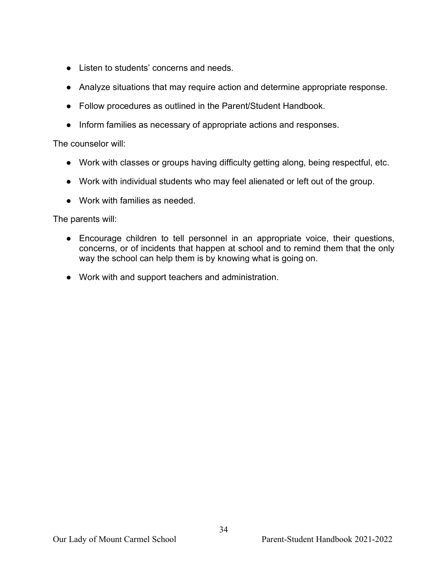- Listen to students' concerns and needs.
- Analyze situations that may require action and determine appropriate response.
- Follow procedures as outlined in the Parent/Student Handbook.
- Inform families as necessary of appropriate actions and responses.

The counselor will:

- Work with classes or groups having difficulty getting along, being respectful, etc.
- Work with individual students who may feel alienated or left out of the group.
- Work with families as needed.

The parents will:

- Encourage children to tell personnel in an appropriate voice, their questions, concerns, or of incidents that happen at school and to remind them that the only way the school can help them is by knowing what is going on.
- Work with and support teachers and administration.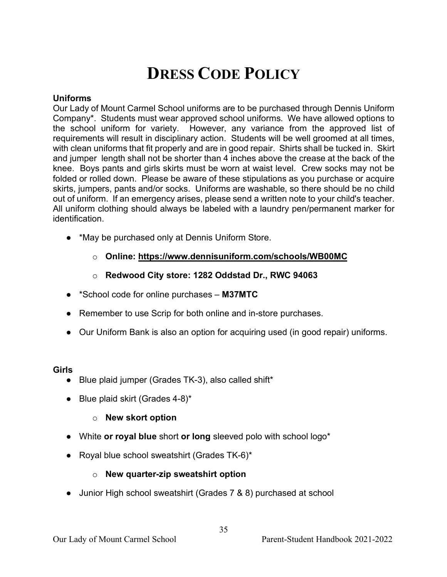# **DRESS CODE POLICY**

#### **Uniforms**

Our Lady of Mount Carmel School uniforms are to be purchased through Dennis Uniform Company\*. Students must wear approved school uniforms. We have allowed options to the school uniform for variety. However, any variance from the approved list of requirements will result in disciplinary action. Students will be well groomed at all times, with clean uniforms that fit properly and are in good repair. Shirts shall be tucked in. Skirt and jumper length shall not be shorter than 4 inches above the crease at the back of the knee. Boys pants and girls skirts must be worn at waist level. Crew socks may not be folded or rolled down. Please be aware of these stipulations as you purchase or acquire skirts, jumpers, pants and/or socks. Uniforms are washable, so there should be no child out of uniform. If an emergency arises, please send a written note to your child's teacher. All uniform clothing should always be labeled with a laundry pen/permanent marker for identification.

- \*May be purchased only at Dennis Uniform Store.
	- o **Online: https://www.dennisuniform.com/schools/WB00MC**
	- o **Redwood City store: 1282 Oddstad Dr., RWC 94063**
- \*School code for online purchases **M37MTC**
- Remember to use Scrip for both online and in-store purchases.
- Our Uniform Bank is also an option for acquiring used (in good repair) uniforms.

#### **Girls**

- Blue plaid jumper (Grades TK-3), also called shift\*
- $\bullet$  Blue plaid skirt (Grades 4-8)\*
	- o **New skort option**
- White **or royal blue** short **or long** sleeved polo with school logo\*
- Royal blue school sweatshirt (Grades TK-6)\*

#### o **New quarter-zip sweatshirt option**

● Junior High school sweatshirt (Grades 7 & 8) purchased at school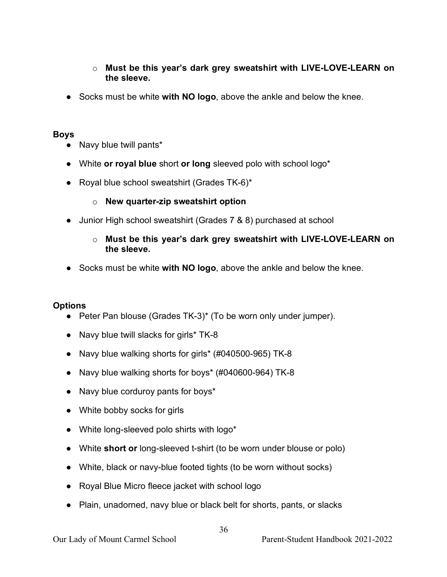- o **Must be this year's dark grey sweatshirt with LIVE-LOVE-LEARN on the sleeve.**
- Socks must be white **with NO logo**, above the ankle and below the knee.

#### **Boys**

- Navy blue twill pants\*
- White **or royal blue** short **or long** sleeved polo with school logo\*
- Royal blue school sweatshirt (Grades TK-6)\*
	- o **New quarter-zip sweatshirt option**
- Junior High school sweatshirt (Grades 7 & 8) purchased at school

#### o **Must be this year's dark grey sweatshirt with LIVE-LOVE-LEARN on the sleeve.**

● Socks must be white **with NO logo**, above the ankle and below the knee.

#### **Options**

- Peter Pan blouse (Grades TK-3)\* (To be worn only under jumper).
- Navy blue twill slacks for girls\* TK-8
- Navy blue walking shorts for girls\* (#040500-965) TK-8
- Navy blue walking shorts for boys\* (#040600-964) TK-8
- Navy blue corduroy pants for boys\*
- White bobby socks for girls
- White long-sleeved polo shirts with logo\*
- White **short or** long-sleeved t-shirt (to be worn under blouse or polo)
- White, black or navy-blue footed tights (to be worn without socks)
- Royal Blue Micro fleece jacket with school logo
- Plain, unadorned, navy blue or black belt for shorts, pants, or slacks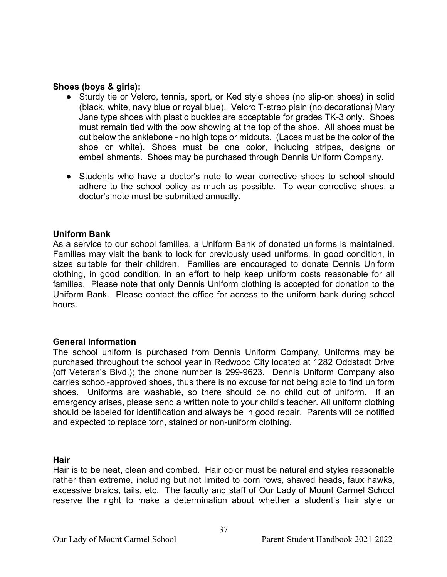## **Shoes (boys & girls):**

- Sturdy tie or Velcro, tennis, sport, or Ked style shoes (no slip-on shoes) in solid (black, white, navy blue or royal blue). Velcro T-strap plain (no decorations) Mary Jane type shoes with plastic buckles are acceptable for grades TK-3 only. Shoes must remain tied with the bow showing at the top of the shoe. All shoes must be cut below the anklebone - no high tops or midcuts. (Laces must be the color of the shoe or white). Shoes must be one color, including stripes, designs or embellishments. Shoes may be purchased through Dennis Uniform Company.
- Students who have a doctor's note to wear corrective shoes to school should adhere to the school policy as much as possible. To wear corrective shoes, a doctor's note must be submitted annually.

#### **Uniform Bank**

As a service to our school families, a Uniform Bank of donated uniforms is maintained. Families may visit the bank to look for previously used uniforms, in good condition, in sizes suitable for their children. Families are encouraged to donate Dennis Uniform clothing, in good condition, in an effort to help keep uniform costs reasonable for all families. Please note that only Dennis Uniform clothing is accepted for donation to the Uniform Bank. Please contact the office for access to the uniform bank during school hours.

#### **General Information**

The school uniform is purchased from Dennis Uniform Company. Uniforms may be purchased throughout the school year in Redwood City located at 1282 Oddstadt Drive (off Veteran's Blvd.); the phone number is 299-9623. Dennis Uniform Company also carries school-approved shoes, thus there is no excuse for not being able to find uniform shoes. Uniforms are washable, so there should be no child out of uniform. If an emergency arises, please send a written note to your child's teacher. All uniform clothing should be labeled for identification and always be in good repair. Parents will be notified and expected to replace torn, stained or non-uniform clothing.

#### **Hair**

Hair is to be neat, clean and combed. Hair color must be natural and styles reasonable rather than extreme, including but not limited to corn rows, shaved heads, faux hawks, excessive braids, tails, etc. The faculty and staff of Our Lady of Mount Carmel School reserve the right to make a determination about whether a student's hair style or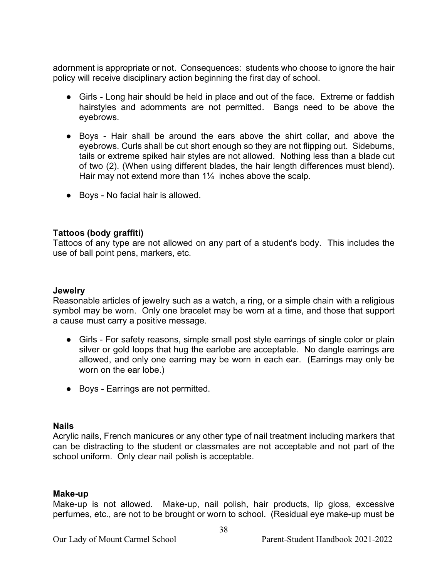adornment is appropriate or not. Consequences: students who choose to ignore the hair policy will receive disciplinary action beginning the first day of school.

- Girls Long hair should be held in place and out of the face. Extreme or faddish hairstyles and adornments are not permitted. Bangs need to be above the eyebrows.
- Boys Hair shall be around the ears above the shirt collar, and above the eyebrows. Curls shall be cut short enough so they are not flipping out. Sideburns, tails or extreme spiked hair styles are not allowed. Nothing less than a blade cut of two (2). (When using different blades, the hair length differences must blend). Hair may not extend more than  $1\frac{1}{4}$  inches above the scalp.
- Boys No facial hair is allowed.

#### **Tattoos (body graffiti)**

Tattoos of any type are not allowed on any part of a student's body. This includes the use of ball point pens, markers, etc.

#### **Jewelry**

Reasonable articles of jewelry such as a watch, a ring, or a simple chain with a religious symbol may be worn. Only one bracelet may be worn at a time, and those that support a cause must carry a positive message.

- Girls For safety reasons, simple small post style earrings of single color or plain silver or gold loops that hug the earlobe are acceptable. No dangle earrings are allowed, and only one earring may be worn in each ear. (Earrings may only be worn on the ear lobe.)
- Boys Earrings are not permitted.

#### **Nails**

Acrylic nails, French manicures or any other type of nail treatment including markers that can be distracting to the student or classmates are not acceptable and not part of the school uniform. Only clear nail polish is acceptable.

#### **Make-up**

Make-up is not allowed. Make-up, nail polish, hair products, lip gloss, excessive perfumes, etc., are not to be brought or worn to school. (Residual eye make-up must be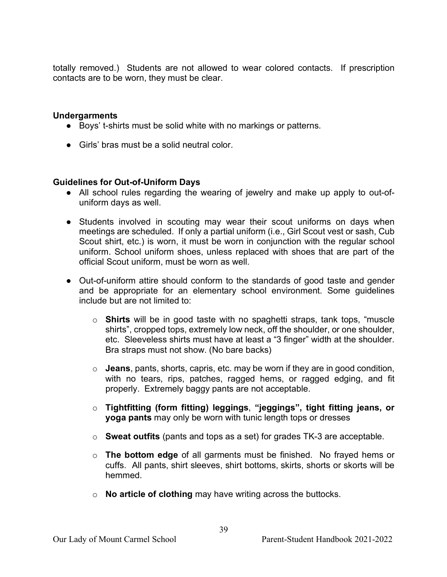totally removed.) Students are not allowed to wear colored contacts. If prescription contacts are to be worn, they must be clear.

#### **Undergarments**

- Boys' t-shirts must be solid white with no markings or patterns.
- Girls' bras must be a solid neutral color.

#### **Guidelines for Out-of-Uniform Days**

- All school rules regarding the wearing of jewelry and make up apply to out-ofuniform days as well.
- Students involved in scouting may wear their scout uniforms on days when meetings are scheduled. If only a partial uniform (i.e., Girl Scout vest or sash, Cub Scout shirt, etc.) is worn, it must be worn in conjunction with the regular school uniform. School uniform shoes, unless replaced with shoes that are part of the official Scout uniform, must be worn as well.
- Out-of-uniform attire should conform to the standards of good taste and gender and be appropriate for an elementary school environment. Some guidelines include but are not limited to:
	- o **Shirts** will be in good taste with no spaghetti straps, tank tops, "muscle shirts", cropped tops, extremely low neck, off the shoulder, or one shoulder, etc. Sleeveless shirts must have at least a "3 finger" width at the shoulder. Bra straps must not show. (No bare backs)
	- o **Jeans**, pants, shorts, capris, etc. may be worn if they are in good condition, with no tears, rips, patches, ragged hems, or ragged edging, and fit properly. Extremely baggy pants are not acceptable.
	- o **Tightfitting (form fitting) leggings**, **"jeggings", tight fitting jeans, or yoga pants** may only be worn with tunic length tops or dresses
	- o **Sweat outfits** (pants and tops as a set) for grades TK-3 are acceptable.
	- o **The bottom edge** of all garments must be finished. No frayed hems or cuffs. All pants, shirt sleeves, shirt bottoms, skirts, shorts or skorts will be hemmed.
	- o **No article of clothing** may have writing across the buttocks.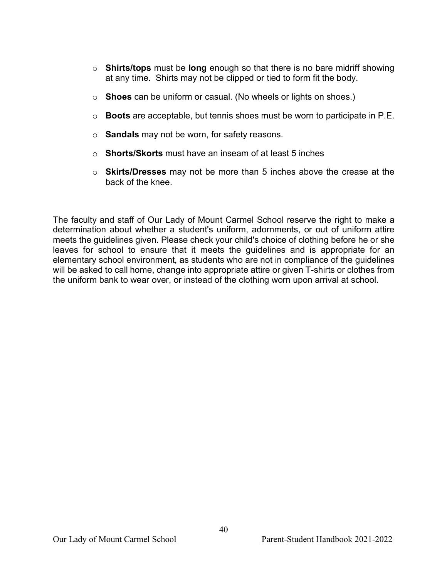- o **Shirts/tops** must be **long** enough so that there is no bare midriff showing at any time. Shirts may not be clipped or tied to form fit the body.
- o **Shoes** can be uniform or casual. (No wheels or lights on shoes.)
- o **Boots** are acceptable, but tennis shoes must be worn to participate in P.E.
- o **Sandals** may not be worn, for safety reasons.
- o **Shorts/Skorts** must have an inseam of at least 5 inches
- o **Skirts/Dresses** may not be more than 5 inches above the crease at the back of the knee.

The faculty and staff of Our Lady of Mount Carmel School reserve the right to make a determination about whether a student's uniform, adornments, or out of uniform attire meets the guidelines given. Please check your child's choice of clothing before he or she leaves for school to ensure that it meets the guidelines and is appropriate for an elementary school environment, as students who are not in compliance of the guidelines will be asked to call home, change into appropriate attire or given T-shirts or clothes from the uniform bank to wear over, or instead of the clothing worn upon arrival at school.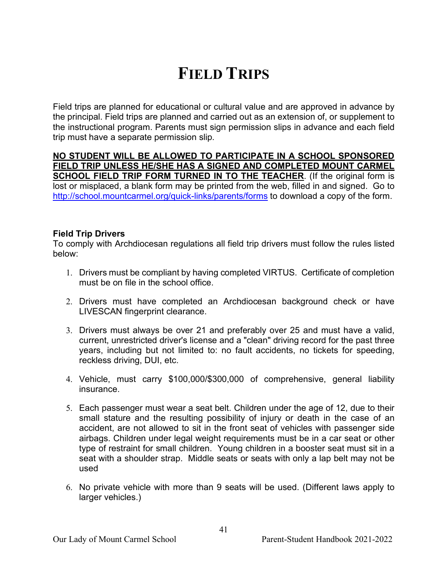# **FIELD TRIPS**

Field trips are planned for educational or cultural value and are approved in advance by the principal. Field trips are planned and carried out as an extension of, or supplement to the instructional program. Parents must sign permission slips in advance and each field trip must have a separate permission slip.

**NO STUDENT WILL BE ALLOWED TO PARTICIPATE IN A SCHOOL SPONSORED FIELD TRIP UNLESS HE/SHE HAS A SIGNED AND COMPLETED MOUNT CARMEL SCHOOL FIELD TRIP FORM TURNED IN TO THE TEACHER.** (If the original form is lost or misplaced, a blank form may be printed from the web, filled in and signed. Go to http://school.mountcarmel.org/quick-links/parents/forms to download a copy of the form.

## **Field Trip Drivers**

To comply with Archdiocesan regulations all field trip drivers must follow the rules listed below:

- 1. Drivers must be compliant by having completed VIRTUS. Certificate of completion must be on file in the school office.
- 2. Drivers must have completed an Archdiocesan background check or have LIVESCAN fingerprint clearance.
- 3. Drivers must always be over 21 and preferably over 25 and must have a valid, current, unrestricted driver's license and a "clean" driving record for the past three years, including but not limited to: no fault accidents, no tickets for speeding, reckless driving, DUI, etc.
- 4. Vehicle, must carry \$100,000/\$300,000 of comprehensive, general liability insurance.
- 5. Each passenger must wear a seat belt. Children under the age of 12, due to their small stature and the resulting possibility of injury or death in the case of an accident, are not allowed to sit in the front seat of vehicles with passenger side airbags. Children under legal weight requirements must be in a car seat or other type of restraint for small children. Young children in a booster seat must sit in a seat with a shoulder strap. Middle seats or seats with only a lap belt may not be used
- 6. No private vehicle with more than 9 seats will be used. (Different laws apply to larger vehicles.)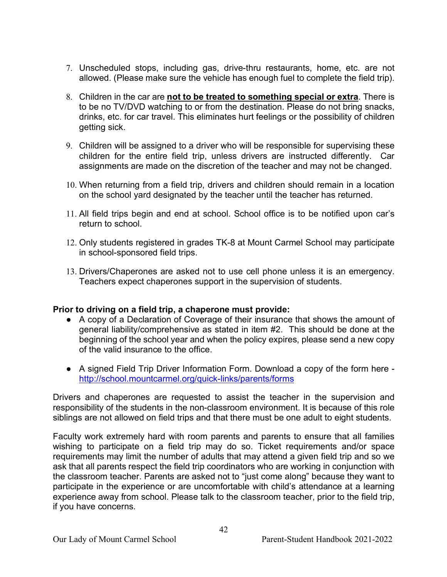- 7. Unscheduled stops, including gas, drive-thru restaurants, home, etc. are not allowed. (Please make sure the vehicle has enough fuel to complete the field trip).
- 8. Children in the car are **not to be treated to something special or extra**. There is to be no TV/DVD watching to or from the destination. Please do not bring snacks, drinks, etc. for car travel. This eliminates hurt feelings or the possibility of children getting sick.
- 9. Children will be assigned to a driver who will be responsible for supervising these children for the entire field trip, unless drivers are instructed differently. Car assignments are made on the discretion of the teacher and may not be changed.
- 10. When returning from a field trip, drivers and children should remain in a location on the school yard designated by the teacher until the teacher has returned.
- 11. All field trips begin and end at school. School office is to be notified upon car's return to school.
- 12. Only students registered in grades TK-8 at Mount Carmel School may participate in school-sponsored field trips.
- 13. Drivers/Chaperones are asked not to use cell phone unless it is an emergency. Teachers expect chaperones support in the supervision of students.

## **Prior to driving on a field trip, a chaperone must provide:**

- A copy of a Declaration of Coverage of their insurance that shows the amount of general liability/comprehensive as stated in item #2. This should be done at the beginning of the school year and when the policy expires, please send a new copy of the valid insurance to the office.
- A signed Field Trip Driver Information Form. Download a copy of the form here http://school.mountcarmel.org/quick-links/parents/forms

Drivers and chaperones are requested to assist the teacher in the supervision and responsibility of the students in the non-classroom environment. It is because of this role siblings are not allowed on field trips and that there must be one adult to eight students.

Faculty work extremely hard with room parents and parents to ensure that all families wishing to participate on a field trip may do so. Ticket requirements and/or space requirements may limit the number of adults that may attend a given field trip and so we ask that all parents respect the field trip coordinators who are working in conjunction with the classroom teacher. Parents are asked not to "just come along" because they want to participate in the experience or are uncomfortable with child's attendance at a learning experience away from school. Please talk to the classroom teacher, prior to the field trip, if you have concerns.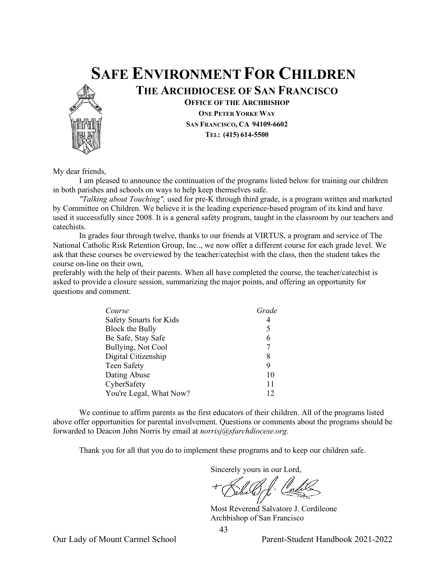

My dear friends,

I am pleased to announce the continuation of the programs listed below for training our children in both parishes and schools on ways to help keep themselves safe.

*"Talking about Touching",* used for pre-K through third grade, is a program written and marketed by Committee on Children. We believe it is the leading experience-based program of its kind and have used it successfully since 2008. It is a general safety program, taught in the classroom by our teachers and catechists.

In grades four through twelve, thanks to our friends at VIRTUS, a program and service of The National Catholic Risk Retention Group, Inc.., we now offer a different course for each grade level. We ask that these courses be overviewed by the teacher/catechist with the class, then the student takes the course on-line on their own,

preferably with the help of their parents. When all have completed the course, the teacher/catechist is asked to provide a closure session, summarizing the major points, and offering an opportunity for questions and comment.

| Course                  | Grade |
|-------------------------|-------|
| Safety Smarts for Kids  | 4     |
| <b>Block the Bully</b>  | 5     |
| Be Safe, Stay Safe      | 6     |
| Bullying, Not Cool      | 7     |
| Digital Citizenship     | 8     |
| <b>Teen Safety</b>      | 9     |
| Dating Abuse            | 10    |
| CyberSafety             | 11    |
| You're Legal, What Now? | 12    |

We continue to affirm parents as the first educators of their children. All of the programs listed above offer opportunities for parental involvement. Questions or comments about the programs should be forwarded to Deacon John Norris by email at *norrisj@sfarchdiocese.org.*

Thank you for all that you do to implement these programs and to keep our children safe.

Sincerely yours in our Lord,

rhaO/t

Most Reverend Salvatore J. Cordileone Archbishop of San Francisco

Our Lady of Mount Carmel School Parent-Student Handbook 2021-2022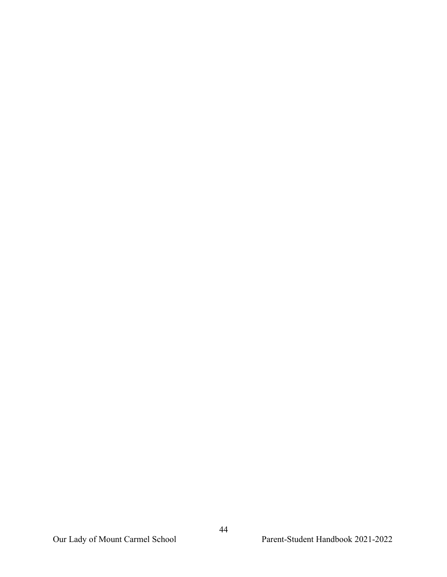Our Lady of Mount Carmel School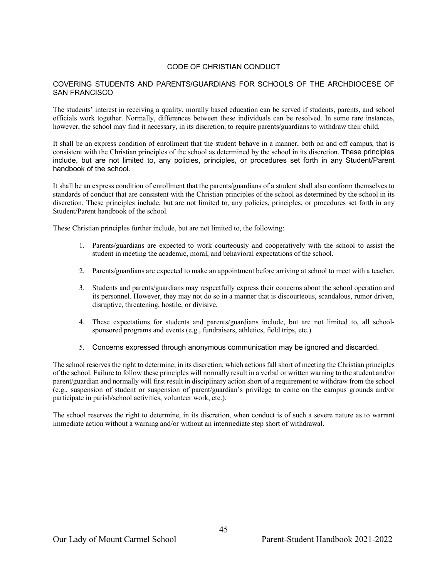#### CODE OF CHRISTIAN CONDUCT

#### COVERING STUDENTS AND PARENTS/GUARDIANS FOR SCHOOLS OF THE ARCHDIOCESE OF SAN FRANCISCO

The students' interest in receiving a quality, morally based education can be served if students, parents, and school officials work together. Normally, differences between these individuals can be resolved. In some rare instances, however, the school may find it necessary, in its discretion, to require parents/guardians to withdraw their child.

It shall be an express condition of enrollment that the student behave in a manner, both on and off campus, that is consistent with the Christian principles of the school as determined by the school in its discretion. These principles include, but are not limited to, any policies, principles, or procedures set forth in any Student/Parent handbook of the school.

It shall be an express condition of enrollment that the parents/guardians of a student shall also conform themselves to standards of conduct that are consistent with the Christian principles of the school as determined by the school in its discretion. These principles include, but are not limited to, any policies, principles, or procedures set forth in any Student/Parent handbook of the school.

These Christian principles further include, but are not limited to, the following:

- 1. Parents/guardians are expected to work courteously and cooperatively with the school to assist the student in meeting the academic, moral, and behavioral expectations of the school.
- 2. Parents/guardians are expected to make an appointment before arriving at school to meet with a teacher.
- 3. Students and parents/guardians may respectfully express their concerns about the school operation and its personnel. However, they may not do so in a manner that is discourteous, scandalous, rumor driven, disruptive, threatening, hostile, or divisive.
- 4. These expectations for students and parents/guardians include, but are not limited to, all schoolsponsored programs and events (e.g., fundraisers, athletics, field trips, etc.)
- 5. Concerns expressed through anonymous communication may be ignored and discarded.

The school reserves the right to determine, in its discretion, which actions fall short of meeting the Christian principles of the school. Failure to follow these principles will normally result in a verbal or written warning to the student and/or parent/guardian and normally will first result in disciplinary action short of a requirement to withdraw from the school (e.g., suspension of student or suspension of parent/guardian's privilege to come on the campus grounds and/or participate in parish/school activities, volunteer work, etc.).

The school reserves the right to determine, in its discretion, when conduct is of such a severe nature as to warrant immediate action without a warning and/or without an intermediate step short of withdrawal.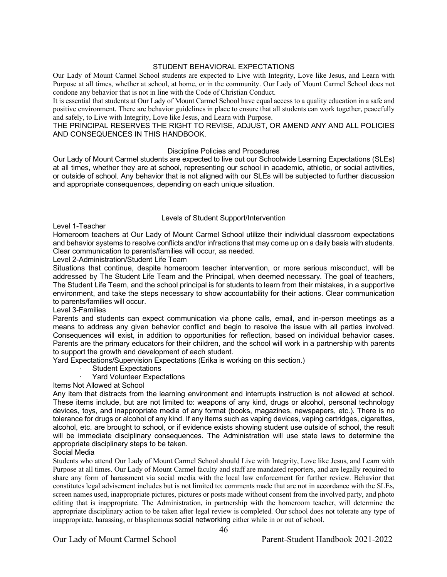#### STUDENT BEHAVIORAL EXPECTATIONS

Our Lady of Mount Carmel School students are expected to Live with Integrity, Love like Jesus, and Learn with Purpose at all times, whether at school, at home, or in the community. Our Lady of Mount Carmel School does not condone any behavior that is not in line with the Code of Christian Conduct.

It is essential that students at Our Lady of Mount Carmel School have equal access to a quality education in a safe and positive environment. There are behavior guidelines in place to ensure that all students can work together, peacefully and safely, to Live with Integrity, Love like Jesus, and Learn with Purpose.

THE PRINCIPAL RESERVES THE RIGHT TO REVISE, ADJUST, OR AMEND ANY AND ALL POLICIES AND CONSEQUENCES IN THIS HANDBOOK.

#### Discipline Policies and Procedures

Our Lady of Mount Carmel students are expected to live out our Schoolwide Learning Expectations (SLEs) at all times, whether they are at school, representing our school in academic, athletic, or social activities, or outside of school. Any behavior that is not aligned with our SLEs will be subjected to further discussion and appropriate consequences, depending on each unique situation.

#### Levels of Student Support/Intervention

Level 1-Teacher

Homeroom teachers at Our Lady of Mount Carmel School utilize their individual classroom expectations and behavior systems to resolve conflicts and/or infractions that may come up on a daily basis with students. Clear communication to parents/families will occur, as needed.

Level 2-Administration/Student Life Team

Situations that continue, despite homeroom teacher intervention, or more serious misconduct, will be addressed by The Student Life Team and the Principal, when deemed necessary. The goal of teachers, The Student Life Team, and the school principal is for students to learn from their mistakes, in a supportive environment, and take the steps necessary to show accountability for their actions. Clear communication to parents/families will occur.

#### Level 3-Families

Parents and students can expect communication via phone calls, email, and in-person meetings as a means to address any given behavior conflict and begin to resolve the issue with all parties involved. Consequences will exist, in addition to opportunities for reflection, based on individual behavior cases. Parents are the primary educators for their children, and the school will work in a partnership with parents to support the growth and development of each student.

Yard Expectations/Supervision Expectations (Erika is working on this section.)

- Student Expectations
- Yard Volunteer Expectations

#### Items Not Allowed at School

Any item that distracts from the learning environment and interrupts instruction is not allowed at school. These items include, but are not limited to: weapons of any kind, drugs or alcohol, personal technology devices, toys, and inappropriate media of any format (books, magazines, newspapers, etc.). There is no tolerance for drugs or alcohol of any kind. If any items such as vaping devices, vaping cartridges, cigarettes, alcohol, etc. are brought to school, or if evidence exists showing student use outside of school, the result will be immediate disciplinary consequences. The Administration will use state laws to determine the appropriate disciplinary steps to be taken.

#### Social Media

Students who attend Our Lady of Mount Carmel School should Live with Integrity, Love like Jesus, and Learn with Purpose at all times. Our Lady of Mount Carmel faculty and staff are mandated reporters, and are legally required to share any form of harassment via social media with the local law enforcement for further review. Behavior that constitutes legal advisement includes but is not limited to: comments made that are not in accordance with the SLEs, screen names used, inappropriate pictures, pictures or posts made without consent from the involved party, and photo editing that is inappropriate. The Administration, in partnership with the homeroom teacher, will determine the appropriate disciplinary action to be taken after legal review is completed. Our school does not tolerate any type of inappropriate, harassing, or blasphemous social networking either while in or out of school.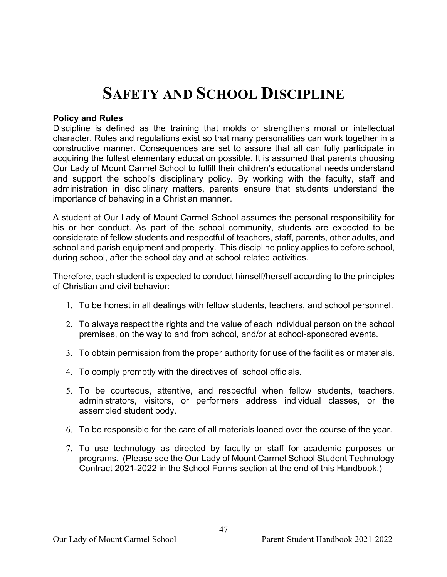## **SAFETY AND SCHOOL DISCIPLINE**

#### **Policy and Rules**

Discipline is defined as the training that molds or strengthens moral or intellectual character. Rules and regulations exist so that many personalities can work together in a constructive manner. Consequences are set to assure that all can fully participate in acquiring the fullest elementary education possible. It is assumed that parents choosing Our Lady of Mount Carmel School to fulfill their children's educational needs understand and support the school's disciplinary policy. By working with the faculty, staff and administration in disciplinary matters, parents ensure that students understand the importance of behaving in a Christian manner.

A student at Our Lady of Mount Carmel School assumes the personal responsibility for his or her conduct. As part of the school community, students are expected to be considerate of fellow students and respectful of teachers, staff, parents, other adults, and school and parish equipment and property. This discipline policy applies to before school, during school, after the school day and at school related activities.

Therefore, each student is expected to conduct himself/herself according to the principles of Christian and civil behavior:

- 1. To be honest in all dealings with fellow students, teachers, and school personnel.
- 2. To always respect the rights and the value of each individual person on the school premises, on the way to and from school, and/or at school-sponsored events.
- 3. To obtain permission from the proper authority for use of the facilities or materials.
- 4. To comply promptly with the directives of school officials.
- 5. To be courteous, attentive, and respectful when fellow students, teachers, administrators, visitors, or performers address individual classes, or the assembled student body.
- 6. To be responsible for the care of all materials loaned over the course of the year.
- 7. To use technology as directed by faculty or staff for academic purposes or programs. (Please see the Our Lady of Mount Carmel School Student Technology Contract 2021-2022 in the School Forms section at the end of this Handbook.)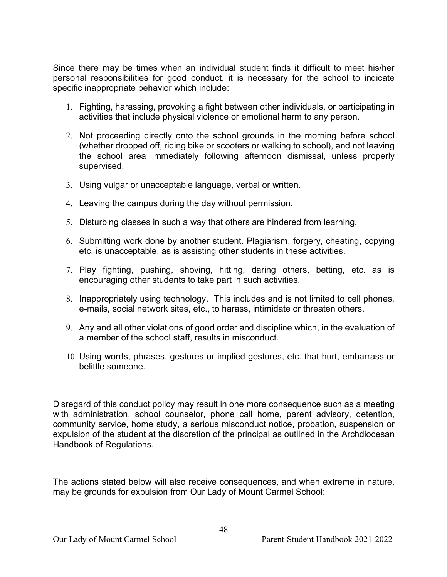Since there may be times when an individual student finds it difficult to meet his/her personal responsibilities for good conduct, it is necessary for the school to indicate specific inappropriate behavior which include:

- 1. Fighting, harassing, provoking a fight between other individuals, or participating in activities that include physical violence or emotional harm to any person.
- 2. Not proceeding directly onto the school grounds in the morning before school (whether dropped off, riding bike or scooters or walking to school), and not leaving the school area immediately following afternoon dismissal, unless properly supervised.
- 3. Using vulgar or unacceptable language, verbal or written.
- 4. Leaving the campus during the day without permission.
- 5. Disturbing classes in such a way that others are hindered from learning.
- 6. Submitting work done by another student. Plagiarism, forgery, cheating, copying etc. is unacceptable, as is assisting other students in these activities.
- 7. Play fighting, pushing, shoving, hitting, daring others, betting, etc. as is encouraging other students to take part in such activities.
- 8. Inappropriately using technology. This includes and is not limited to cell phones, e-mails, social network sites, etc., to harass, intimidate or threaten others.
- 9. Any and all other violations of good order and discipline which, in the evaluation of a member of the school staff, results in misconduct.
- 10. Using words, phrases, gestures or implied gestures, etc. that hurt, embarrass or belittle someone.

Disregard of this conduct policy may result in one more consequence such as a meeting with administration, school counselor, phone call home, parent advisory, detention, community service, home study, a serious misconduct notice, probation, suspension or expulsion of the student at the discretion of the principal as outlined in the Archdiocesan Handbook of Regulations.

The actions stated below will also receive consequences, and when extreme in nature, may be grounds for expulsion from Our Lady of Mount Carmel School: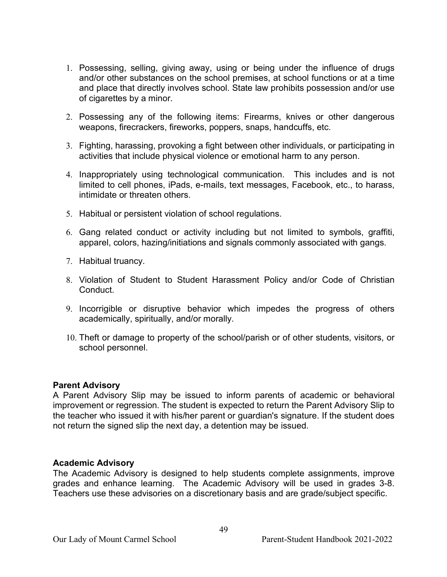- 1. Possessing, selling, giving away, using or being under the influence of drugs and/or other substances on the school premises, at school functions or at a time and place that directly involves school. State law prohibits possession and/or use of cigarettes by a minor.
- 2. Possessing any of the following items: Firearms, knives or other dangerous weapons, firecrackers, fireworks, poppers, snaps, handcuffs, etc.
- 3. Fighting, harassing, provoking a fight between other individuals, or participating in activities that include physical violence or emotional harm to any person.
- 4. Inappropriately using technological communication. This includes and is not limited to cell phones, iPads, e-mails, text messages, Facebook, etc., to harass, intimidate or threaten others.
- 5. Habitual or persistent violation of school regulations.
- 6. Gang related conduct or activity including but not limited to symbols, graffiti, apparel, colors, hazing/initiations and signals commonly associated with gangs.
- 7. Habitual truancy.
- 8. Violation of Student to Student Harassment Policy and/or Code of Christian Conduct.
- 9. Incorrigible or disruptive behavior which impedes the progress of others academically, spiritually, and/or morally.
- 10. Theft or damage to property of the school/parish or of other students, visitors, or school personnel.

#### **Parent Advisory**

A Parent Advisory Slip may be issued to inform parents of academic or behavioral improvement or regression. The student is expected to return the Parent Advisory Slip to the teacher who issued it with his/her parent or guardian's signature. If the student does not return the signed slip the next day, a detention may be issued.

#### **Academic Advisory**

The Academic Advisory is designed to help students complete assignments, improve grades and enhance learning. The Academic Advisory will be used in grades 3-8. Teachers use these advisories on a discretionary basis and are grade/subject specific.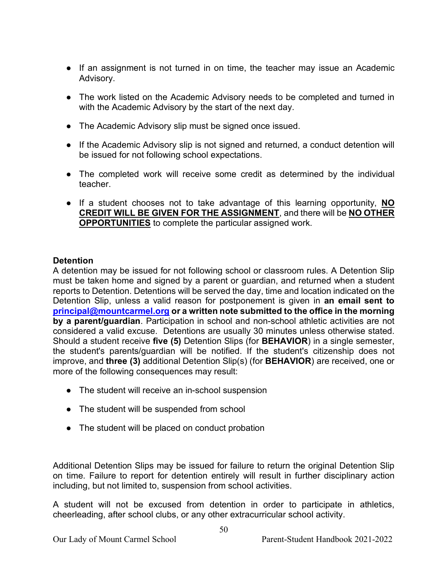- If an assignment is not turned in on time, the teacher may issue an Academic Advisory.
- The work listed on the Academic Advisory needs to be completed and turned in with the Academic Advisory by the start of the next day.
- The Academic Advisory slip must be signed once issued.
- If the Academic Advisory slip is not signed and returned, a conduct detention will be issued for not following school expectations.
- The completed work will receive some credit as determined by the individual teacher.
- If a student chooses not to take advantage of this learning opportunity, **NO CREDIT WILL BE GIVEN FOR THE ASSIGNMENT**, and there will be **NO OTHER OPPORTUNITIES** to complete the particular assigned work.

#### **Detention**

A detention may be issued for not following school or classroom rules. A Detention Slip must be taken home and signed by a parent or guardian, and returned when a student reports to Detention. Detentions will be served the day, time and location indicated on the Detention Slip, unless a valid reason for postponement is given in **an email sent to principal@mountcarmel.org or a written note submitted to the office in the morning by a parent/guardian**. Participation in school and non-school athletic activities are not considered a valid excuse. Detentions are usually 30 minutes unless otherwise stated. Should a student receive **five (5)** Detention Slips (for **BEHAVIOR**) in a single semester, the student's parents/guardian will be notified. If the student's citizenship does not improve, and **three (3)** additional Detention Slip(s) (for **BEHAVIOR**) are received, one or more of the following consequences may result:

- The student will receive an in-school suspension
- The student will be suspended from school
- The student will be placed on conduct probation

Additional Detention Slips may be issued for failure to return the original Detention Slip on time. Failure to report for detention entirely will result in further disciplinary action including, but not limited to, suspension from school activities.

A student will not be excused from detention in order to participate in athletics, cheerleading, after school clubs, or any other extracurricular school activity.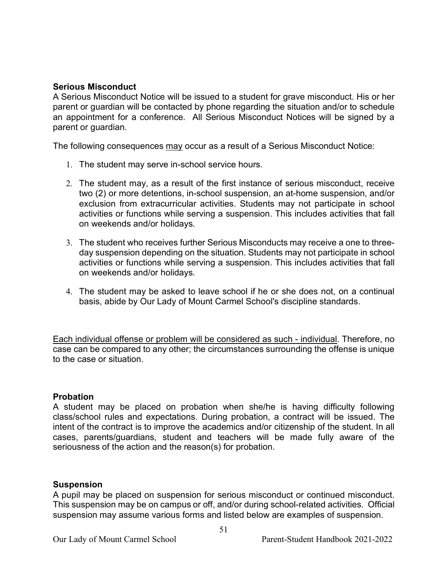#### **Serious Misconduct**

A Serious Misconduct Notice will be issued to a student for grave misconduct. His or her parent or guardian will be contacted by phone regarding the situation and/or to schedule an appointment for a conference. All Serious Misconduct Notices will be signed by a parent or guardian.

The following consequences may occur as a result of a Serious Misconduct Notice:

- 1. The student may serve in-school service hours.
- 2. The student may, as a result of the first instance of serious misconduct, receive two (2) or more detentions, in-school suspension, an at-home suspension, and/or exclusion from extracurricular activities. Students may not participate in school activities or functions while serving a suspension. This includes activities that fall on weekends and/or holidays.
- 3. The student who receives further Serious Misconducts may receive a one to threeday suspension depending on the situation. Students may not participate in school activities or functions while serving a suspension. This includes activities that fall on weekends and/or holidays.
- 4. The student may be asked to leave school if he or she does not, on a continual basis, abide by Our Lady of Mount Carmel School's discipline standards.

Each individual offense or problem will be considered as such - individual. Therefore, no case can be compared to any other; the circumstances surrounding the offense is unique to the case or situation.

#### **Probation**

A student may be placed on probation when she/he is having difficulty following class/school rules and expectations. During probation, a contract will be issued. The intent of the contract is to improve the academics and/or citizenship of the student. In all cases, parents/guardians, student and teachers will be made fully aware of the seriousness of the action and the reason(s) for probation.

#### **Suspension**

A pupil may be placed on suspension for serious misconduct or continued misconduct. This suspension may be on campus or off, and/or during school-related activities. Official suspension may assume various forms and listed below are examples of suspension.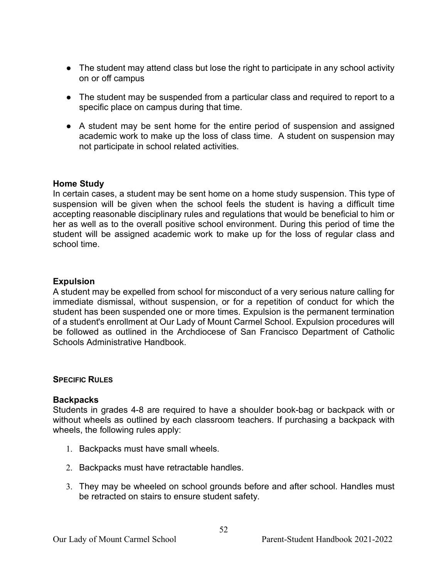- The student may attend class but lose the right to participate in any school activity on or off campus
- The student may be suspended from a particular class and required to report to a specific place on campus during that time.
- A student may be sent home for the entire period of suspension and assigned academic work to make up the loss of class time. A student on suspension may not participate in school related activities.

#### **Home Study**

In certain cases, a student may be sent home on a home study suspension. This type of suspension will be given when the school feels the student is having a difficult time accepting reasonable disciplinary rules and regulations that would be beneficial to him or her as well as to the overall positive school environment. During this period of time the student will be assigned academic work to make up for the loss of regular class and school time.

#### **Expulsion**

A student may be expelled from school for misconduct of a very serious nature calling for immediate dismissal, without suspension, or for a repetition of conduct for which the student has been suspended one or more times. Expulsion is the permanent termination of a student's enrollment at Our Lady of Mount Carmel School. Expulsion procedures will be followed as outlined in the Archdiocese of San Francisco Department of Catholic Schools Administrative Handbook.

#### **SPECIFIC RULES**

#### **Backpacks**

Students in grades 4-8 are required to have a shoulder book-bag or backpack with or without wheels as outlined by each classroom teachers. If purchasing a backpack with wheels, the following rules apply:

- 1. Backpacks must have small wheels.
- 2. Backpacks must have retractable handles.
- 3. They may be wheeled on school grounds before and after school. Handles must be retracted on stairs to ensure student safety.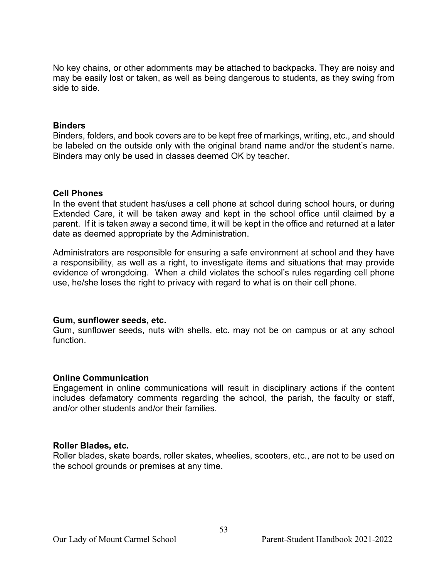No key chains, or other adornments may be attached to backpacks. They are noisy and may be easily lost or taken, as well as being dangerous to students, as they swing from side to side.

#### **Binders**

Binders, folders, and book covers are to be kept free of markings, writing, etc., and should be labeled on the outside only with the original brand name and/or the student's name. Binders may only be used in classes deemed OK by teacher.

#### **Cell Phones**

In the event that student has/uses a cell phone at school during school hours, or during Extended Care, it will be taken away and kept in the school office until claimed by a parent. If it is taken away a second time, it will be kept in the office and returned at a later date as deemed appropriate by the Administration.

Administrators are responsible for ensuring a safe environment at school and they have a responsibility, as well as a right, to investigate items and situations that may provide evidence of wrongdoing. When a child violates the school's rules regarding cell phone use, he/she loses the right to privacy with regard to what is on their cell phone.

#### **Gum, sunflower seeds, etc.**

Gum, sunflower seeds, nuts with shells, etc. may not be on campus or at any school function.

#### **Online Communication**

Engagement in online communications will result in disciplinary actions if the content includes defamatory comments regarding the school, the parish, the faculty or staff, and/or other students and/or their families.

#### **Roller Blades, etc.**

Roller blades, skate boards, roller skates, wheelies, scooters, etc., are not to be used on the school grounds or premises at any time.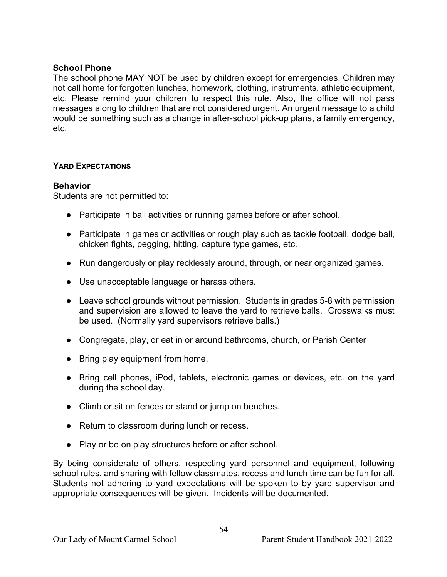#### **School Phone**

The school phone MAY NOT be used by children except for emergencies. Children may not call home for forgotten lunches, homework, clothing, instruments, athletic equipment, etc. Please remind your children to respect this rule. Also, the office will not pass messages along to children that are not considered urgent. An urgent message to a child would be something such as a change in after-school pick-up plans, a family emergency, etc.

#### **YARD EXPECTATIONS**

#### **Behavior**

Students are not permitted to:

- Participate in ball activities or running games before or after school.
- Participate in games or activities or rough play such as tackle football, dodge ball, chicken fights, pegging, hitting, capture type games, etc.
- Run dangerously or play recklessly around, through, or near organized games.
- Use unacceptable language or harass others.
- Leave school grounds without permission. Students in grades 5-8 with permission and supervision are allowed to leave the yard to retrieve balls. Crosswalks must be used. (Normally yard supervisors retrieve balls.)
- Congregate, play, or eat in or around bathrooms, church, or Parish Center
- Bring play equipment from home.
- Bring cell phones, iPod, tablets, electronic games or devices, etc. on the yard during the school day.
- Climb or sit on fences or stand or jump on benches.
- Return to classroom during lunch or recess.
- Play or be on play structures before or after school.

By being considerate of others, respecting yard personnel and equipment, following school rules, and sharing with fellow classmates, recess and lunch time can be fun for all. Students not adhering to yard expectations will be spoken to by yard supervisor and appropriate consequences will be given. Incidents will be documented.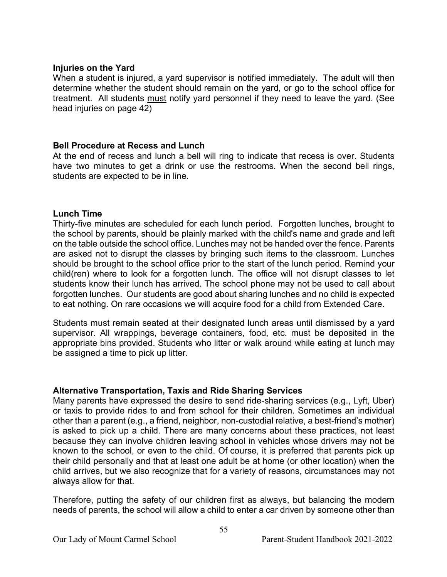#### **Injuries on the Yard**

When a student is injured, a yard supervisor is notified immediately. The adult will then determine whether the student should remain on the yard, or go to the school office for treatment. All students must notify yard personnel if they need to leave the yard. (See head injuries on page 42)

#### **Bell Procedure at Recess and Lunch**

At the end of recess and lunch a bell will ring to indicate that recess is over. Students have two minutes to get a drink or use the restrooms. When the second bell rings, students are expected to be in line.

#### **Lunch Time**

Thirty-five minutes are scheduled for each lunch period. Forgotten lunches, brought to the school by parents, should be plainly marked with the child's name and grade and left on the table outside the school office. Lunches may not be handed over the fence. Parents are asked not to disrupt the classes by bringing such items to the classroom. Lunches should be brought to the school office prior to the start of the lunch period. Remind your child(ren) where to look for a forgotten lunch. The office will not disrupt classes to let students know their lunch has arrived. The school phone may not be used to call about forgotten lunches. Our students are good about sharing lunches and no child is expected to eat nothing. On rare occasions we will acquire food for a child from Extended Care.

Students must remain seated at their designated lunch areas until dismissed by a yard supervisor. All wrappings, beverage containers, food, etc. must be deposited in the appropriate bins provided. Students who litter or walk around while eating at lunch may be assigned a time to pick up litter.

#### **Alternative Transportation, Taxis and Ride Sharing Services**

Many parents have expressed the desire to send ride-sharing services (e.g., Lyft, Uber) or taxis to provide rides to and from school for their children. Sometimes an individual other than a parent (e.g., a friend, neighbor, non-custodial relative, a best-friend's mother) is asked to pick up a child. There are many concerns about these practices, not least because they can involve children leaving school in vehicles whose drivers may not be known to the school, or even to the child. Of course, it is preferred that parents pick up their child personally and that at least one adult be at home (or other location) when the child arrives, but we also recognize that for a variety of reasons, circumstances may not always allow for that.

Therefore, putting the safety of our children first as always, but balancing the modern needs of parents, the school will allow a child to enter a car driven by someone other than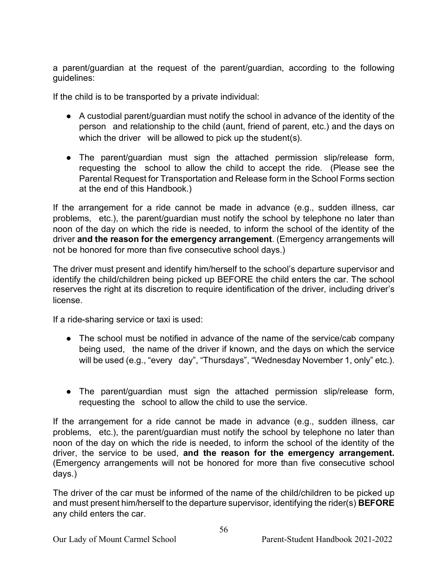a parent/guardian at the request of the parent/guardian, according to the following guidelines:

If the child is to be transported by a private individual:

- A custodial parent/guardian must notify the school in advance of the identity of the person and relationship to the child (aunt, friend of parent, etc.) and the days on which the driver will be allowed to pick up the student(s).
- The parent/guardian must sign the attached permission slip/release form, requesting the school to allow the child to accept the ride. (Please see the Parental Request for Transportation and Release form in the School Forms section at the end of this Handbook.)

If the arrangement for a ride cannot be made in advance (e.g., sudden illness, car problems, etc.), the parent/guardian must notify the school by telephone no later than noon of the day on which the ride is needed, to inform the school of the identity of the driver **and the reason for the emergency arrangement**. (Emergency arrangements will not be honored for more than five consecutive school days.)

The driver must present and identify him/herself to the school's departure supervisor and identify the child/children being picked up BEFORE the child enters the car. The school reserves the right at its discretion to require identification of the driver, including driver's license.

If a ride-sharing service or taxi is used:

- The school must be notified in advance of the name of the service/cab company being used, the name of the driver if known, and the days on which the service will be used (e.g., "every day", "Thursdays", "Wednesday November 1, only" etc.).
- The parent/guardian must sign the attached permission slip/release form, requesting the school to allow the child to use the service.

If the arrangement for a ride cannot be made in advance (e.g., sudden illness, car problems, etc.), the parent/guardian must notify the school by telephone no later than noon of the day on which the ride is needed, to inform the school of the identity of the driver, the service to be used, **and the reason for the emergency arrangement.**  (Emergency arrangements will not be honored for more than five consecutive school days.)

The driver of the car must be informed of the name of the child/children to be picked up and must present him/herself to the departure supervisor, identifying the rider(s) **BEFORE**  any child enters the car.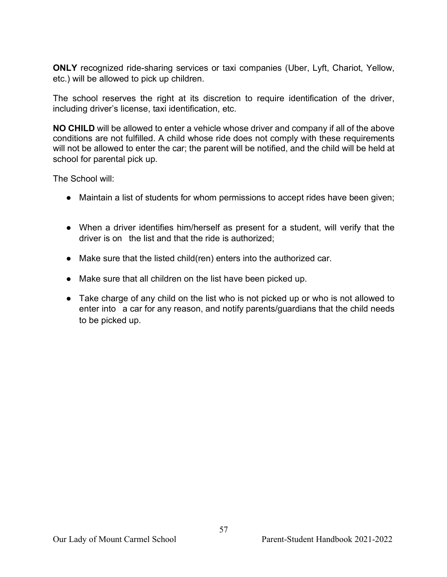**ONLY** recognized ride-sharing services or taxi companies (Uber, Lyft, Chariot, Yellow, etc.) will be allowed to pick up children.

The school reserves the right at its discretion to require identification of the driver, including driver's license, taxi identification, etc.

**NO CHILD** will be allowed to enter a vehicle whose driver and company if all of the above conditions are not fulfilled. A child whose ride does not comply with these requirements will not be allowed to enter the car; the parent will be notified, and the child will be held at school for parental pick up.

The School will:

- Maintain a list of students for whom permissions to accept rides have been given;
- When a driver identifies him/herself as present for a student, will verify that the driver is on the list and that the ride is authorized;
- Make sure that the listed child(ren) enters into the authorized car.
- Make sure that all children on the list have been picked up.
- Take charge of any child on the list who is not picked up or who is not allowed to enter into a car for any reason, and notify parents/guardians that the child needs to be picked up.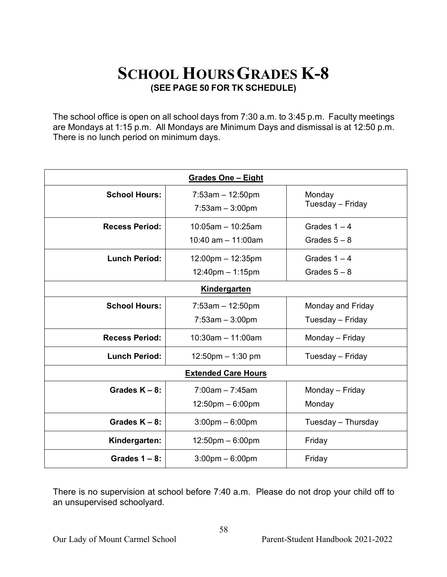## **SCHOOL HOURS GRADES K-8 (SEE PAGE 50 FOR TK SCHEDULE)**

The school office is open on all school days from 7:30 a.m. to 3:45 p.m. Faculty meetings are Mondays at 1:15 p.m. All Mondays are Minimum Days and dismissal is at 12:50 p.m. There is no lunch period on minimum days.

| <b>Grades One - Eight</b>  |                                                         |                                       |
|----------------------------|---------------------------------------------------------|---------------------------------------|
| <b>School Hours:</b>       | $7:53am - 12:50pm$<br>$7:53am - 3:00pm$                 | Monday<br>Tuesday - Friday            |
| <b>Recess Period:</b>      | $10:05$ am - 10:25am<br>10:40 $am - 11:00am$            | Grades $1 - 4$<br>Grades $5 - 8$      |
| <b>Lunch Period:</b>       | $12:00$ pm $- 12:35$ pm<br>$12:40$ pm $-1:15$ pm        | Grades $1 - 4$<br>Grades $5 - 8$      |
| Kindergarten               |                                                         |                                       |
| <b>School Hours:</b>       | $7:53am - 12:50pm$<br>$7:53am - 3:00pm$                 | Monday and Friday<br>Tuesday - Friday |
| <b>Recess Period:</b>      | $10:30$ am - 11:00am                                    | Monday - Friday                       |
| <b>Lunch Period:</b>       | $12:50$ pm $-1:30$ pm                                   | Tuesday - Friday                      |
| <b>Extended Care Hours</b> |                                                         |                                       |
| Grades $K - 8$ :           | $7:00am - 7:45am$<br>$12:50 \text{pm} - 6:00 \text{pm}$ | Monday - Friday<br>Monday             |
| Grades $K - 8$ :           | $3:00 \text{pm} - 6:00 \text{pm}$                       | Tuesday - Thursday                    |
| Kindergarten:              | $12:50 \text{pm} - 6:00 \text{pm}$                      | Friday                                |
| Grades $1 - 8$ :           | $3:00 \text{pm} - 6:00 \text{pm}$                       | Friday                                |

There is no supervision at school before 7:40 a.m. Please do not drop your child off to an unsupervised schoolyard.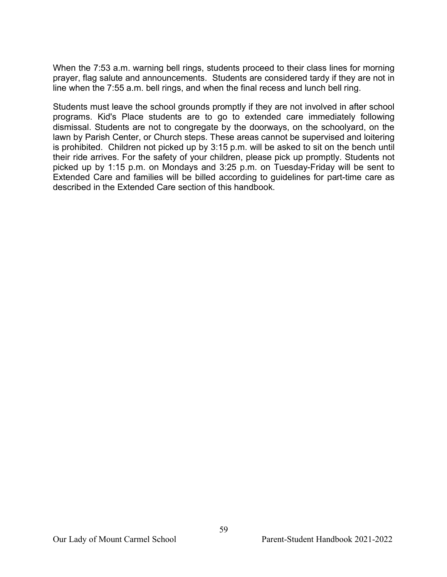When the 7:53 a.m. warning bell rings, students proceed to their class lines for morning prayer, flag salute and announcements. Students are considered tardy if they are not in line when the 7:55 a.m. bell rings, and when the final recess and lunch bell ring.

Students must leave the school grounds promptly if they are not involved in after school programs. Kid's Place students are to go to extended care immediately following dismissal. Students are not to congregate by the doorways, on the schoolyard, on the lawn by Parish Center, or Church steps. These areas cannot be supervised and loitering is prohibited. Children not picked up by 3:15 p.m. will be asked to sit on the bench until their ride arrives. For the safety of your children, please pick up promptly. Students not picked up by 1:15 p.m. on Mondays and 3:25 p.m. on Tuesday-Friday will be sent to Extended Care and families will be billed according to guidelines for part-time care as described in the Extended Care section of this handbook.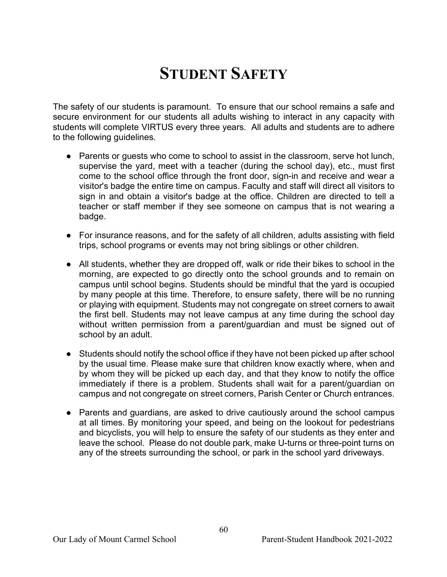## **STUDENT SAFETY**

The safety of our students is paramount. To ensure that our school remains a safe and secure environment for our students all adults wishing to interact in any capacity with students will complete VIRTUS every three years. All adults and students are to adhere to the following guidelines.

- Parents or guests who come to school to assist in the classroom, serve hot lunch, supervise the yard, meet with a teacher (during the school day), etc., must first come to the school office through the front door, sign-in and receive and wear a visitor's badge the entire time on campus. Faculty and staff will direct all visitors to sign in and obtain a visitor's badge at the office. Children are directed to tell a teacher or staff member if they see someone on campus that is not wearing a badge.
- For insurance reasons, and for the safety of all children, adults assisting with field trips, school programs or events may not bring siblings or other children.
- All students, whether they are dropped off, walk or ride their bikes to school in the morning, are expected to go directly onto the school grounds and to remain on campus until school begins. Students should be mindful that the yard is occupied by many people at this time. Therefore, to ensure safety, there will be no running or playing with equipment. Students may not congregate on street corners to await the first bell. Students may not leave campus at any time during the school day without written permission from a parent/guardian and must be signed out of school by an adult.
- Students should notify the school office if they have not been picked up after school by the usual time. Please make sure that children know exactly where, when and by whom they will be picked up each day, and that they know to notify the office immediately if there is a problem. Students shall wait for a parent/guardian on campus and not congregate on street corners, Parish Center or Church entrances.
- Parents and guardians, are asked to drive cautiously around the school campus at all times. By monitoring your speed, and being on the lookout for pedestrians and bicyclists, you will help to ensure the safety of our students as they enter and leave the school. Please do not double park, make U-turns or three-point turns on any of the streets surrounding the school, or park in the school yard driveways.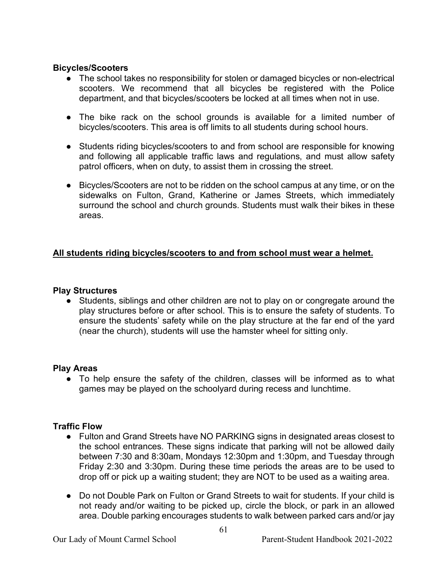#### **Bicycles/Scooters**

- The school takes no responsibility for stolen or damaged bicycles or non-electrical scooters. We recommend that all bicycles be registered with the Police department, and that bicycles/scooters be locked at all times when not in use.
- The bike rack on the school grounds is available for a limited number of bicycles/scooters. This area is off limits to all students during school hours.
- Students riding bicycles/scooters to and from school are responsible for knowing and following all applicable traffic laws and regulations, and must allow safety patrol officers, when on duty, to assist them in crossing the street.
- Bicycles/Scooters are not to be ridden on the school campus at any time, or on the sidewalks on Fulton, Grand, Katherine or James Streets, which immediately surround the school and church grounds. Students must walk their bikes in these areas.

## **All students riding bicycles/scooters to and from school must wear a helmet.**

#### **Play Structures**

● Students, siblings and other children are not to play on or congregate around the play structures before or after school. This is to ensure the safety of students. To ensure the students' safety while on the play structure at the far end of the yard (near the church), students will use the hamster wheel for sitting only.

## **Play Areas**

● To help ensure the safety of the children, classes will be informed as to what games may be played on the schoolyard during recess and lunchtime.

## **Traffic Flow**

- Fulton and Grand Streets have NO PARKING signs in designated areas closest to the school entrances. These signs indicate that parking will not be allowed daily between 7:30 and 8:30am, Mondays 12:30pm and 1:30pm, and Tuesday through Friday 2:30 and 3:30pm. During these time periods the areas are to be used to drop off or pick up a waiting student; they are NOT to be used as a waiting area.
- Do not Double Park on Fulton or Grand Streets to wait for students. If your child is not ready and/or waiting to be picked up, circle the block, or park in an allowed area. Double parking encourages students to walk between parked cars and/or jay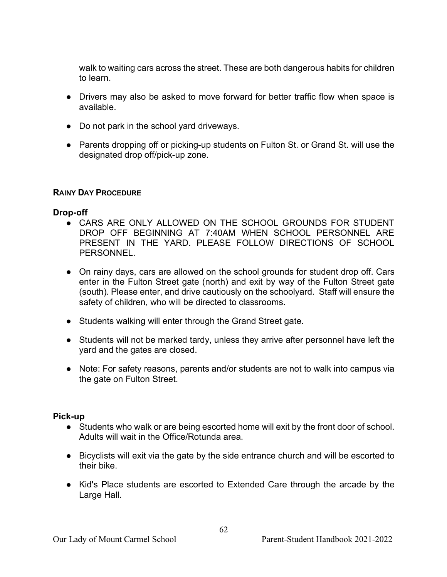walk to waiting cars across the street. These are both dangerous habits for children to learn.

- Drivers may also be asked to move forward for better traffic flow when space is available.
- Do not park in the school yard driveways.
- Parents dropping off or picking-up students on Fulton St. or Grand St. will use the designated drop off/pick-up zone.

#### **RAINY DAY PROCEDURE**

#### **Drop-off**

- CARS ARE ONLY ALLOWED ON THE SCHOOL GROUNDS FOR STUDENT DROP OFF BEGINNING AT 7:40AM WHEN SCHOOL PERSONNEL ARE PRESENT IN THE YARD. PLEASE FOLLOW DIRECTIONS OF SCHOOL PERSONNEL.
- On rainy days, cars are allowed on the school grounds for student drop off. Cars enter in the Fulton Street gate (north) and exit by way of the Fulton Street gate (south). Please enter, and drive cautiously on the schoolyard. Staff will ensure the safety of children, who will be directed to classrooms.
- Students walking will enter through the Grand Street gate.
- Students will not be marked tardy, unless they arrive after personnel have left the yard and the gates are closed.
- Note: For safety reasons, parents and/or students are not to walk into campus via the gate on Fulton Street.

## **Pick-up**

- Students who walk or are being escorted home will exit by the front door of school. Adults will wait in the Office/Rotunda area.
- Bicyclists will exit via the gate by the side entrance church and will be escorted to their bike.
- Kid's Place students are escorted to Extended Care through the arcade by the Large Hall.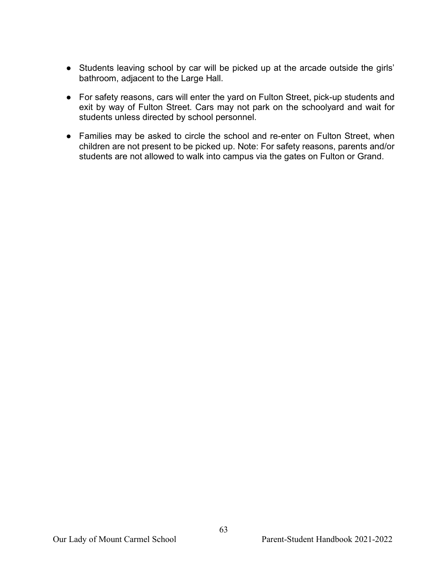- Students leaving school by car will be picked up at the arcade outside the girls' bathroom, adjacent to the Large Hall.
- For safety reasons, cars will enter the yard on Fulton Street, pick-up students and exit by way of Fulton Street. Cars may not park on the schoolyard and wait for students unless directed by school personnel.
- Families may be asked to circle the school and re-enter on Fulton Street, when children are not present to be picked up. Note: For safety reasons, parents and/or students are not allowed to walk into campus via the gates on Fulton or Grand.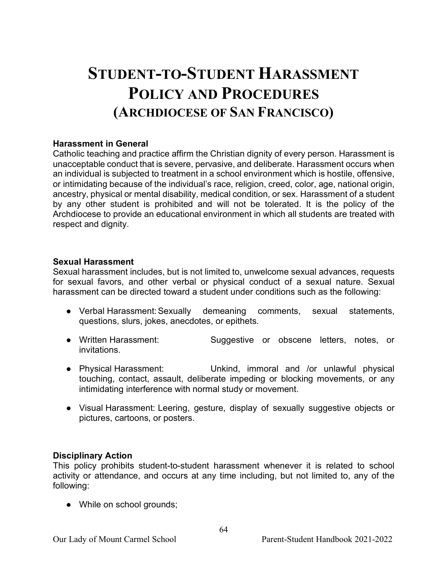## **STUDENT-TO-STUDENT HARASSMENT POLICY AND PROCEDURES (ARCHDIOCESE OF SAN FRANCISCO)**

#### **Harassment in General**

Catholic teaching and practice affirm the Christian dignity of every person. Harassment is unacceptable conduct that is severe, pervasive, and deliberate. Harassment occurs when an individual is subjected to treatment in a school environment which is hostile, offensive, or intimidating because of the individual's race, religion, creed, color, age, national origin, ancestry, physical or mental disability, medical condition, or sex. Harassment of a student by any other student is prohibited and will not be tolerated. It is the policy of the Archdiocese to provide an educational environment in which all students are treated with respect and dignity.

#### **Sexual Harassment**

Sexual harassment includes, but is not limited to, unwelcome sexual advances, requests for sexual favors, and other verbal or physical conduct of a sexual nature. Sexual harassment can be directed toward a student under conditions such as the following:

- Verbal Harassment:Sexually demeaning comments, sexual statements, questions, slurs, jokes, anecdotes, or epithets.
- Written Harassment: Suggestive or obscene letters, notes, or invitations.
- Physical Harassment: Unkind, immoral and /or unlawful physical touching, contact, assault, deliberate impeding or blocking movements, or any intimidating interference with normal study or movement.
- Visual Harassment: Leering, gesture, display of sexually suggestive objects or pictures, cartoons, or posters.

#### **Disciplinary Action**

This policy prohibits student-to-student harassment whenever it is related to school activity or attendance, and occurs at any time including, but not limited to, any of the following:

• While on school grounds;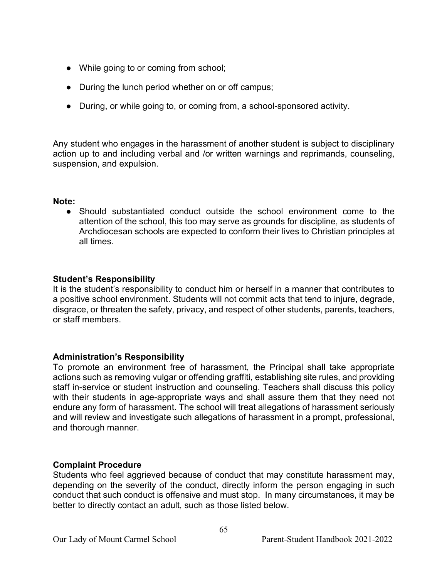- While going to or coming from school;
- During the lunch period whether on or off campus;
- During, or while going to, or coming from, a school-sponsored activity.

Any student who engages in the harassment of another student is subject to disciplinary action up to and including verbal and /or written warnings and reprimands, counseling, suspension, and expulsion.

#### **Note:**

● Should substantiated conduct outside the school environment come to the attention of the school, this too may serve as grounds for discipline, as students of Archdiocesan schools are expected to conform their lives to Christian principles at all times.

#### **Student's Responsibility**

It is the student's responsibility to conduct him or herself in a manner that contributes to a positive school environment. Students will not commit acts that tend to injure, degrade, disgrace, or threaten the safety, privacy, and respect of other students, parents, teachers, or staff members.

## **Administration's Responsibility**

To promote an environment free of harassment, the Principal shall take appropriate actions such as removing vulgar or offending graffiti, establishing site rules, and providing staff in-service or student instruction and counseling. Teachers shall discuss this policy with their students in age-appropriate ways and shall assure them that they need not endure any form of harassment. The school will treat allegations of harassment seriously and will review and investigate such allegations of harassment in a prompt, professional, and thorough manner.

## **Complaint Procedure**

Students who feel aggrieved because of conduct that may constitute harassment may, depending on the severity of the conduct, directly inform the person engaging in such conduct that such conduct is offensive and must stop. In many circumstances, it may be better to directly contact an adult, such as those listed below.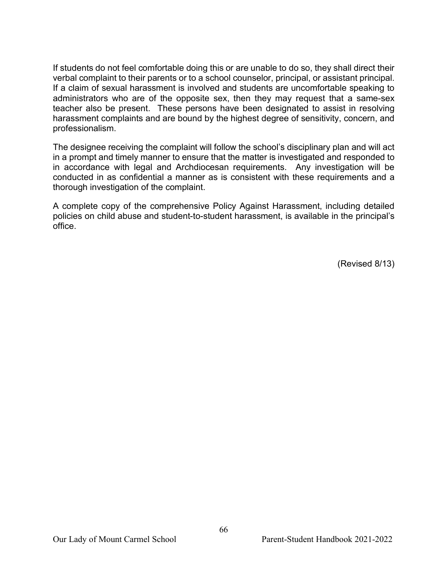If students do not feel comfortable doing this or are unable to do so, they shall direct their verbal complaint to their parents or to a school counselor, principal, or assistant principal. If a claim of sexual harassment is involved and students are uncomfortable speaking to administrators who are of the opposite sex, then they may request that a same-sex teacher also be present. These persons have been designated to assist in resolving harassment complaints and are bound by the highest degree of sensitivity, concern, and professionalism.

The designee receiving the complaint will follow the school's disciplinary plan and will act in a prompt and timely manner to ensure that the matter is investigated and responded to in accordance with legal and Archdiocesan requirements. Any investigation will be conducted in as confidential a manner as is consistent with these requirements and a thorough investigation of the complaint.

A complete copy of the comprehensive Policy Against Harassment, including detailed policies on child abuse and student-to-student harassment, is available in the principal's office.

(Revised 8/13)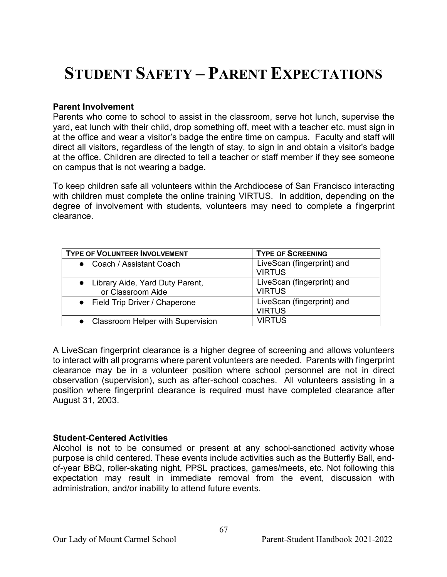## **STUDENT SAFETY – PARENT EXPECTATIONS**

#### **Parent Involvement**

Parents who come to school to assist in the classroom, serve hot lunch, supervise the yard, eat lunch with their child, drop something off, meet with a teacher etc. must sign in at the office and wear a visitor's badge the entire time on campus. Faculty and staff will direct all visitors, regardless of the length of stay, to sign in and obtain a visitor's badge at the office. Children are directed to tell a teacher or staff member if they see someone on campus that is not wearing a badge.

To keep children safe all volunteers within the Archdiocese of San Francisco interacting with children must complete the online training VIRTUS. In addition, depending on the degree of involvement with students, volunteers may need to complete a fingerprint clearance.

| <b>TYPE OF VOLUNTEER INVOLVEMENT</b>                   | <b>TYPE OF SCREENING</b>                    |
|--------------------------------------------------------|---------------------------------------------|
| Coach / Assistant Coach<br>$\bullet$                   | LiveScan (fingerprint) and<br><b>VIRTUS</b> |
| • Library Aide, Yard Duty Parent,<br>or Classroom Aide | LiveScan (fingerprint) and<br><b>VIRTUS</b> |
| • Field Trip Driver / Chaperone                        | LiveScan (fingerprint) and<br><b>VIRTUS</b> |
| <b>Classroom Helper with Supervision</b>               | <b>VIRTUS</b>                               |

A LiveScan fingerprint clearance is a higher degree of screening and allows volunteers to interact with all programs where parent volunteers are needed. Parents with fingerprint clearance may be in a volunteer position where school personnel are not in direct observation (supervision), such as after-school coaches. All volunteers assisting in a position where fingerprint clearance is required must have completed clearance after August 31, 2003.

#### **Student-Centered Activities**

Alcohol is not to be consumed or present at any school-sanctioned activity whose purpose is child centered. These events include activities such as the Butterfly Ball, endof-year BBQ, roller-skating night, PPSL practices, games/meets, etc. Not following this expectation may result in immediate removal from the event, discussion with administration, and/or inability to attend future events.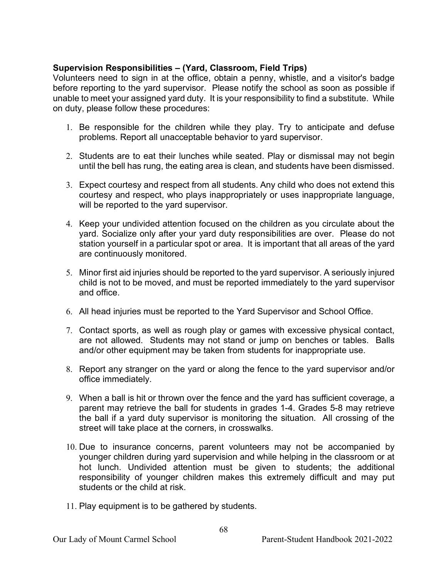## **Supervision Responsibilities – (Yard, Classroom, Field Trips)**

Volunteers need to sign in at the office, obtain a penny, whistle, and a visitor's badge before reporting to the yard supervisor. Please notify the school as soon as possible if unable to meet your assigned yard duty. It is your responsibility to find a substitute. While on duty, please follow these procedures:

- 1. Be responsible for the children while they play. Try to anticipate and defuse problems. Report all unacceptable behavior to yard supervisor.
- 2. Students are to eat their lunches while seated. Play or dismissal may not begin until the bell has rung, the eating area is clean, and students have been dismissed.
- 3. Expect courtesy and respect from all students. Any child who does not extend this courtesy and respect, who plays inappropriately or uses inappropriate language, will be reported to the yard supervisor.
- 4. Keep your undivided attention focused on the children as you circulate about the yard. Socialize only after your yard duty responsibilities are over. Please do not station yourself in a particular spot or area. It is important that all areas of the yard are continuously monitored.
- 5. Minor first aid injuries should be reported to the yard supervisor. A seriously injured child is not to be moved, and must be reported immediately to the yard supervisor and office.
- 6. All head injuries must be reported to the Yard Supervisor and School Office.
- 7. Contact sports, as well as rough play or games with excessive physical contact, are not allowed. Students may not stand or jump on benches or tables. Balls and/or other equipment may be taken from students for inappropriate use.
- 8. Report any stranger on the yard or along the fence to the yard supervisor and/or office immediately.
- 9. When a ball is hit or thrown over the fence and the yard has sufficient coverage, a parent may retrieve the ball for students in grades 1-4. Grades 5-8 may retrieve the ball if a yard duty supervisor is monitoring the situation. All crossing of the street will take place at the corners, in crosswalks.
- 10. Due to insurance concerns, parent volunteers may not be accompanied by younger children during yard supervision and while helping in the classroom or at hot lunch. Undivided attention must be given to students; the additional responsibility of younger children makes this extremely difficult and may put students or the child at risk
- 11. Play equipment is to be gathered by students.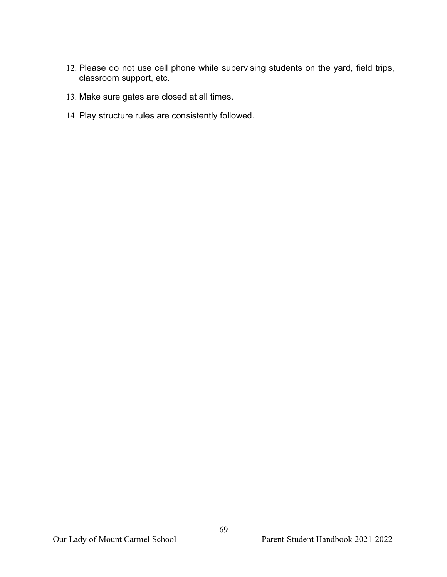- 12. Please do not use cell phone while supervising students on the yard, field trips, classroom support, etc.
- 13. Make sure gates are closed at all times.
- 14. Play structure rules are consistently followed.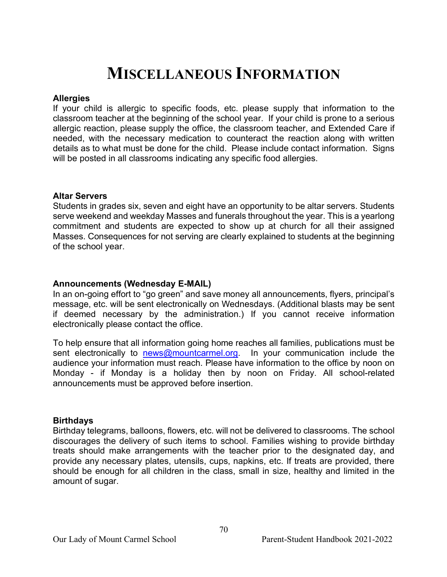## **MISCELLANEOUS INFORMATION**

#### **Allergies**

If your child is allergic to specific foods, etc. please supply that information to the classroom teacher at the beginning of the school year. If your child is prone to a serious allergic reaction, please supply the office, the classroom teacher, and Extended Care if needed, with the necessary medication to counteract the reaction along with written details as to what must be done for the child. Please include contact information. Signs will be posted in all classrooms indicating any specific food allergies.

#### **Altar Servers**

Students in grades six, seven and eight have an opportunity to be altar servers. Students serve weekend and weekday Masses and funerals throughout the year. This is a yearlong commitment and students are expected to show up at church for all their assigned Masses. Consequences for not serving are clearly explained to students at the beginning of the school year.

## **Announcements (Wednesday E-MAIL)**

In an on-going effort to "go green" and save money all announcements, flyers, principal's message, etc. will be sent electronically on Wednesdays. (Additional blasts may be sent if deemed necessary by the administration.) If you cannot receive information electronically please contact the office.

To help ensure that all information going home reaches all families, publications must be sent electronically to news@mountcarmel.org. In your communication include the audience your information must reach. Please have information to the office by noon on Monday - if Monday is a holiday then by noon on Friday. All school-related announcements must be approved before insertion.

## **Birthdays**

Birthday telegrams, balloons, flowers, etc. will not be delivered to classrooms. The school discourages the delivery of such items to school. Families wishing to provide birthday treats should make arrangements with the teacher prior to the designated day, and provide any necessary plates, utensils, cups, napkins, etc. If treats are provided, there should be enough for all children in the class, small in size, healthy and limited in the amount of sugar.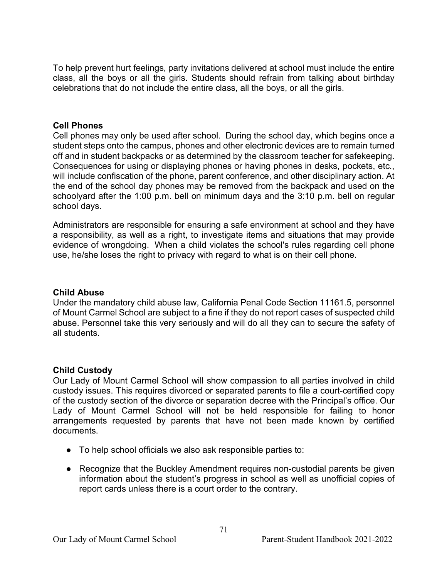To help prevent hurt feelings, party invitations delivered at school must include the entire class, all the boys or all the girls. Students should refrain from talking about birthday celebrations that do not include the entire class, all the boys, or all the girls.

#### **Cell Phones**

Cell phones may only be used after school. During the school day, which begins once a student steps onto the campus, phones and other electronic devices are to remain turned off and in student backpacks or as determined by the classroom teacher for safekeeping. Consequences for using or displaying phones or having phones in desks, pockets, etc., will include confiscation of the phone, parent conference, and other disciplinary action. At the end of the school day phones may be removed from the backpack and used on the schoolyard after the 1:00 p.m. bell on minimum days and the 3:10 p.m. bell on regular school days.

Administrators are responsible for ensuring a safe environment at school and they have a responsibility, as well as a right, to investigate items and situations that may provide evidence of wrongdoing. When a child violates the school's rules regarding cell phone use, he/she loses the right to privacy with regard to what is on their cell phone.

#### **Child Abuse**

Under the mandatory child abuse law, California Penal Code Section 11161.5, personnel of Mount Carmel School are subject to a fine if they do not report cases of suspected child abuse. Personnel take this very seriously and will do all they can to secure the safety of all students.

#### **Child Custody**

Our Lady of Mount Carmel School will show compassion to all parties involved in child custody issues. This requires divorced or separated parents to file a court-certified copy of the custody section of the divorce or separation decree with the Principal's office. Our Lady of Mount Carmel School will not be held responsible for failing to honor arrangements requested by parents that have not been made known by certified documents.

- To help school officials we also ask responsible parties to:
- Recognize that the Buckley Amendment requires non-custodial parents be given information about the student's progress in school as well as unofficial copies of report cards unless there is a court order to the contrary.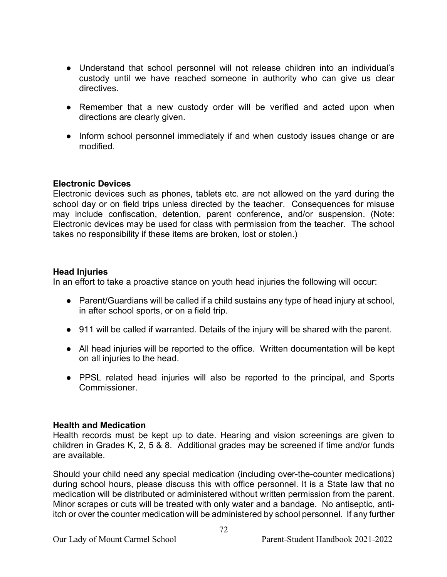- Understand that school personnel will not release children into an individual's custody until we have reached someone in authority who can give us clear directives.
- Remember that a new custody order will be verified and acted upon when directions are clearly given.
- Inform school personnel immediately if and when custody issues change or are modified.

#### **Electronic Devices**

Electronic devices such as phones, tablets etc. are not allowed on the yard during the school day or on field trips unless directed by the teacher. Consequences for misuse may include confiscation, detention, parent conference, and/or suspension. (Note: Electronic devices may be used for class with permission from the teacher. The school takes no responsibility if these items are broken, lost or stolen.)

#### **Head Injuries**

In an effort to take a proactive stance on youth head injuries the following will occur:

- Parent/Guardians will be called if a child sustains any type of head injury at school, in after school sports, or on a field trip.
- 911 will be called if warranted. Details of the injury will be shared with the parent.
- All head injuries will be reported to the office. Written documentation will be kept on all injuries to the head.
- PPSL related head injuries will also be reported to the principal, and Sports Commissioner.

#### **Health and Medication**

Health records must be kept up to date. Hearing and vision screenings are given to children in Grades K, 2, 5 & 8. Additional grades may be screened if time and/or funds are available.

Should your child need any special medication (including over-the-counter medications) during school hours, please discuss this with office personnel. It is a State law that no medication will be distributed or administered without written permission from the parent. Minor scrapes or cuts will be treated with only water and a bandage. No antiseptic, antiitch or over the counter medication will be administered by school personnel. If any further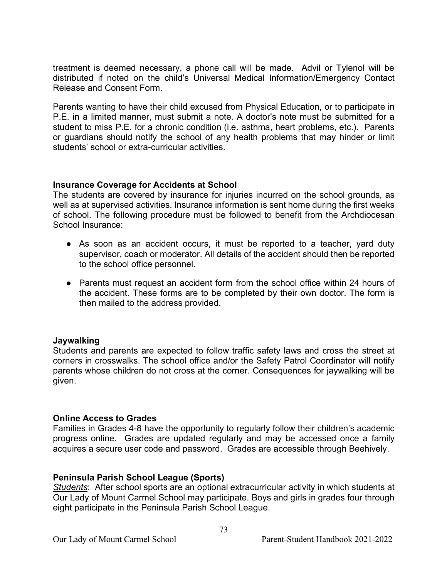treatment is deemed necessary, a phone call will be made. Advil or Tylenol will be distributed if noted on the child's Universal Medical Information/Emergency Contact Release and Consent Form.

Parents wanting to have their child excused from Physical Education, or to participate in P.E. in a limited manner, must submit a note. A doctor's note must be submitted for a student to miss P.E. for a chronic condition (i.e. asthma, heart problems, etc.). Parents or guardians should notify the school of any health problems that may hinder or limit students' school or extra-curricular activities.

#### **Insurance Coverage for Accidents at School**

The students are covered by insurance for injuries incurred on the school grounds, as well as at supervised activities. Insurance information is sent home during the first weeks of school. The following procedure must be followed to benefit from the Archdiocesan School Insurance:

- As soon as an accident occurs, it must be reported to a teacher, yard duty supervisor, coach or moderator. All details of the accident should then be reported to the school office personnel.
- Parents must request an accident form from the school office within 24 hours of the accident. These forms are to be completed by their own doctor. The form is then mailed to the address provided.

#### **Jaywalking**

Students and parents are expected to follow traffic safety laws and cross the street at corners in crosswalks. The school office and/or the Safety Patrol Coordinator will notify parents whose children do not cross at the corner. Consequences for jaywalking will be given.

## **Online Access to Grades**

Families in Grades 4-8 have the opportunity to regularly follow their children's academic progress online. Grades are updated regularly and may be accessed once a family acquires a secure user code and password. Grades are accessible through Beehively.

## **Peninsula Parish School League (Sports)**

*Students*: After school sports are an optional extracurricular activity in which students at Our Lady of Mount Carmel School may participate. Boys and girls in grades four through eight participate in the Peninsula Parish School League.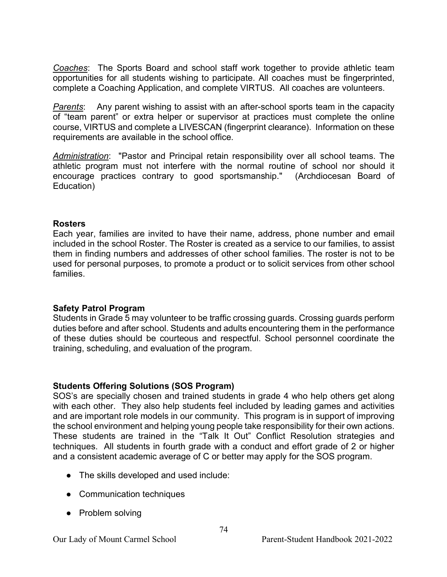*Coaches*: The Sports Board and school staff work together to provide athletic team opportunities for all students wishing to participate. All coaches must be fingerprinted, complete a Coaching Application, and complete VIRTUS. All coaches are volunteers.

*Parents*: Any parent wishing to assist with an after-school sports team in the capacity of "team parent" or extra helper or supervisor at practices must complete the online course, VIRTUS and complete a LIVESCAN (fingerprint clearance). Information on these requirements are available in the school office.

*Administration*: "Pastor and Principal retain responsibility over all school teams. The athletic program must not interfere with the normal routine of school nor should it encourage practices contrary to good sportsmanship." (Archdiocesan Board of Education)

#### **Rosters**

Each year, families are invited to have their name, address, phone number and email included in the school Roster. The Roster is created as a service to our families, to assist them in finding numbers and addresses of other school families. The roster is not to be used for personal purposes, to promote a product or to solicit services from other school families.

#### **Safety Patrol Program**

Students in Grade 5 may volunteer to be traffic crossing guards. Crossing guards perform duties before and after school. Students and adults encountering them in the performance of these duties should be courteous and respectful. School personnel coordinate the training, scheduling, and evaluation of the program.

## **Students Offering Solutions (SOS Program)**

SOS's are specially chosen and trained students in grade 4 who help others get along with each other. They also help students feel included by leading games and activities and are important role models in our community. This program is in support of improving the school environment and helping young people take responsibility for their own actions. These students are trained in the "Talk It Out" Conflict Resolution strategies and techniques. All students in fourth grade with a conduct and effort grade of 2 or higher and a consistent academic average of C or better may apply for the SOS program.

- The skills developed and used include:
- Communication techniques
- Problem solving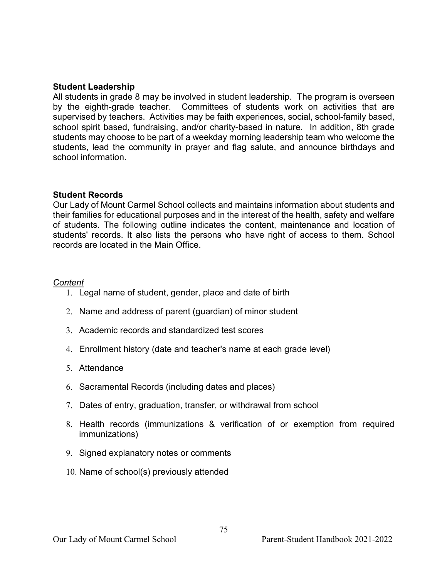#### **Student Leadership**

All students in grade 8 may be involved in student leadership. The program is overseen by the eighth-grade teacher. Committees of students work on activities that are supervised by teachers. Activities may be faith experiences, social, school-family based, school spirit based, fundraising, and/or charity-based in nature. In addition, 8th grade students may choose to be part of a weekday morning leadership team who welcome the students, lead the community in prayer and flag salute, and announce birthdays and school information.

#### **Student Records**

Our Lady of Mount Carmel School collects and maintains information about students and their families for educational purposes and in the interest of the health, safety and welfare of students. The following outline indicates the content, maintenance and location of students' records. It also lists the persons who have right of access to them. School records are located in the Main Office.

#### *Content*

- 1. Legal name of student, gender, place and date of birth
- 2. Name and address of parent (guardian) of minor student
- 3. Academic records and standardized test scores
- 4. Enrollment history (date and teacher's name at each grade level)
- 5. Attendance
- 6. Sacramental Records (including dates and places)
- 7. Dates of entry, graduation, transfer, or withdrawal from school
- 8. Health records (immunizations & verification of or exemption from required immunizations)
- 9. Signed explanatory notes or comments
- 10. Name of school(s) previously attended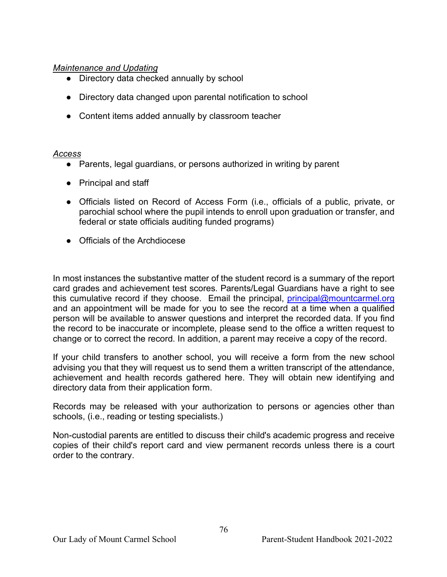## *Maintenance and Updating*

- Directory data checked annually by school
- Directory data changed upon parental notification to school
- Content items added annually by classroom teacher

## *Access*

- Parents, legal guardians, or persons authorized in writing by parent
- Principal and staff
- Officials listed on Record of Access Form (i.e., officials of a public, private, or parochial school where the pupil intends to enroll upon graduation or transfer, and federal or state officials auditing funded programs)
- Officials of the Archdiocese

In most instances the substantive matter of the student record is a summary of the report card grades and achievement test scores. Parents/Legal Guardians have a right to see this cumulative record if they choose. Email the principal, principal@mountcarmel.org and an appointment will be made for you to see the record at a time when a qualified person will be available to answer questions and interpret the recorded data. If you find the record to be inaccurate or incomplete, please send to the office a written request to change or to correct the record. In addition, a parent may receive a copy of the record.

If your child transfers to another school, you will receive a form from the new school advising you that they will request us to send them a written transcript of the attendance, achievement and health records gathered here. They will obtain new identifying and directory data from their application form.

Records may be released with your authorization to persons or agencies other than schools, (i.e., reading or testing specialists.)

Non-custodial parents are entitled to discuss their child's academic progress and receive copies of their child's report card and view permanent records unless there is a court order to the contrary.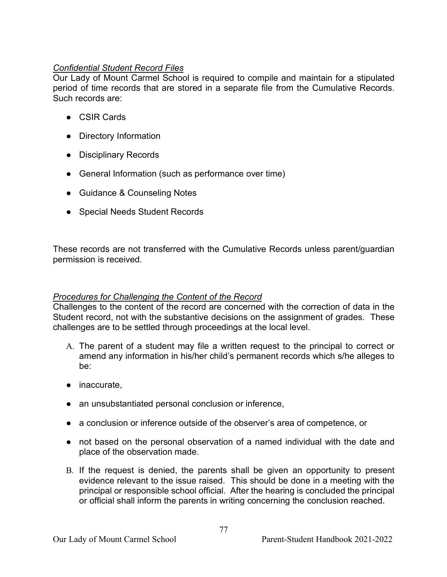## *Confidential Student Record Files*

Our Lady of Mount Carmel School is required to compile and maintain for a stipulated period of time records that are stored in a separate file from the Cumulative Records. Such records are:

- CSIR Cards
- Directory Information
- Disciplinary Records
- General Information (such as performance over time)
- Guidance & Counseling Notes
- Special Needs Student Records

These records are not transferred with the Cumulative Records unless parent/guardian permission is received.

#### *Procedures for Challenging the Content of the Record*

Challenges to the content of the record are concerned with the correction of data in the Student record, not with the substantive decisions on the assignment of grades. These challenges are to be settled through proceedings at the local level.

- A. The parent of a student may file a written request to the principal to correct or amend any information in his/her child's permanent records which s/he alleges to be:
- inaccurate,
- an unsubstantiated personal conclusion or inference,
- a conclusion or inference outside of the observer's area of competence, or
- not based on the personal observation of a named individual with the date and place of the observation made.
- B. If the request is denied, the parents shall be given an opportunity to present evidence relevant to the issue raised. This should be done in a meeting with the principal or responsible school official. After the hearing is concluded the principal or official shall inform the parents in writing concerning the conclusion reached.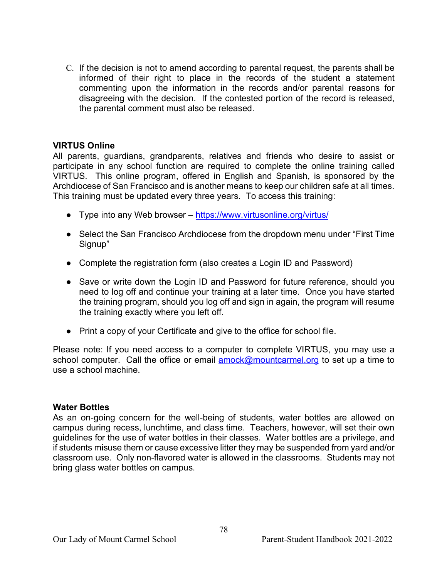C. If the decision is not to amend according to parental request, the parents shall be informed of their right to place in the records of the student a statement commenting upon the information in the records and/or parental reasons for disagreeing with the decision. If the contested portion of the record is released, the parental comment must also be released.

#### **VIRTUS Online**

All parents, guardians, grandparents, relatives and friends who desire to assist or participate in any school function are required to complete the online training called VIRTUS. This online program, offered in English and Spanish, is sponsored by the Archdiocese of San Francisco and is another means to keep our children safe at all times. This training must be updated every three years. To access this training:

- Type into any Web browser https://www.virtusonline.org/virtus/
- Select the San Francisco Archdiocese from the dropdown menu under "First Time Signup"
- Complete the registration form (also creates a Login ID and Password)
- Save or write down the Login ID and Password for future reference, should you need to log off and continue your training at a later time. Once you have started the training program, should you log off and sign in again, the program will resume the training exactly where you left off.
- Print a copy of your Certificate and give to the office for school file.

Please note: If you need access to a computer to complete VIRTUS, you may use a school computer. Call the office or email  $amock@mountcarmel.org$  to set up a time to use a school machine.

#### **Water Bottles**

As an on-going concern for the well-being of students, water bottles are allowed on campus during recess, lunchtime, and class time. Teachers, however, will set their own guidelines for the use of water bottles in their classes. Water bottles are a privilege, and if students misuse them or cause excessive litter they may be suspended from yard and/or classroom use. Only non-flavored water is allowed in the classrooms. Students may not bring glass water bottles on campus.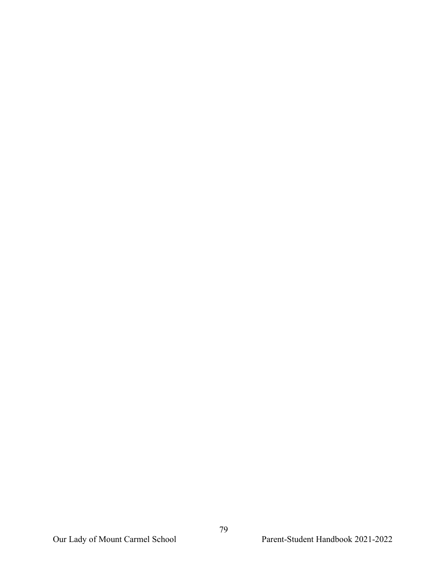Our Lady of Mount Carmel School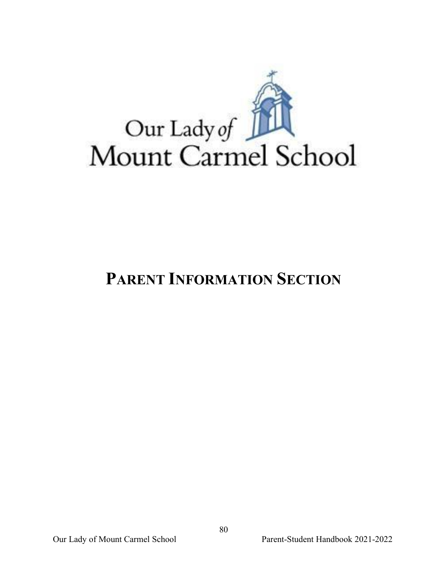

# **PARENT INFORMATION SECTION**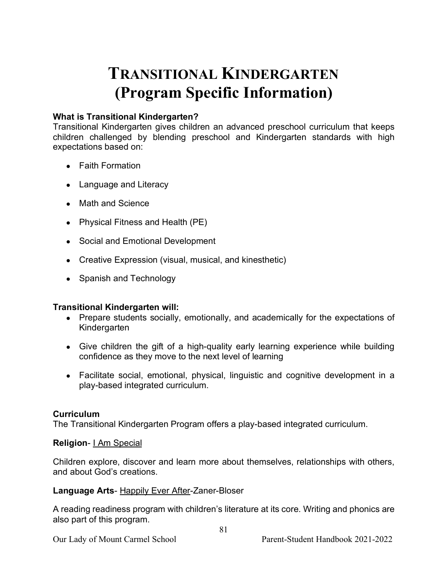# **TRANSITIONAL KINDERGARTEN (Program Specific Information)**

#### **What is Transitional Kindergarten?**

Transitional Kindergarten gives children an advanced preschool curriculum that keeps children challenged by blending preschool and Kindergarten standards with high expectations based on:

- Faith Formation
- Language and Literacy
- Math and Science
- Physical Fitness and Health (PE)
- Social and Emotional Development
- Creative Expression (visual, musical, and kinesthetic)
- Spanish and Technology

#### **Transitional Kindergarten will:**

- Prepare students socially, emotionally, and academically for the expectations of Kindergarten
- Give children the gift of a high-quality early learning experience while building confidence as they move to the next level of learning
- Facilitate social, emotional, physical, linguistic and cognitive development in a play-based integrated curriculum.

#### **Curriculum**

The Transitional Kindergarten Program offers a play-based integrated curriculum.

#### **Religion**- I Am Special

Children explore, discover and learn more about themselves, relationships with others, and about God's creations.

#### **Language Arts**- Happily Ever After-Zaner-Bloser

A reading readiness program with children's literature at its core. Writing and phonics are also part of this program.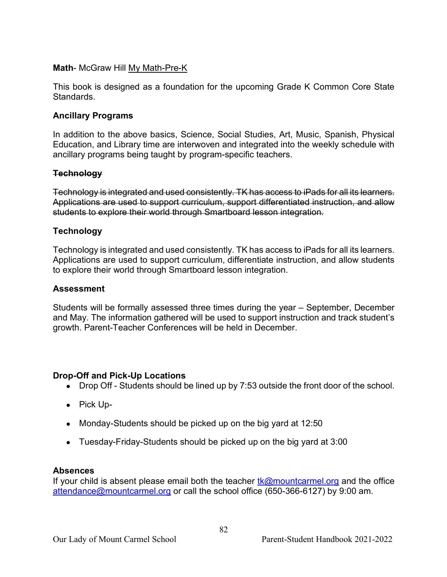## **Math**- McGraw Hill My Math-Pre-K

This book is designed as a foundation for the upcoming Grade K Common Core State Standards.

## **Ancillary Programs**

In addition to the above basics, Science, Social Studies, Art, Music, Spanish, Physical Education, and Library time are interwoven and integrated into the weekly schedule with ancillary programs being taught by program-specific teachers.

## **Technology**

Technology is integrated and used consistently. TK has access to iPads for all its learners. Applications are used to support curriculum, support differentiated instruction, and allow students to explore their world through Smartboard lesson integration.

## **Technology**

Technology is integrated and used consistently. TK has access to iPads for all its learners. Applications are used to support curriculum, differentiate instruction, and allow students to explore their world through Smartboard lesson integration.

#### **Assessment**

Students will be formally assessed three times during the year – September, December and May. The information gathered will be used to support instruction and track student's growth. Parent-Teacher Conferences will be held in December.

#### **Drop-Off and Pick-Up Locations**

- Drop Off Students should be lined up by 7:53 outside the front door of the school.
- Pick Up-
- Monday-Students should be picked up on the big yard at 12:50
- Tuesday-Friday-Students should be picked up on the big yard at 3:00

#### **Absences**

If your child is absent please email both the teacher  $t \kappa \omega$  mountcarmel.org and the office attendance@mountcarmel.org or call the school office (650-366-6127) by 9:00 am.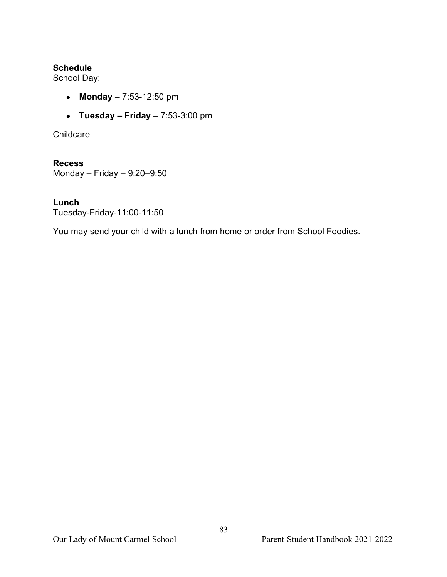## **Schedule**

School Day:

- **Monday** 7:53-12:50 pm
- **Tuesday – Friday** 7:53-3:00 pm

**Childcare** 

## **Recess**

Monday – Friday – 9:20–9:50

## **Lunch**

Tuesday-Friday-11:00-11:50

You may send your child with a lunch from home or order from School Foodies.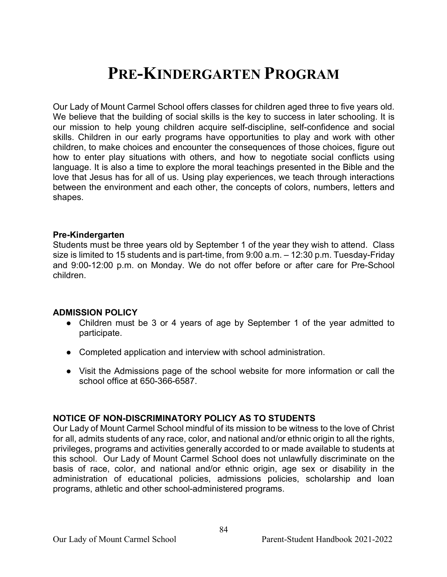# **PRE-KINDERGARTEN PROGRAM**

Our Lady of Mount Carmel School offers classes for children aged three to five years old. We believe that the building of social skills is the key to success in later schooling. It is our mission to help young children acquire self-discipline, self-confidence and social skills. Children in our early programs have opportunities to play and work with other children, to make choices and encounter the consequences of those choices, figure out how to enter play situations with others, and how to negotiate social conflicts using language. It is also a time to explore the moral teachings presented in the Bible and the love that Jesus has for all of us. Using play experiences, we teach through interactions between the environment and each other, the concepts of colors, numbers, letters and shapes.

#### **Pre-Kindergarten**

Students must be three years old by September 1 of the year they wish to attend. Class size is limited to 15 students and is part-time, from 9:00 a.m. – 12:30 p.m. Tuesday-Friday and 9:00-12:00 p.m. on Monday. We do not offer before or after care for Pre-School children.

#### **ADMISSION POLICY**

- Children must be 3 or 4 years of age by September 1 of the year admitted to participate.
- Completed application and interview with school administration.
- Visit the Admissions page of the school website for more information or call the school office at 650-366-6587.

## **NOTICE OF NON-DISCRIMINATORY POLICY AS TO STUDENTS**

Our Lady of Mount Carmel School mindful of its mission to be witness to the love of Christ for all, admits students of any race, color, and national and/or ethnic origin to all the rights, privileges, programs and activities generally accorded to or made available to students at this school. Our Lady of Mount Carmel School does not unlawfully discriminate on the basis of race, color, and national and/or ethnic origin, age sex or disability in the administration of educational policies, admissions policies, scholarship and loan programs, athletic and other school-administered programs.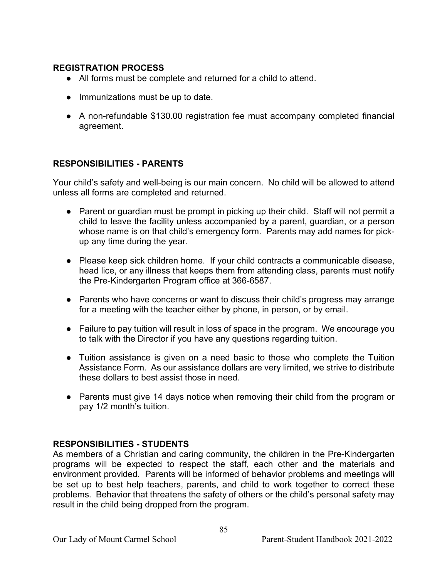### **REGISTRATION PROCESS**

- All forms must be complete and returned for a child to attend.
- Immunizations must be up to date.
- A non-refundable \$130.00 registration fee must accompany completed financial agreement.

## **RESPONSIBILITIES - PARENTS**

Your child's safety and well-being is our main concern. No child will be allowed to attend unless all forms are completed and returned.

- Parent or guardian must be prompt in picking up their child. Staff will not permit a child to leave the facility unless accompanied by a parent, guardian, or a person whose name is on that child's emergency form. Parents may add names for pickup any time during the year.
- Please keep sick children home. If your child contracts a communicable disease, head lice, or any illness that keeps them from attending class, parents must notify the Pre-Kindergarten Program office at 366-6587.
- Parents who have concerns or want to discuss their child's progress may arrange for a meeting with the teacher either by phone, in person, or by email.
- Failure to pay tuition will result in loss of space in the program. We encourage you to talk with the Director if you have any questions regarding tuition.
- Tuition assistance is given on a need basic to those who complete the Tuition Assistance Form. As our assistance dollars are very limited, we strive to distribute these dollars to best assist those in need.
- Parents must give 14 days notice when removing their child from the program or pay 1/2 month's tuition.

## **RESPONSIBILITIES - STUDENTS**

As members of a Christian and caring community, the children in the Pre-Kindergarten programs will be expected to respect the staff, each other and the materials and environment provided. Parents will be informed of behavior problems and meetings will be set up to best help teachers, parents, and child to work together to correct these problems. Behavior that threatens the safety of others or the child's personal safety may result in the child being dropped from the program.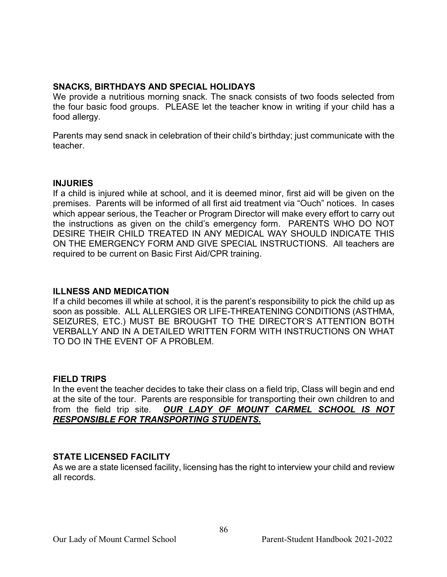#### **SNACKS, BIRTHDAYS AND SPECIAL HOLIDAYS**

We provide a nutritious morning snack. The snack consists of two foods selected from the four basic food groups. PLEASE let the teacher know in writing if your child has a food allergy.

Parents may send snack in celebration of their child's birthday; just communicate with the teacher.

## **INJURIES**

If a child is injured while at school, and it is deemed minor, first aid will be given on the premises. Parents will be informed of all first aid treatment via "Ouch" notices. In cases which appear serious, the Teacher or Program Director will make every effort to carry out the instructions as given on the child's emergency form. PARENTS WHO DO NOT DESIRE THEIR CHILD TREATED IN ANY MEDICAL WAY SHOULD INDICATE THIS ON THE EMERGENCY FORM AND GIVE SPECIAL INSTRUCTIONS. All teachers are required to be current on Basic First Aid/CPR training.

#### **ILLNESS AND MEDICATION**

If a child becomes ill while at school, it is the parent's responsibility to pick the child up as soon as possible. ALL ALLERGIES OR LIFE-THREATENING CONDITIONS (ASTHMA, SEIZURES, ETC.) MUST BE BROUGHT TO THE DIRECTOR'S ATTENTION BOTH VERBALLY AND IN A DETAILED WRITTEN FORM WITH INSTRUCTIONS ON WHAT TO DO IN THE EVENT OF A PROBLEM.

#### **FIELD TRIPS**

In the event the teacher decides to take their class on a field trip, Class will begin and end at the site of the tour. Parents are responsible for transporting their own children to and from the field trip site. *OUR LADY OF MOUNT CARMEL SCHOOL IS NOT RESPONSIBLE FOR TRANSPORTING STUDENTS.*

## **STATE LICENSED FACILITY**

As we are a state licensed facility, licensing has the right to interview your child and review all records.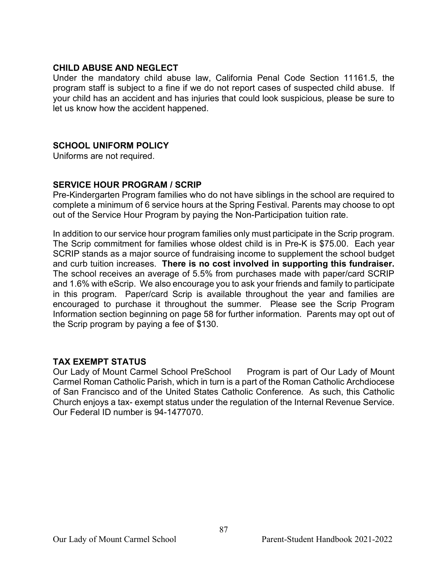#### **CHILD ABUSE AND NEGLECT**

Under the mandatory child abuse law, California Penal Code Section 11161.5, the program staff is subject to a fine if we do not report cases of suspected child abuse. If your child has an accident and has injuries that could look suspicious, please be sure to let us know how the accident happened.

## **SCHOOL UNIFORM POLICY**

Uniforms are not required.

## **SERVICE HOUR PROGRAM / SCRIP**

Pre-Kindergarten Program families who do not have siblings in the school are required to complete a minimum of 6 service hours at the Spring Festival. Parents may choose to opt out of the Service Hour Program by paying the Non-Participation tuition rate.

In addition to our service hour program families only must participate in the Scrip program. The Scrip commitment for families whose oldest child is in Pre-K is \$75.00. Each year SCRIP stands as a major source of fundraising income to supplement the school budget and curb tuition increases. **There is no cost involved in supporting this fundraiser.** The school receives an average of 5.5% from purchases made with paper/card SCRIP and 1.6% with eScrip. We also encourage you to ask your friends and family to participate in this program. Paper/card Scrip is available throughout the year and families are encouraged to purchase it throughout the summer. Please see the Scrip Program Information section beginning on page 58 for further information. Parents may opt out of the Scrip program by paying a fee of \$130.

## **TAX EXEMPT STATUS**

Our Lady of Mount Carmel School PreSchool Program is part of Our Lady of Mount Carmel Roman Catholic Parish, which in turn is a part of the Roman Catholic Archdiocese of San Francisco and of the United States Catholic Conference. As such, this Catholic Church enjoys a tax- exempt status under the regulation of the Internal Revenue Service. Our Federal ID number is 94-1477070.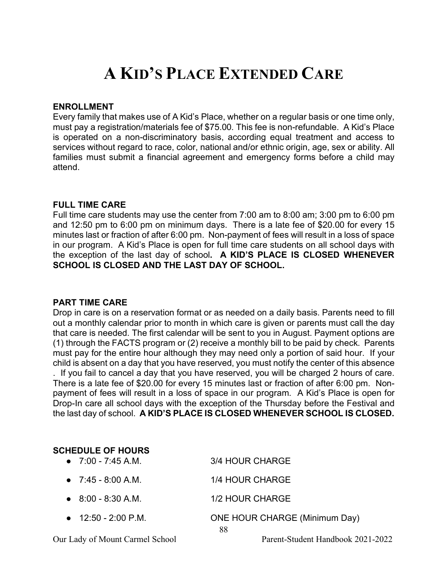# **A KID'S PLACE EXTENDED CARE**

#### **ENROLLMENT**

Every family that makes use of A Kid's Place, whether on a regular basis or one time only, must pay a registration/materials fee of \$75.00. This fee is non-refundable. A Kid's Place is operated on a non-discriminatory basis, according equal treatment and access to services without regard to race, color, national and/or ethnic origin, age, sex or ability. All families must submit a financial agreement and emergency forms before a child may attend.

#### **FULL TIME CARE**

Full time care students may use the center from 7:00 am to 8:00 am; 3:00 pm to 6:00 pm and 12:50 pm to 6:00 pm on minimum days. There is a late fee of \$20.00 for every 15 minutes last or fraction of after 6:00 pm. Non-payment of fees will result in a loss of space in our program.A Kid's Place is open for full time care students on all school days with the exception of the last day of school**. A KID'S PLACE IS CLOSED WHENEVER SCHOOL IS CLOSED AND THE LAST DAY OF SCHOOL.**

#### **PART TIME CARE**

Drop in care is on a reservation format or as needed on a daily basis. Parents need to fill out a monthly calendar prior to month in which care is given or parents must call the day that care is needed. The first calendar will be sent to you in August. Payment options are (1) through the FACTS program or (2) receive a monthly bill to be paid by check. Parents must pay for the entire hour although they may need only a portion of said hour. If your child is absent on a day that you have reserved, you must notify the center of this absence . If you fail to cancel a day that you have reserved, you will be charged 2 hours of care. There is a late fee of \$20.00 for every 15 minutes last or fraction of after 6:00 pm. Nonpayment of fees will result in a loss of space in our program. A Kid's Place is open for Drop-In care all school days with the exception of the Thursday before the Festival and the last day of school. **A KID'S PLACE IS CLOSED WHENEVER SCHOOL IS CLOSED.**

#### **SCHEDULE OF HOURS**

| • $7:00 - 7:45$ A.M.        | 3/4 HOUR CHARGE                            |
|-----------------------------|--------------------------------------------|
| • $7:45 - 8:00$ A.M.        | 1/4 HOUR CHARGE                            |
| • $8:00 - 8:30$ A.M.        | 1/2 HOUR CHARGE                            |
| $\bullet$ 12:50 - 2:00 P.M. | <b>ONE HOUR CHARGE (Minimum Day)</b><br>88 |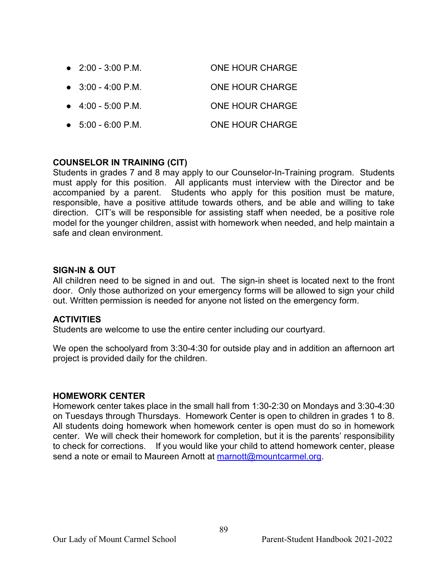- 2:00 3:00 P.M. ONE HOUR CHARGE
- 3:00 4:00 P.M. ONE HOUR CHARGE
- 4:00 5:00 P.M. ONE HOUR CHARGE
- 5:00 6:00 P.M. ONE HOUR CHARGE

## **COUNSELOR IN TRAINING (CIT)**

Students in grades 7 and 8 may apply to our Counselor-In-Training program. Students must apply for this position. All applicants must interview with the Director and be accompanied by a parent. Students who apply for this position must be mature, responsible, have a positive attitude towards others, and be able and willing to take direction. CIT's will be responsible for assisting staff when needed, be a positive role model for the younger children, assist with homework when needed, and help maintain a safe and clean environment.

#### **SIGN-IN & OUT**

All children need to be signed in and out. The sign-in sheet is located next to the front door. Only those authorized on your emergency forms will be allowed to sign your child out. Written permission is needed for anyone not listed on the emergency form.

#### **ACTIVITIES**

Students are welcome to use the entire center including our courtyard.

We open the schoolyard from 3:30-4:30 for outside play and in addition an afternoon art project is provided daily for the children.

#### **HOMEWORK CENTER**

Homework center takes place in the small hall from 1:30-2:30 on Mondays and 3:30-4:30 on Tuesdays through Thursdays. Homework Center is open to children in grades 1 to 8. All students doing homework when homework center is open must do so in homework center. We will check their homework for completion, but it is the parents' responsibility to check for corrections. If you would like your child to attend homework center, please send a note or email to Maureen Arnott at marnott@mountcarmel.org.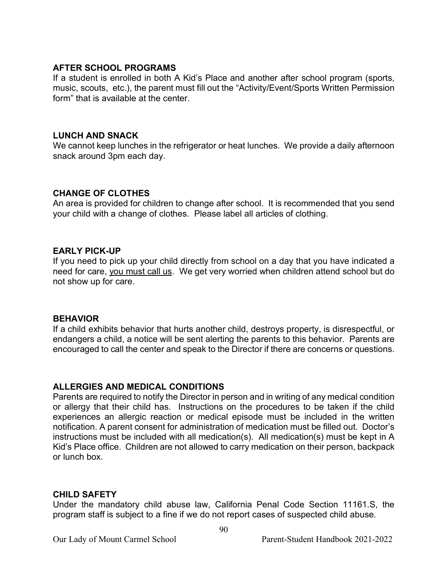#### **AFTER SCHOOL PROGRAMS**

If a student is enrolled in both A Kid's Place and another after school program (sports, music, scouts, etc.), the parent must fill out the "Activity/Event/Sports Written Permission form" that is available at the center.

#### **LUNCH AND SNACK**

We cannot keep lunches in the refrigerator or heat lunches. We provide a daily afternoon snack around 3pm each day.

## **CHANGE OF CLOTHES**

An area is provided for children to change after school. It is recommended that you send your child with a change of clothes. Please label all articles of clothing.

## **EARLY PICK-UP**

If you need to pick up your child directly from school on a day that you have indicated a need for care, you must call us. We get very worried when children attend school but do not show up for care.

#### **BEHAVIOR**

If a child exhibits behavior that hurts another child, destroys property, is disrespectful, or endangers a child, a notice will be sent alerting the parents to this behavior. Parents are encouraged to call the center and speak to the Director if there are concerns or questions.

## **ALLERGIES AND MEDICAL CONDITIONS**

Parents are required to notify the Director in person and in writing of any medical condition or allergy that their child has. Instructions on the procedures to be taken if the child experiences an allergic reaction or medical episode must be included in the written notification. A parent consent for administration of medication must be filled out. Doctor's instructions must be included with all medication(s). All medication(s) must be kept in A Kid's Place office. Children are not allowed to carry medication on their person, backpack or lunch box.

#### **CHILD SAFETY**

Under the mandatory child abuse law, California Penal Code Section 11161.S, the program staff is subject to a fine if we do not report cases of suspected child abuse.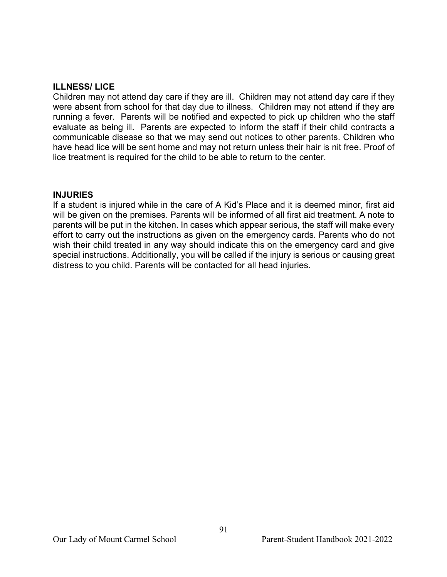#### **ILLNESS/ LICE**

Children may not attend day care if they are ill. Children may not attend day care if they were absent from school for that day due to illness. Children may not attend if they are running a fever. Parents will be notified and expected to pick up children who the staff evaluate as being ill. Parents are expected to inform the staff if their child contracts a communicable disease so that we may send out notices to other parents. Children who have head lice will be sent home and may not return unless their hair is nit free. Proof of lice treatment is required for the child to be able to return to the center.

#### **INJURIES**

If a student is injured while in the care of A Kid's Place and it is deemed minor, first aid will be given on the premises. Parents will be informed of all first aid treatment. A note to parents will be put in the kitchen. In cases which appear serious, the staff will make every effort to carry out the instructions as given on the emergency cards. Parents who do not wish their child treated in any way should indicate this on the emergency card and give special instructions. Additionally, you will be called if the injury is serious or causing great distress to you child. Parents will be contacted for all head injuries.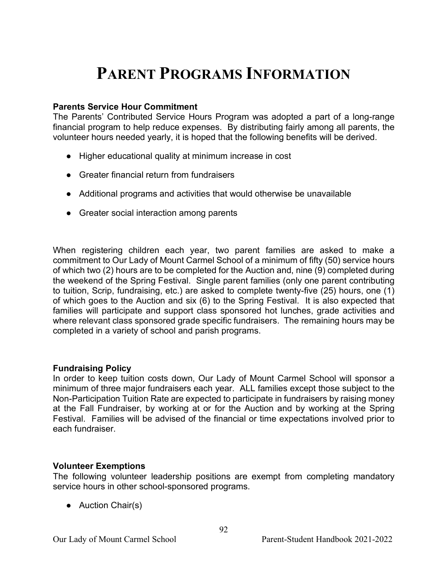# **PARENT PROGRAMS INFORMATION**

#### **Parents Service Hour Commitment**

The Parents' Contributed Service Hours Program was adopted a part of a long-range financial program to help reduce expenses. By distributing fairly among all parents, the volunteer hours needed yearly, it is hoped that the following benefits will be derived.

- Higher educational quality at minimum increase in cost
- Greater financial return from fundraisers
- Additional programs and activities that would otherwise be unavailable
- Greater social interaction among parents

When registering children each year, two parent families are asked to make a commitment to Our Lady of Mount Carmel School of a minimum of fifty (50) service hours of which two (2) hours are to be completed for the Auction and, nine (9) completed during the weekend of the Spring Festival. Single parent families (only one parent contributing to tuition, Scrip, fundraising, etc.) are asked to complete twenty-five (25) hours, one (1) of which goes to the Auction and six (6) to the Spring Festival. It is also expected that families will participate and support class sponsored hot lunches, grade activities and where relevant class sponsored grade specific fundraisers. The remaining hours may be completed in a variety of school and parish programs.

#### **Fundraising Policy**

In order to keep tuition costs down, Our Lady of Mount Carmel School will sponsor a minimum of three major fundraisers each year. ALL families except those subject to the Non-Participation Tuition Rate are expected to participate in fundraisers by raising money at the Fall Fundraiser, by working at or for the Auction and by working at the Spring Festival. Families will be advised of the financial or time expectations involved prior to each fundraiser.

#### **Volunteer Exemptions**

The following volunteer leadership positions are exempt from completing mandatory service hours in other school-sponsored programs.

● Auction Chair(s)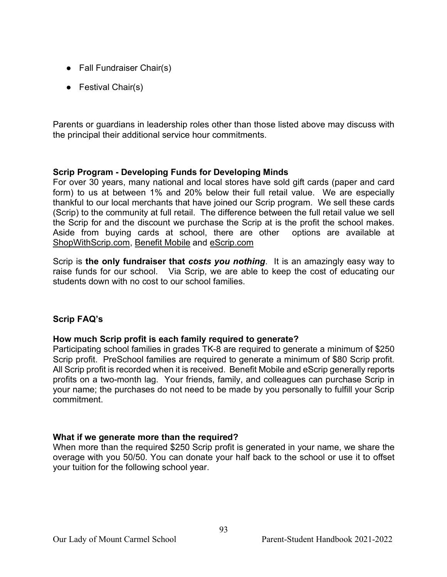- Fall Fundraiser Chair(s)
- Festival Chair(s)

Parents or guardians in leadership roles other than those listed above may discuss with the principal their additional service hour commitments.

## **Scrip Program - Developing Funds for Developing Minds**

For over 30 years, many national and local stores have sold gift cards (paper and card form) to us at between 1% and 20% below their full retail value. We are especially thankful to our local merchants that have joined our Scrip program. We sell these cards (Scrip) to the community at full retail. The difference between the full retail value we sell the Scrip for and the discount we purchase the Scrip at is the profit the school makes. Aside from buying cards at school, there are other options are available at ShopWithScrip.com, Benefit Mobile and eScrip.com

Scrip is **the only fundraiser that** *costs you nothing*. It is an amazingly easy way to raise funds for our school. Via Scrip, we are able to keep the cost of educating our students down with no cost to our school families.

#### **Scrip FAQ's**

#### **How much Scrip profit is each family required to generate?**

Participating school families in grades TK-8 are required to generate a minimum of \$250 Scrip profit. PreSchool families are required to generate a minimum of \$80 Scrip profit. All Scrip profit is recorded when it is received. Benefit Mobile and eScrip generally reports profits on a two-month lag. Your friends, family, and colleagues can purchase Scrip in your name; the purchases do not need to be made by you personally to fulfill your Scrip commitment.

#### **What if we generate more than the required?**

When more than the required \$250 Scrip profit is generated in your name, we share the overage with you 50/50. You can donate your half back to the school or use it to offset your tuition for the following school year.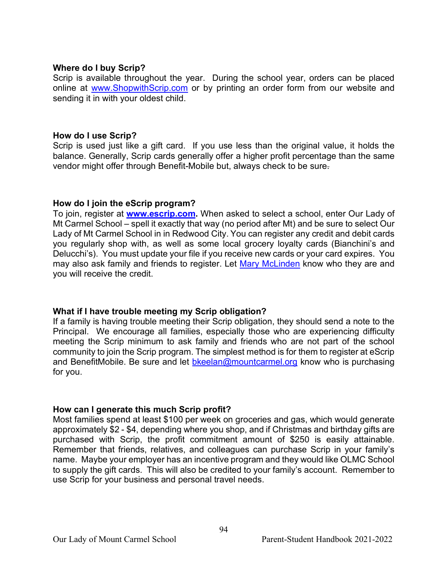#### **Where do I buy Scrip?**

Scrip is available throughout the year. During the school year, orders can be placed online at www.ShopwithScrip.com or by printing an order form from our website and sending it in with your oldest child.

#### **How do I use Scrip?**

Scrip is used just like a gift card. If you use less than the original value, it holds the balance. Generally, Scrip cards generally offer a higher profit percentage than the same vendor might offer through Benefit-Mobile but, always check to be sure.

#### **How do I join the eScrip program?**

To join, register at **www.escrip.com.** When asked to select a school, enter Our Lady of Mt Carmel School – spell it exactly that way (no period after Mt) and be sure to select Our Lady of Mt Carmel School in in Redwood City. You can register any credit and debit cards you regularly shop with, as well as some local grocery loyalty cards (Bianchini's and Delucchi's). You must update your file if you receive new cards or your card expires. You may also ask family and friends to register. Let Mary McLinden know who they are and you will receive the credit.

#### **What if I have trouble meeting my Scrip obligation?**

If a family is having trouble meeting their Scrip obligation, they should send a note to the Principal. We encourage all families, especially those who are experiencing difficulty meeting the Scrip minimum to ask family and friends who are not part of the school community to join the Scrip program. The simplest method is for them to register at eScrip and BenefitMobile. Be sure and let bkeelan@mountcarmel.org know who is purchasing for you.

#### **How can I generate this much Scrip profit?**

Most families spend at least \$100 per week on groceries and gas, which would generate approximately \$2 - \$4, depending where you shop, and if Christmas and birthday gifts are purchased with Scrip, the profit commitment amount of \$250 is easily attainable. Remember that friends, relatives, and colleagues can purchase Scrip in your family's name. Maybe your employer has an incentive program and they would like OLMC School to supply the gift cards. This will also be credited to your family's account. Remember to use Scrip for your business and personal travel needs.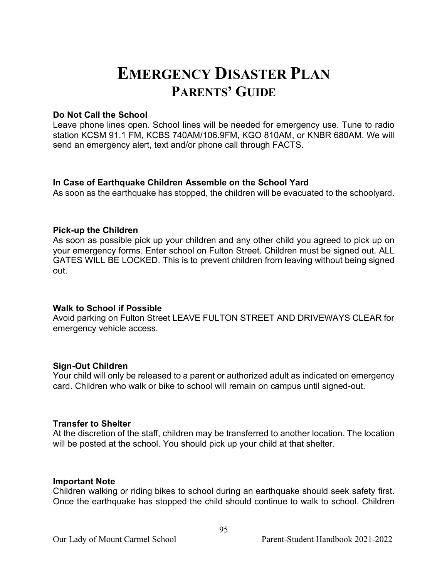# **EMERGENCY DISASTER PLAN PARENTS' GUIDE**

#### **Do Not Call the School**

Leave phone lines open. School lines will be needed for emergency use. Tune to radio station KCSM 91.1 FM, KCBS 740AM/106.9FM, KGO 810AM, or KNBR 680AM. We will send an emergency alert, text and/or phone call through FACTS.

#### **In Case of Earthquake Children Assemble on the School Yard**

As soon as the earthquake has stopped, the children will be evacuated to the schoolyard.

#### **Pick-up the Children**

As soon as possible pick up your children and any other child you agreed to pick up on your emergency forms. Enter school on Fulton Street. Children must be signed out. ALL GATES WILL BE LOCKED. This is to prevent children from leaving without being signed out.

#### **Walk to School if Possible**

Avoid parking on Fulton Street LEAVE FULTON STREET AND DRIVEWAYS CLEAR for emergency vehicle access.

#### **Sign-Out Children**

Your child will only be released to a parent or authorized adult as indicated on emergency card. Children who walk or bike to school will remain on campus until signed-out.

#### **Transfer to Shelter**

At the discretion of the staff, children may be transferred to another location. The location will be posted at the school. You should pick up your child at that shelter.

#### **Important Note**

Children walking or riding bikes to school during an earthquake should seek safety first. Once the earthquake has stopped the child should continue to walk to school. Children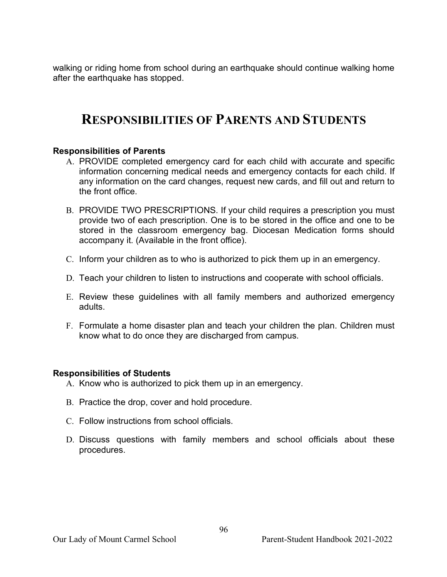walking or riding home from school during an earthquake should continue walking home after the earthquake has stopped.

## **RESPONSIBILITIES OF PARENTS AND STUDENTS**

#### **Responsibilities of Parents**

- A. PROVIDE completed emergency card for each child with accurate and specific information concerning medical needs and emergency contacts for each child. If any information on the card changes, request new cards, and fill out and return to the front office.
- B. PROVIDE TWO PRESCRIPTIONS. If your child requires a prescription you must provide two of each prescription. One is to be stored in the office and one to be stored in the classroom emergency bag. Diocesan Medication forms should accompany it. (Available in the front office).
- C. Inform your children as to who is authorized to pick them up in an emergency.
- D. Teach your children to listen to instructions and cooperate with school officials.
- E. Review these guidelines with all family members and authorized emergency adults.
- F. Formulate a home disaster plan and teach your children the plan. Children must know what to do once they are discharged from campus.

#### **Responsibilities of Students**

- A. Know who is authorized to pick them up in an emergency.
- B. Practice the drop, cover and hold procedure.
- C. Follow instructions from school officials.
- D. Discuss questions with family members and school officials about these procedures.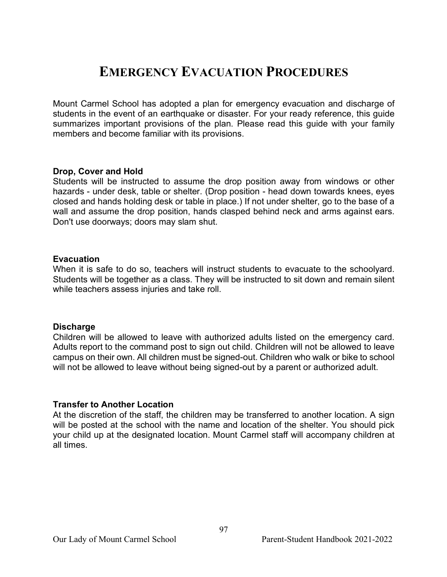## **EMERGENCY EVACUATION PROCEDURES**

Mount Carmel School has adopted a plan for emergency evacuation and discharge of students in the event of an earthquake or disaster. For your ready reference, this guide summarizes important provisions of the plan. Please read this guide with your family members and become familiar with its provisions.

#### **Drop, Cover and Hold**

Students will be instructed to assume the drop position away from windows or other hazards - under desk, table or shelter. (Drop position - head down towards knees, eyes closed and hands holding desk or table in place.) If not under shelter, go to the base of a wall and assume the drop position, hands clasped behind neck and arms against ears. Don't use doorways; doors may slam shut.

#### **Evacuation**

When it is safe to do so, teachers will instruct students to evacuate to the schoolyard. Students will be together as a class. They will be instructed to sit down and remain silent while teachers assess injuries and take roll.

#### **Discharge**

Children will be allowed to leave with authorized adults listed on the emergency card. Adults report to the command post to sign out child. Children will not be allowed to leave campus on their own. All children must be signed-out. Children who walk or bike to school will not be allowed to leave without being signed-out by a parent or authorized adult.

#### **Transfer to Another Location**

At the discretion of the staff, the children may be transferred to another location. A sign will be posted at the school with the name and location of the shelter. You should pick your child up at the designated location. Mount Carmel staff will accompany children at all times.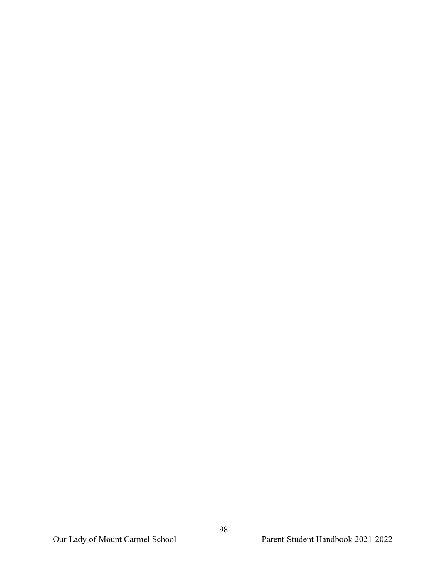Our Lady of Mount Carmel School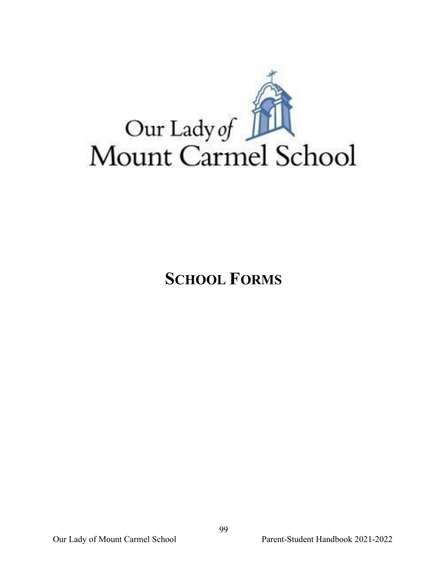

**SCHOOL FORMS**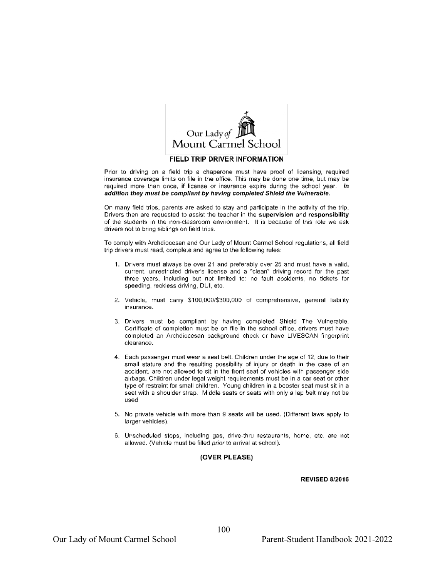

#### FIELD TRIP DRIVER INFORMATION

Prior to driving on a field trip a chaperone must have proof of licensing, required insurance coverage limits on file in the office. This may be done one time, but may be required more than once, if license or insurance expire during the school year. In addition they must be compliant by having completed Shield the Vulnerable.

On many field trips, parents are asked to stay and participate in the activity of the trip. Drivers then are requested to assist the teacher in the supervision and responsibility of the students in the non-classroom environment. It is because of this role we ask drivers not to bring siblings on field trips.

To comply with Archdiocesan and Our Lady of Mount Carmel School regulations, all field trip drivers must read, complete and agree to the following rules:

- 1. Drivers must always be over 21 and preferably over 25 and must have a valid, current, unrestricted driver's license and a "clean" driving record for the past three years, including but not limited to: no fault accidents, no tickets for speeding, reckless driving, DUI, etc.
- 2. Vehicle, must carry \$100,000/\$300,000 of comprehensive, general liability insurance.
- 3. Drivers must be compliant by having completed Shield The Vulnerable. Certificate of completion must be on file in the school office, drivers must have completed an Archdiocesan background check or have LIVESCAN fingerprint clearance.
- 4. Each passenger must wear a seat belt. Children under the age of 12, due to their small stature and the resulting possibility of injury or death in the case of an accident, are not allowed to sit in the front seat of vehicles with passenger side airbags. Children under legal weight requirements must be in a car seat or other type of restraint for small children. Young children in a booster seat must sit in a seat with a shoulder strap. Middle seats or seats with only a lap belt may not be used
- 5. No private vehicle with more than 9 seats will be used. (Different laws apply to larger vehicles).
- 6. Unscheduled stops, including gas, drive-thru restaurants, home, etc. are not allowed. (Vehicle must be filled prior to arrival at school).

#### (OVER PLEASE)

**REVISED 8/2016**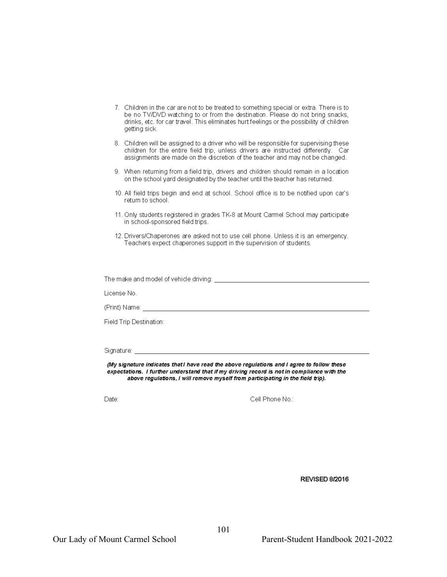- 7. Children in the car are not to be treated to something special or extra. There is to be no TV/DVD watching to or from the destination. Please do not bring snacks, drinks, etc. for car travel. This eliminates hurt feelings or the possibility of children getting sick.
- 8. Children will be assigned to a driver who will be responsible for supervising these children for the entire field trip, unless drivers are instructed differently. Car assignments are made on the discretion of the teacher and may not be changed.
- 9. When returning from a field trip, drivers and children should remain in a location on the school yard designated by the teacher until the teacher has returned.
- 10. All field trips begin and end at school. School office is to be notified upon car's return to school.
- 11. Only students registered in grades TK-8 at Mount Carmel School may participate in school-sponsored field trips.
- 12. Drivers/Chaperones are asked not to use cell phone. Unless it is an emergency. Teachers expect chaperones support in the supervision of students.

License No.

(Print) Name:

Field Trip Destination:

Signature: 1111

(My signature indicates that I have read the above regulations and I agree to follow these expectations. I further understand that if my driving record is not in compliance with the above regulations, I will remove myself from participating in the field trip).

Date:

Cell Phone No.:

**REVISED 8/2016**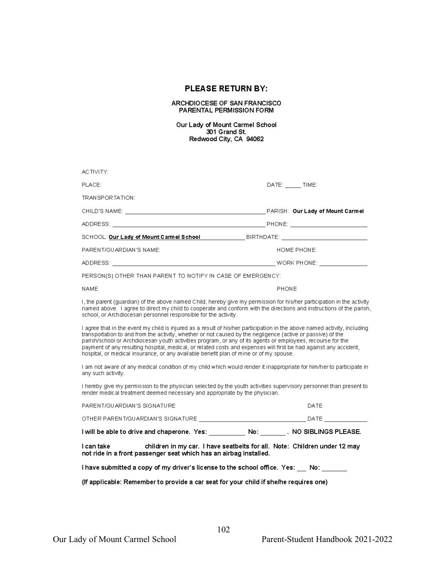#### **PLEASE RETURN BY:**

#### ARCHDIOCESE OF SAN FRANCISCO PARENTAL PERMISSION FORM

#### Our Lady of Mount Carmel School 301 Grand St. Redwood City, CA 94062

| AC TIVITY:                                                                                                                                                                                                                                                                                                                                                                                                                                                                                                                                                             |             |                   |  |  |  |  |  |  |  |  |
|------------------------------------------------------------------------------------------------------------------------------------------------------------------------------------------------------------------------------------------------------------------------------------------------------------------------------------------------------------------------------------------------------------------------------------------------------------------------------------------------------------------------------------------------------------------------|-------------|-------------------|--|--|--|--|--|--|--|--|
| PLACE:                                                                                                                                                                                                                                                                                                                                                                                                                                                                                                                                                                 |             | DATE: _____ TIME: |  |  |  |  |  |  |  |  |
| TRANSPORTATION:                                                                                                                                                                                                                                                                                                                                                                                                                                                                                                                                                        |             |                   |  |  |  |  |  |  |  |  |
|                                                                                                                                                                                                                                                                                                                                                                                                                                                                                                                                                                        |             |                   |  |  |  |  |  |  |  |  |
|                                                                                                                                                                                                                                                                                                                                                                                                                                                                                                                                                                        |             |                   |  |  |  |  |  |  |  |  |
|                                                                                                                                                                                                                                                                                                                                                                                                                                                                                                                                                                        |             |                   |  |  |  |  |  |  |  |  |
| PARENT/GUARDIAN'S NAME:                                                                                                                                                                                                                                                                                                                                                                                                                                                                                                                                                | HOME PHONE: |                   |  |  |  |  |  |  |  |  |
|                                                                                                                                                                                                                                                                                                                                                                                                                                                                                                                                                                        |             |                   |  |  |  |  |  |  |  |  |
| PERSON(S) OTHER THAN PARENT TO NOTIFY IN CASE OF EMERGENCY:                                                                                                                                                                                                                                                                                                                                                                                                                                                                                                            |             |                   |  |  |  |  |  |  |  |  |
| NAME                                                                                                                                                                                                                                                                                                                                                                                                                                                                                                                                                                   | PHONE       |                   |  |  |  |  |  |  |  |  |
| I, the parent (guardian) of the above named Child, hereby give my permission for his/her participation in the activity<br>named above. I agree to direct my child to cooperate and conform with the directions and instructions of the parish,<br>school, or Archdiocesan personnel responsible for the activity.                                                                                                                                                                                                                                                      |             |                   |  |  |  |  |  |  |  |  |
| I agree that in the event my child is injured as a result of his/her participation in the above named activity, including<br>transportation to and from the activity, whether or not caused by the negligence (active or passive) of the<br>parish/school or Archdiocesan youth activities program, or any of its agents or employees, recourse for the<br>payment of any resulting hospital, medical, or related costs and expenses will first be had against any accident,<br>hospital, or medical insurance, or any available benefit plan of mine or of my spouse. |             |                   |  |  |  |  |  |  |  |  |
| I am not aware of any medical condition of my child which would render it inappropriate for him/her to participate in<br>any such activity.                                                                                                                                                                                                                                                                                                                                                                                                                            |             |                   |  |  |  |  |  |  |  |  |
| Thereby give my permission to the physician selected by the youth activities supervisory personnel than present to<br>render medical treatment deemed necessary and appropriate by the physician.                                                                                                                                                                                                                                                                                                                                                                      |             |                   |  |  |  |  |  |  |  |  |
| PARENT/GUARDIAN'S SIGNATURE                                                                                                                                                                                                                                                                                                                                                                                                                                                                                                                                            |             | DATE              |  |  |  |  |  |  |  |  |
|                                                                                                                                                                                                                                                                                                                                                                                                                                                                                                                                                                        |             |                   |  |  |  |  |  |  |  |  |
| I will be able to drive and chaperone. Yes: No: No: No: NO SIBLINGS PLEASE.                                                                                                                                                                                                                                                                                                                                                                                                                                                                                            |             |                   |  |  |  |  |  |  |  |  |
| I can take<br>children in my car. I have seatbelts for all. Note: Children under 12 may<br>not ride in a front passenger seat which has an airbag installed.                                                                                                                                                                                                                                                                                                                                                                                                           |             |                   |  |  |  |  |  |  |  |  |
| I have submitted a copy of my driver's license to the school office. Yes: No:                                                                                                                                                                                                                                                                                                                                                                                                                                                                                          |             |                   |  |  |  |  |  |  |  |  |
|                                                                                                                                                                                                                                                                                                                                                                                                                                                                                                                                                                        |             |                   |  |  |  |  |  |  |  |  |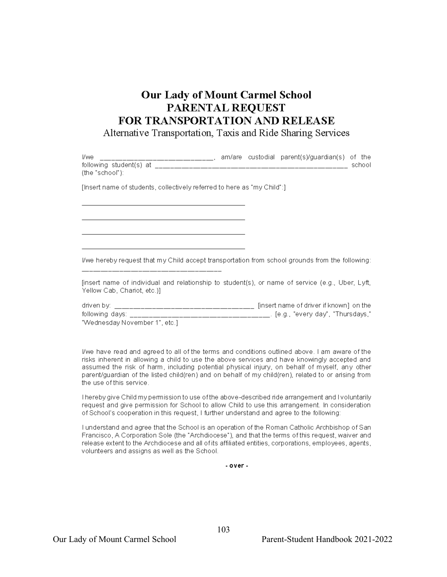## **Our Lady of Mount Carmel School** PARENTAL REQUEST **FOR TRANSPORTATION AND RELEASE**

Alternative Transportation, Taxis and Ride Sharing Services

| //we                    |  |  | am/are custodial parent(s)/guardian(s) of the |  |        |  |
|-------------------------|--|--|-----------------------------------------------|--|--------|--|
| following student(s) at |  |  |                                               |  | school |  |
| (the "school");         |  |  |                                               |  |        |  |

[Insert name of students, collectively referred to here as "my Child":]

I/we hereby request that my Child accept transportation from school grounds from the following:

finsert name of individual and relationship to student(s), or name of service (e.g., Uber, Lyft, Yellow Cab, Chariot, etc.)]

"Wednesday November 1", etc.]

I/we have read and agreed to all of the terms and conditions outlined above. I am aware of the risks inherent in allowing a child to use the above services and have knowingly accepted and assumed the risk of harm, including potential physical injury, on behalf of myself, any other parent/guardian of the listed child(ren) and on behalf of my child(ren), related to or arising from the use of this service.

I hereby give Child my permission to use of the above-described ride arrangement and I voluntarily request and give permission for School to allow Child to use this arrangement. In consideration of School's cooperation in this request, I further understand and agree to the following:

I understand and agree that the School is an operation of the Roman Catholic Archbishop of San Francisco, A Corporation Sole (the "Archdiocese"), and that the terms of this request, waiver and release extent to the Archdiocese and all of its affiliated entities, corporations, employees, agents, volunteers and assigns as well as the School.

 $- over -$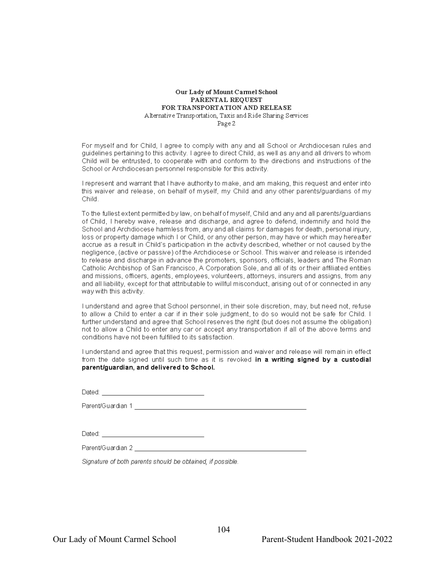#### Our Lady of Mount Carmel School PARENTAL REQUEST FOR TRANSPORTATION AND RELEASE Alternative Transportation, Taxis and Ride Sharing Services

Page 2

For myself and for Child, I agree to comply with any and all School or Archdiocesan rules and guidelines pertaining to this activity. I agree to direct Child, as well as any and all drivers to whom Child will be entrusted, to cooperate with and conform to the directions and instructions of the School or Archdiocesan personnel responsible for this activity.

I represent and warrant that I have authority to make, and am making, this request and enter into this waiver and release, on behalf of myself, my Child and any other parents/guardians of my Child

To the fullest extent permitted by law, on behalf of myself, Child and any and all parents/guardians of Child, I hereby waive, release and discharge, and agree to defend, indemnify and hold the School and Archdiocese hamiless from, any and all claims for damages for death, personal injury, loss or property damage which I or Child, or any other person, may have or which may hereafter accrue as a result in Child's participation in the activity described, whether or not caused by the negligence, (active or passive) of the Archdiocese or School. This waiver and release is intended to release and discharge in advance the promoters, sponsors, officials, leaders and The Roman Catholic Archbishop of San Francisco, A Corporation Sole, and all of its or their affiliated entities and missions, officers, agents, employees, volunteers, attorneys, insurers and assigns, from any and all liability, except for that attributable to willful misconduct, arising out of or connected in any way with this activity.

Lunderstand and agree that School personnel, in their sole discretion, may, but need not, refuse to allow a Child to enter a car if in their sole judgment, to do so would not be safe for Child. I further understand and agree that School reserves the right (but does not assume the obligation) not to allow a Child to enter any car or accept any transportation if all of the above terms and conditions have not been fulfilled to its satisfaction.

I understand and agree that this request, permission and waiver and release will remain in effect from the date signed until such time as it is revoked in a writing signed by a custodial parent/guardian, and delivered to School.

Dated: <u>Contract Contract Contract Contract Contract Contract Contract Contract Contract Contract Contract Contract Contract Contract Contract Contract Contract Contract Contract Contract Contract Contract Contract Contrac</u>

Parent/Guardian 1 and 200 million and 200 million and 200 million and 200 million and 200 million

Dated: Note of the Commission of the Commission of the Commission of the Commission of the Commission of the Commission of the Commission of the Commission of the Commission of the Commission of the Commission of the Commi

Parent/Guardian 2 \_\_\_\_\_\_\_\_\_\_\_\_

Signature of both parents should be obtained, if possible.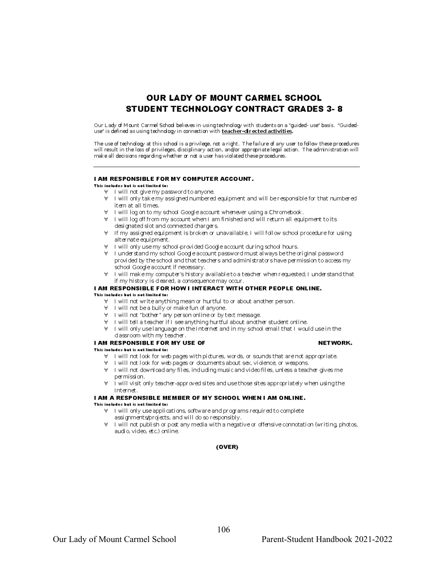#### **OUR LADY OF MOUNT CARMEL SCHOOL STUDENT TECHNOLOGY CONTRACT GRADES 3-8**

Our Lady of Mount Carmel School believes in using technology with students on a "guided- use" basis. "Guideduse" is defined as using technology in connection with teacher-directed activities.

The use of technology at this school is a privilege, not a right. The failure of any user to follow these procedures will result in the loss of privileges, disciplinary action, and/or appropriate legal action. The administration will make all decisions regarding whether or not a user has violated these procedures.

#### I AM RESPONSIBLE FOR MY COMPUTER ACCOUNT.

This includes but is not limited to:

- ∀ I will not give my password to anyone.
- ∀ I will only take my assigned numbered equipment and will be responsible for that numbered item at all times.
- ∀ I will log on to my school Google account whenever using a Chromebook.
- ∀ I will log off from my acocunt when I am finished and will return all equipment to its designated slot and connected chargers.
- ∀ If my assigned equipment is broken or unavailable, I will follow school procedure for using alternate equipment.
- ∀ I will only use my school-provided Google account during school hours.
- ∀ I understand my school Google account password must al ways be the original password provided by the school and that teachers and administrators have permission to access my school Google account if necessary.
- ∀ I will makemy computer's history availableto a teacher when requested; I understand that if my history is deared, a consequence may occur.

#### I AM RESPONSIBLE FOR HOW I INTERACT WITH OTHER PEOPLE ONLINE. This includes but is not limited to:

- ∀ I will not write anything mean or hurtful to or about another person.
- ∀ I will not be a bully or make fun of anyone.
- ∀ I will not "bother" any person online or by text message.
- ∀ I will tell a teacher if I see anything hurtful about another student online.
- ∀ I will only use language on the Internet and in my school email that I would use in the dassroom with my teacher.

#### **I AM RESPONSIBLE FOR MY USE OF**

#### This includes but is not limited to:

- ∀ I will not look for web pages with pictures, words, or sounds that are not appropriate.
- ∀ I will not look for web pages or documents about sex, violence, or weapons.
- ∀ I will not download any files, induding music and video files, unless a teacher gives me permission.
- Α I will visit only teacher-approved sites and use those sites appropriately when using the Internet.

#### I AM A RESPONSIBLE MEMBER OF MY SCHOOL WHEN I AM ONLINE. This includes but is not limited to:

- ∀ I will only use applications, software and programs required to complete assignments/projects, and will do so responsibly.
- ∀ I will not publish or post any media with a negative or offensive connotation (writing, photos, audio, video, etc.) online.

#### (OVER)

NETWORK.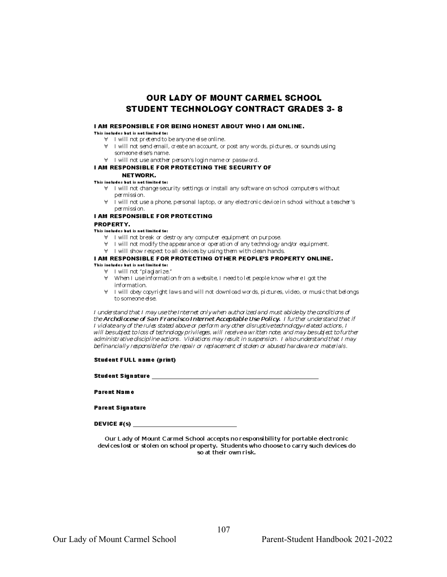#### **OUR LADY OF MOUNT CARMEL SCHOOL STUDENT TECHNOLOGY CONTRACT GRADES 3-8**

#### I AM RESPONSIBLE FOR BEING HONEST ABOUT WHO I AM ONLINE.

This includes but is not limited to:

- ∀ I will not pretend to be anyone else online.
- ∀ I will not send email, create an account, or post any words, pictures, or sounds using someone el se's name.
- ∀ I will not use another person's login name or password.

#### I AM RESPONSIBLE FOR PROTECTING THE SECURITY OF

#### NETWORK.

#### This includes but is not limited to:

- ∀ I will not change security settings or install any software on school computers without permission.
	- ∀ I will not use a phone, personal laptop, or any electronic device in school without a teacher's permission.

#### **I AM RESPONSIBLE FOR PROTECTING**

#### PROPERTY.

This includes but is not limited to:

- V I will not break or destroy any computer equipment on purpose.
- ∀ I will not modify the appearance or operation of any technology and/or equipment.
- ∀ I will show respect to all devices by using them with clean hands.

#### I AM RESPONSIBLE FOR PROTECTING OTHER PEOPLE'S PROPERTY ONLINE.

#### This includes but is not limited to:

- ∀ I will not "plagiarize."
- ∀ When I use information from a website, I need to let people know where I got the information.
- ∀ I will obey copyright laws and will not download words, pictures, video, or music that belongs to someone else.

I understand that I may use the Internet only when authorized and must abide by the conditions of the Archdi ocese of San Francisco Internet Acceptable Use Policy. I further understand that if I vidateany of the rules stated above or perform any other disruptive technology-related actions, I will besubject to loss of technology privileges, will receive a written note, and may besubject to further administrative discipline actions. Viclations may result in suspension. I also understand that I may befinancially responsiblefor the repair or replacement of stolen or abused hardware or materials.

#### **Student FULL name (print)**

Student Signature

Parent Name

**Parent Signature** 

DEVICE #(S)  $\_\$ 

Our Lady of Mount Carmel School accepts no responsibility for portable electronic devices lost or stolen on school property. Students who choose to carry such devices do so at their own risk.